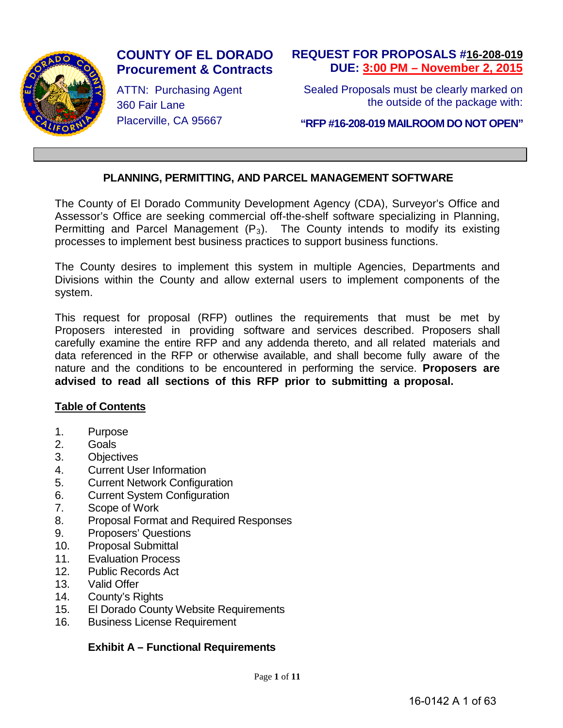

# **COUNTY OF EL DORADO Procurement & Contracts**

ATTN: Purchasing Agent 360 Fair Lane Placerville, CA 95667

# **REQUEST FOR PROPOSALS #16-208-019 DUE: 3:00 PM – November 2, 2015**

Sealed Proposals must be clearly marked on the outside of the package with:

**"RFP #16-208-019 MAILROOM DO NOT OPEN"**

# **PLANNING, PERMITTING, AND PARCEL MANAGEMENT SOFTWARE**

The County of El Dorado Community Development Agency (CDA), Surveyor's Office and Assessor's Office are seeking commercial off-the-shelf software specializing in Planning, Permitting and Parcel Management  $(P_3)$ . The County intends to modify its existing processes to implement best business practices to support business functions.

The County desires to implement this system in multiple Agencies, Departments and Divisions within the County and allow external users to implement components of the system.

This request for proposal (RFP) outlines the requirements that must be met by Proposers interested in providing software and services described. Proposers shall carefully examine the entire RFP and any addenda thereto, and all related materials and data referenced in the RFP or otherwise available, and shall become fully aware of the nature and the conditions to be encountered in performing the service. **Proposers are advised to read all sections of this RFP prior to submitting a proposal.**

# **Table of Contents**

- 1. Purpose
- 2. Goals
- 3. Objectives
- 4. Current User Information
- 5. Current Network Configuration
- 6. Current System Configuration
- 7. Scope of Work
- 8. Proposal Format and Required Responses
- 9. Proposers' Questions
- 10. Proposal Submittal
- 11. Evaluation Process
- 12. Public Records Act
- 13. Valid Offer
- 14. County's Rights
- 15. El Dorado County Website Requirements
- 16. Business License Requirement

# **Exhibit A – Functional Requirements**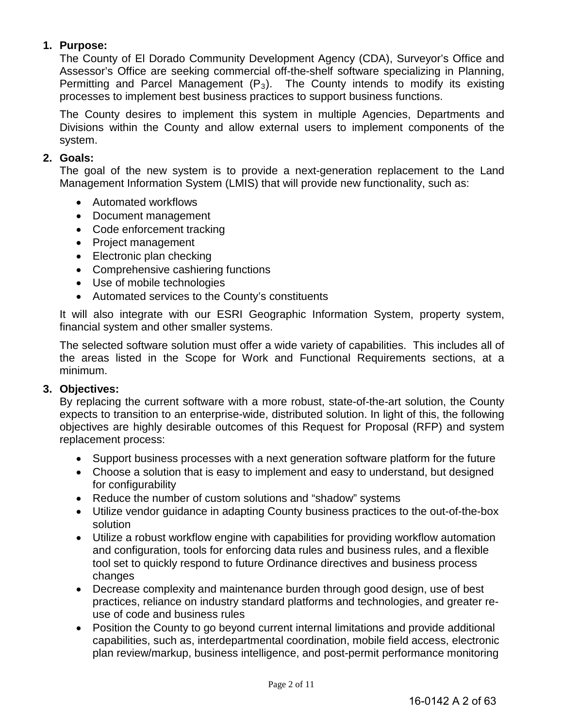# **1. Purpose:**

The County of El Dorado Community Development Agency (CDA), Surveyor's Office and Assessor's Office are seeking commercial off-the-shelf software specializing in Planning, Permitting and Parcel Management  $(P_3)$ . The County intends to modify its existing processes to implement best business practices to support business functions.

The County desires to implement this system in multiple Agencies, Departments and Divisions within the County and allow external users to implement components of the system.

# **2. Goals:**

The goal of the new system is to provide a next-generation replacement to the Land Management Information System (LMIS) that will provide new functionality, such as:

- Automated workflows
- Document management
- Code enforcement tracking
- Project management
- Electronic plan checking
- Comprehensive cashiering functions
- Use of mobile technologies
- Automated services to the County's constituents

It will also integrate with our ESRI Geographic Information System, property system, financial system and other smaller systems.

The selected software solution must offer a wide variety of capabilities. This includes all of the areas listed in the Scope for Work and Functional Requirements sections, at a minimum.

# **3. Objectives:**

By replacing the current software with a more robust, state-of-the-art solution, the County expects to transition to an enterprise-wide, distributed solution. In light of this, the following objectives are highly desirable outcomes of this Request for Proposal (RFP) and system replacement process:

- Support business processes with a next generation software platform for the future
- Choose a solution that is easy to implement and easy to understand, but designed for configurability
- Reduce the number of custom solutions and "shadow" systems
- Utilize vendor guidance in adapting County business practices to the out-of-the-box solution
- Utilize a robust workflow engine with capabilities for providing workflow automation and configuration, tools for enforcing data rules and business rules, and a flexible tool set to quickly respond to future Ordinance directives and business process changes
- Decrease complexity and maintenance burden through good design, use of best practices, reliance on industry standard platforms and technologies, and greater reuse of code and business rules
- Position the County to go beyond current internal limitations and provide additional capabilities, such as, interdepartmental coordination, mobile field access, electronic plan review/markup, business intelligence, and post-permit performance monitoring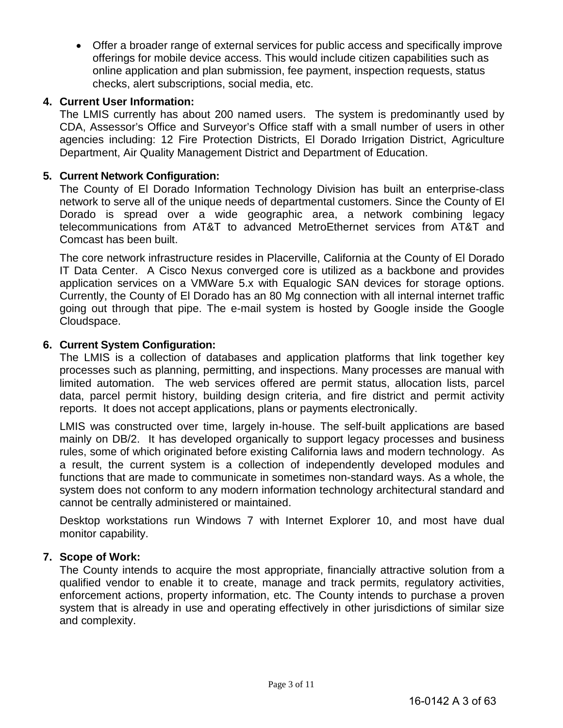• Offer a broader range of external services for public access and specifically improve offerings for mobile device access. This would include citizen capabilities such as online application and plan submission, fee payment, inspection requests, status checks, alert subscriptions, social media, etc.

# **4. Current User Information:**

The LMIS currently has about 200 named users. The system is predominantly used by CDA, Assessor's Office and Surveyor's Office staff with a small number of users in other agencies including: 12 Fire Protection Districts, El Dorado Irrigation District, Agriculture Department, Air Quality Management District and Department of Education.

# **5. Current Network Configuration:**

The County of El Dorado Information Technology Division has built an enterprise-class network to serve all of the unique needs of departmental customers. Since the County of El Dorado is spread over a wide geographic area, a network combining legacy telecommunications from AT&T to advanced MetroEthernet services from AT&T and Comcast has been built.

The core network infrastructure resides in Placerville, California at the County of El Dorado IT Data Center. A Cisco Nexus converged core is utilized as a backbone and provides application services on a VMWare 5.x with Equalogic SAN devices for storage options. Currently, the County of El Dorado has an 80 Mg connection with all internal internet traffic going out through that pipe. The e-mail system is hosted by Google inside the Google Cloudspace.

# **6. Current System Configuration:**

The LMIS is a collection of databases and application platforms that link together key processes such as planning, permitting, and inspections. Many processes are manual with limited automation. The web services offered are permit status, allocation lists, parcel data, parcel permit history, building design criteria, and fire district and permit activity reports. It does not accept applications, plans or payments electronically.

LMIS was constructed over time, largely in-house. The self-built applications are based mainly on DB/2. It has developed organically to support legacy processes and business rules, some of which originated before existing California laws and modern technology. As a result, the current system is a collection of independently developed modules and functions that are made to communicate in sometimes non-standard ways. As a whole, the system does not conform to any modern information technology architectural standard and cannot be centrally administered or maintained.

Desktop workstations run Windows 7 with Internet Explorer 10, and most have dual monitor capability.

# **7. Scope of Work:**

The County intends to acquire the most appropriate, financially attractive solution from a qualified vendor to enable it to create, manage and track permits, regulatory activities, enforcement actions, property information, etc. The County intends to purchase a proven system that is already in use and operating effectively in other jurisdictions of similar size and complexity.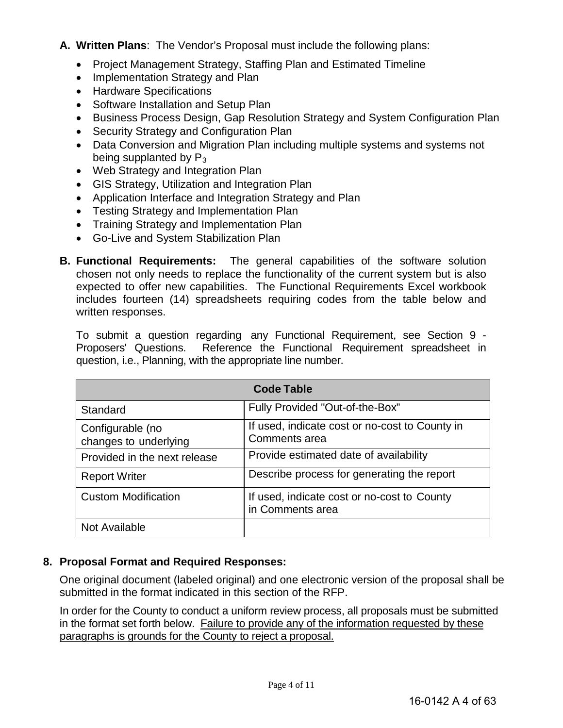- **A. Written Plans**: The Vendor's Proposal must include the following plans:
	- Project Management Strategy, Staffing Plan and Estimated Timeline
	- Implementation Strategy and Plan
	- Hardware Specifications
	- Software Installation and Setup Plan
	- Business Process Design, Gap Resolution Strategy and System Configuration Plan
	- Security Strategy and Configuration Plan
	- Data Conversion and Migration Plan including multiple systems and systems not being supplanted by  $P_3$
	- Web Strategy and Integration Plan
	- GIS Strategy, Utilization and Integration Plan
	- Application Interface and Integration Strategy and Plan
	- Testing Strategy and Implementation Plan
	- Training Strategy and Implementation Plan
	- Go-Live and System Stabilization Plan
- **B. Functional Requirements:** The general capabilities of the software solution chosen not only needs to replace the functionality of the current system but is also expected to offer new capabilities. The Functional Requirements Excel workbook includes fourteen (14) spreadsheets requiring codes from the table below and written responses.

To submit a question regarding any Functional Requirement, see Section 9 - Proposers' Questions. Reference the Functional Requirement spreadsheet in question, i.e., Planning, with the appropriate line number.

|                                           | <b>Code Table</b>                                               |
|-------------------------------------------|-----------------------------------------------------------------|
| Standard                                  | Fully Provided "Out-of-the-Box"                                 |
| Configurable (no<br>changes to underlying | If used, indicate cost or no-cost to County in<br>Comments area |
| Provided in the next release              | Provide estimated date of availability                          |
| <b>Report Writer</b>                      | Describe process for generating the report                      |
| <b>Custom Modification</b>                | If used, indicate cost or no-cost to County<br>in Comments area |
| Not Available                             |                                                                 |

# **8. Proposal Format and Required Responses:**

One original document (labeled original) and one electronic version of the proposal shall be submitted in the format indicated in this section of the RFP.

In order for the County to conduct a uniform review process, all proposals must be submitted in the format set forth below. Failure to provide any of the information requested by these paragraphs is grounds for the County to reject a proposal.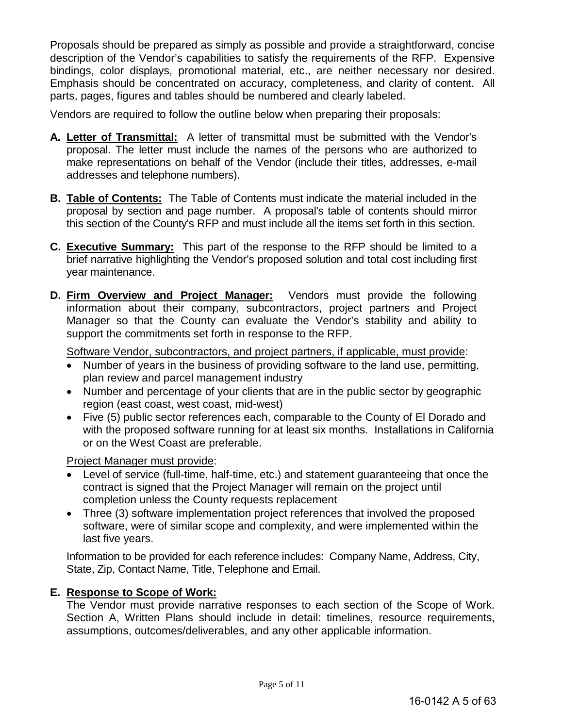Proposals should be prepared as simply as possible and provide a straightforward, concise description of the Vendor's capabilities to satisfy the requirements of the RFP. Expensive bindings, color displays, promotional material, etc., are neither necessary nor desired. Emphasis should be concentrated on accuracy, completeness, and clarity of content. All parts, pages, figures and tables should be numbered and clearly labeled.

Vendors are required to follow the outline below when preparing their proposals:

- **A. Letter of Transmittal:** A letter of transmittal must be submitted with the Vendor's proposal. The letter must include the names of the persons who are authorized to make representations on behalf of the Vendor (include their titles, addresses, e-mail addresses and telephone numbers).
- **B. Table of Contents:** The Table of Contents must indicate the material included in the proposal by section and page number. A proposal's table of contents should mirror this section of the County's RFP and must include all the items set forth in this section.
- **C. Executive Summary:** This part of the response to the RFP should be limited to a brief narrative highlighting the Vendor's proposed solution and total cost including first year maintenance.
- **D. Firm Overview and Project Manager:** Vendors must provide the following information about their company, subcontractors, project partners and Project Manager so that the County can evaluate the Vendor's stability and ability to support the commitments set forth in response to the RFP.

Software Vendor, subcontractors, and project partners, if applicable, must provide:

- Number of years in the business of providing software to the land use, permitting, plan review and parcel management industry
- Number and percentage of your clients that are in the public sector by geographic region (east coast, west coast, mid-west)
- Five (5) public sector references each, comparable to the County of El Dorado and with the proposed software running for at least six months. Installations in California or on the West Coast are preferable.

Project Manager must provide:

- Level of service (full-time, half-time, etc.) and statement guaranteeing that once the contract is signed that the Project Manager will remain on the project until completion unless the County requests replacement
- Three (3) software implementation project references that involved the proposed software, were of similar scope and complexity, and were implemented within the last five years.

Information to be provided for each reference includes: Company Name, Address, City, State, Zip, Contact Name, Title, Telephone and Email.

# **E. Response to Scope of Work:**

The Vendor must provide narrative responses to each section of the Scope of Work. Section A, Written Plans should include in detail: timelines, resource requirements, assumptions, outcomes/deliverables, and any other applicable information.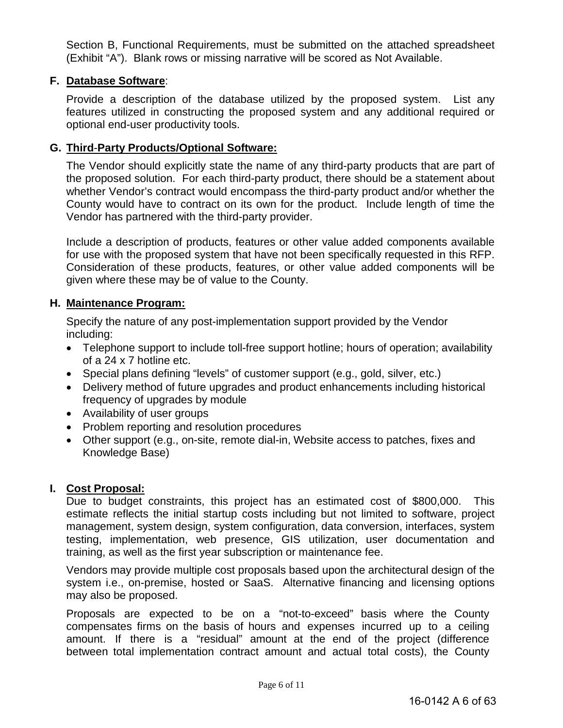Section B, Functional Requirements, must be submitted on the attached spreadsheet (Exhibit "A"). Blank rows or missing narrative will be scored as Not Available.

# **F. Database Software**:

Provide a description of the database utilized by the proposed system. List any features utilized in constructing the proposed system and any additional required or optional end-user productivity tools.

# **G. Third**-**Party Products/Optional Software:**

The Vendor should explicitly state the name of any third-party products that are part of the proposed solution. For each third-party product, there should be a statement about whether Vendor's contract would encompass the third-party product and/or whether the County would have to contract on its own for the product. Include length of time the Vendor has partnered with the third-party provider.

Include a description of products, features or other value added components available for use with the proposed system that have not been specifically requested in this RFP. Consideration of these products, features, or other value added components will be given where these may be of value to the County.

# **H. Maintenance Program:**

Specify the nature of any post-implementation support provided by the Vendor including:

- Telephone support to include toll-free support hotline; hours of operation; availability of a 24 x 7 hotline etc.
- Special plans defining "levels" of customer support (e.g., gold, silver, etc.)
- Delivery method of future upgrades and product enhancements including historical frequency of upgrades by module
- Availability of user groups
- Problem reporting and resolution procedures
- Other support (e.g., on-site, remote dial-in, Website access to patches, fixes and Knowledge Base)

# **I. Cost Proposal:**

Due to budget constraints, this project has an estimated cost of \$800,000. This estimate reflects the initial startup costs including but not limited to software, project management, system design, system configuration, data conversion, interfaces, system testing, implementation, web presence, GIS utilization, user documentation and training, as well as the first year subscription or maintenance fee.

Vendors may provide multiple cost proposals based upon the architectural design of the system i.e., on-premise, hosted or SaaS. Alternative financing and licensing options may also be proposed.

Proposals are expected to be on a "not-to-exceed" basis where the County compensates firms on the basis of hours and expenses incurred up to a ceiling amount. If there is a "residual" amount at the end of the project (difference between total implementation contract amount and actual total costs), the County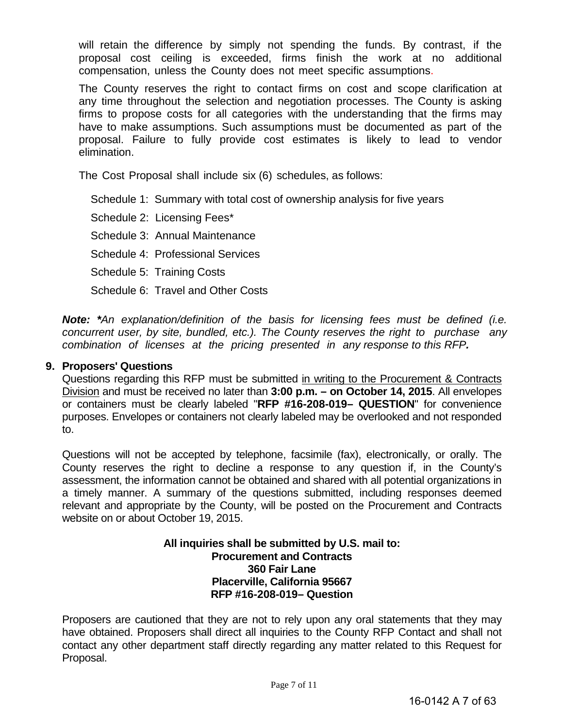will retain the difference by simply not spending the funds. By contrast, if the proposal cost ceiling is exceeded, firms finish the work at no additional compensation, unless the County does not meet specific assumptions.

The County reserves the right to contact firms on cost and scope clarification at any time throughout the selection and negotiation processes. The County is asking firms to propose costs for all categories with the understanding that the firms may have to make assumptions. Such assumptions must be documented as part of the proposal. Failure to fully provide cost estimates is likely to lead to vendor elimination.

The Cost Proposal shall include six (6) schedules, as follows:

Schedule 1: Summary with total cost of ownership analysis for five years

Schedule 2: Licensing Fees\*

Schedule 3: Annual Maintenance

Schedule 4: Professional Services

Schedule 5: Training Costs

Schedule 6: Travel and Other Costs

*Note: \*An explanation/definition of the basis for licensing fees must be defined (i.e. concurrent user, by site, bundled, etc.). The County reserves the right to purchase any combination of licenses at the pricing presented in any response to this RFP.* 

# **9. Proposers' Questions**

Questions regarding this RFP must be submitted in writing to the Procurement & Contracts Division and must be received no later than **3:00 p.m. – on October 14, 2015**. All envelopes or containers must be clearly labeled "**RFP #16-208-019– QUESTION**" for convenience purposes. Envelopes or containers not clearly labeled may be overlooked and not responded to.

Questions will not be accepted by telephone, facsimile (fax), electronically, or orally. The County reserves the right to decline a response to any question if, in the County's assessment, the information cannot be obtained and shared with all potential organizations in a timely manner. A summary of the questions submitted, including responses deemed relevant and appropriate by the County, will be posted on the Procurement and Contracts website on or about October 19, 2015.

## **All inquiries shall be submitted by U.S. mail to: Procurement and Contracts 360 Fair Lane Placerville, California 95667 RFP #16-208-019– Question**

Proposers are cautioned that they are not to rely upon any oral statements that they may have obtained. Proposers shall direct all inquiries to the County RFP Contact and shall not contact any other department staff directly regarding any matter related to this Request for Proposal.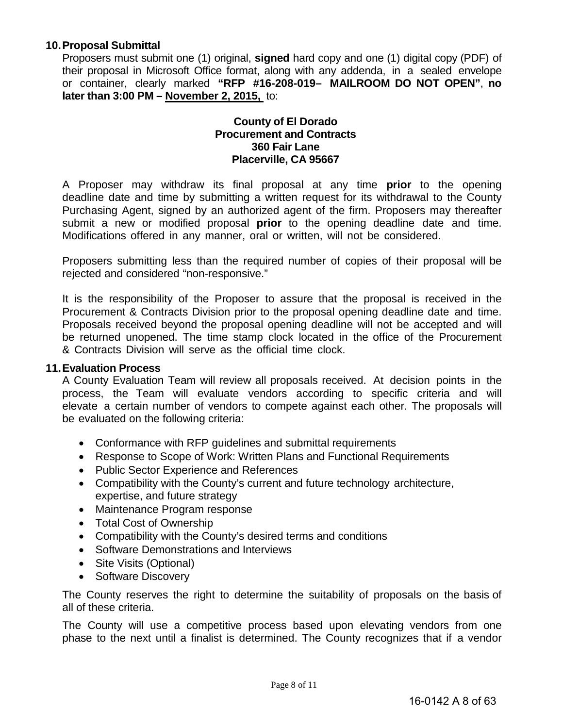## **10.Proposal Submittal**

Proposers must submit one (1) original, **signed** hard copy and one (1) digital copy (PDF) of their proposal in Microsoft Office format, along with any addenda, in a sealed envelope or container, clearly marked **"RFP #16-208-019– MAILROOM DO NOT OPEN"**, **no later than 3:00 PM – November 2, 2015,** to:

## **County of El Dorado Procurement and Contracts 360 Fair Lane Placerville, CA 95667**

A Proposer may withdraw its final proposal at any time **prior** to the opening deadline date and time by submitting a written request for its withdrawal to the County Purchasing Agent, signed by an authorized agent of the firm. Proposers may thereafter submit a new or modified proposal **prior** to the opening deadline date and time. Modifications offered in any manner, oral or written, will not be considered.

Proposers submitting less than the required number of copies of their proposal will be rejected and considered "non-responsive."

It is the responsibility of the Proposer to assure that the proposal is received in the Procurement & Contracts Division prior to the proposal opening deadline date and time. Proposals received beyond the proposal opening deadline will not be accepted and will be returned unopened. The time stamp clock located in the office of the Procurement & Contracts Division will serve as the official time clock.

#### **11.Evaluation Process**

A County Evaluation Team will review all proposals received. At decision points in the process, the Team will evaluate vendors according to specific criteria and will elevate a certain number of vendors to compete against each other. The proposals will be evaluated on the following criteria:

- Conformance with RFP guidelines and submittal requirements
- Response to Scope of Work: Written Plans and Functional Requirements
- Public Sector Experience and References
- Compatibility with the County's current and future technology architecture, expertise, and future strategy
- Maintenance Program response
- Total Cost of Ownership
- Compatibility with the County's desired terms and conditions
- Software Demonstrations and Interviews
- Site Visits (Optional)
- Software Discovery

The County reserves the right to determine the suitability of proposals on the basis of all of these criteria.

The County will use a competitive process based upon elevating vendors from one phase to the next until a finalist is determined. The County recognizes that if a vendor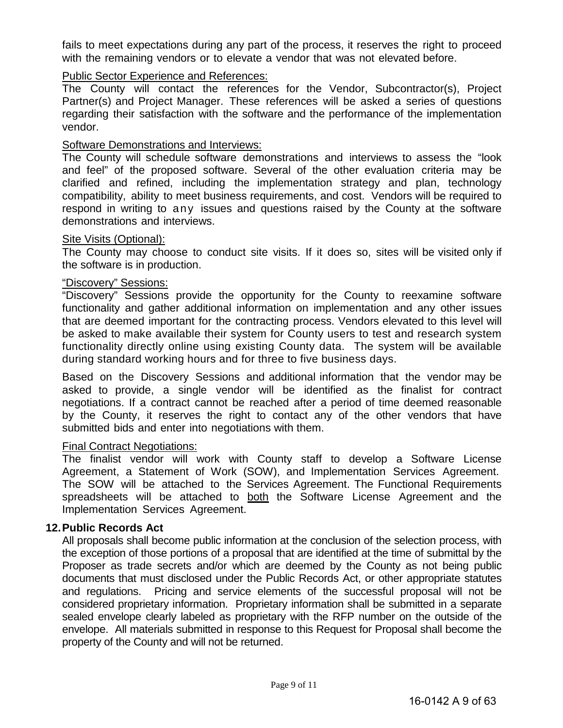fails to meet expectations during any part of the process, it reserves the right to proceed with the remaining vendors or to elevate a vendor that was not elevated before.

# Public Sector Experience and References:

The County will contact the references for the Vendor, Subcontractor(s), Project Partner(s) and Project Manager. These references will be asked a series of questions regarding their satisfaction with the software and the performance of the implementation vendor.

# Software Demonstrations and Interviews:

The County will schedule software demonstrations and interviews to assess the "look and feel" of the proposed software. Several of the other evaluation criteria may be clarified and refined, including the implementation strategy and plan, technology compatibility, ability to meet business requirements, and cost. Vendors will be required to respond in writing to any issues and questions raised by the County at the software demonstrations and interviews.

# Site Visits (Optional):

The County may choose to conduct site visits. If it does so, sites will be visited only if the software is in production.

# "Discovery" Sessions:

"Discovery" Sessions provide the opportunity for the County to reexamine software functionality and gather additional information on implementation and any other issues that are deemed important for the contracting process. Vendors elevated to this level will be asked to make available their system for County users to test and research system functionality directly online using existing County data. The system will be available during standard working hours and for three to five business days.

Based on the Discovery Sessions and additional information that the vendor may be asked to provide, a single vendor will be identified as the finalist for contract negotiations. If a contract cannot be reached after a period of time deemed reasonable by the County, it reserves the right to contact any of the other vendors that have submitted bids and enter into negotiations with them.

# Final Contract Negotiations:

The finalist vendor will work with County staff to develop a Software License Agreement, a Statement of Work (SOW), and Implementation Services Agreement. The SOW will be attached to the Services Agreement. The Functional Requirements spreadsheets will be attached to both the Software License Agreement and the Implementation Services Agreement.

# **12.Public Records Act**

All proposals shall become public information at the conclusion of the selection process, with the exception of those portions of a proposal that are identified at the time of submittal by the Proposer as trade secrets and/or which are deemed by the County as not being public documents that must disclosed under the Public Records Act, or other appropriate statutes and regulations. Pricing and service elements of the successful proposal will not be considered proprietary information. Proprietary information shall be submitted in a separate sealed envelope clearly labeled as proprietary with the RFP number on the outside of the envelope. All materials submitted in response to this Request for Proposal shall become the property of the County and will not be returned.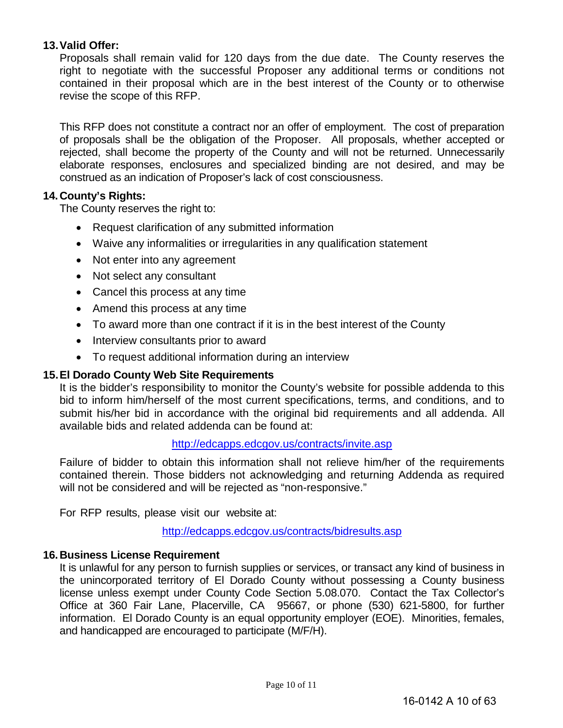# **13.Valid Offer:**

Proposals shall remain valid for 120 days from the due date. The County reserves the right to negotiate with the successful Proposer any additional terms or conditions not contained in their proposal which are in the best interest of the County or to otherwise revise the scope of this RFP.

This RFP does not constitute a contract nor an offer of employment. The cost of preparation of proposals shall be the obligation of the Proposer. All proposals, whether accepted or rejected, shall become the property of the County and will not be returned. Unnecessarily elaborate responses, enclosures and specialized binding are not desired, and may be construed as an indication of Proposer's lack of cost consciousness.

# **14.County's Rights:**

The County reserves the right to:

- Request clarification of any submitted information
- Waive any informalities or irregularities in any qualification statement
- Not enter into any agreement
- Not select any consultant
- Cancel this process at any time
- Amend this process at any time
- To award more than one contract if it is in the best interest of the County
- Interview consultants prior to award
- To request additional information during an interview

# **15.El Dorado County Web Site Requirements**

It is the bidder's responsibility to monitor the County's website for possible addenda to this bid to inform him/herself of the most current specifications, terms, and conditions, and to submit his/her bid in accordance with the original bid requirements and all addenda. All available bids and related addenda can be found at:

#### <http://edcapps.edcgov.us/contracts/invite.asp>

Failure of bidder to obtain this information shall not relieve him/her of the requirements contained therein. Those bidders not acknowledging and returning Addenda as required will not be considered and will be rejected as "non-responsive."

For RFP results, please visit our website at:

<http://edcapps.edcgov.us/contracts/bidresults.asp>

#### **16.Business License Requirement**

It is unlawful for any person to furnish supplies or services, or transact any kind of business in the unincorporated territory of El Dorado County without possessing a County business license unless exempt under County Code Section 5.08.070. Contact the Tax Collector's Office at 360 Fair Lane, Placerville, CA 95667, or phone (530) 621-5800, for further information. El Dorado County is an equal opportunity employer (EOE). Minorities, females, and handicapped are encouraged to participate (M/F/H).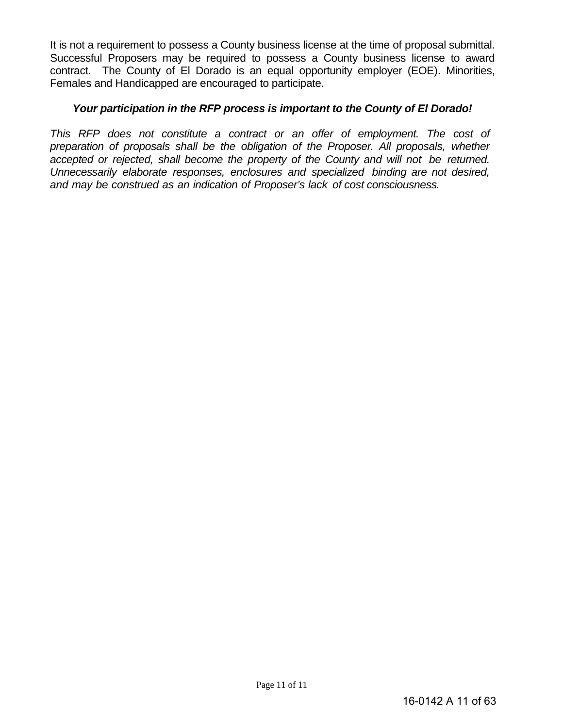It is not a requirement to possess a County business license at the time of proposal submittal. Successful Proposers may be required to possess a County business license to award contract. The County of El Dorado is an equal opportunity employer (EOE). Minorities, Females and Handicapped are encouraged to participate.

# *Your participation in the RFP process is important to the County of El Dorado!*

*This RFP does not constitute a contract or an offer of employment. The cost of preparation of proposals shall be the obligation of the Proposer. All proposals, whether accepted or rejected, shall become the property of the County and will not be returned. Unnecessarily elaborate responses, enclosures and specialized binding are not desired, and may be construed as an indication of Proposer's lack of cost consciousness.*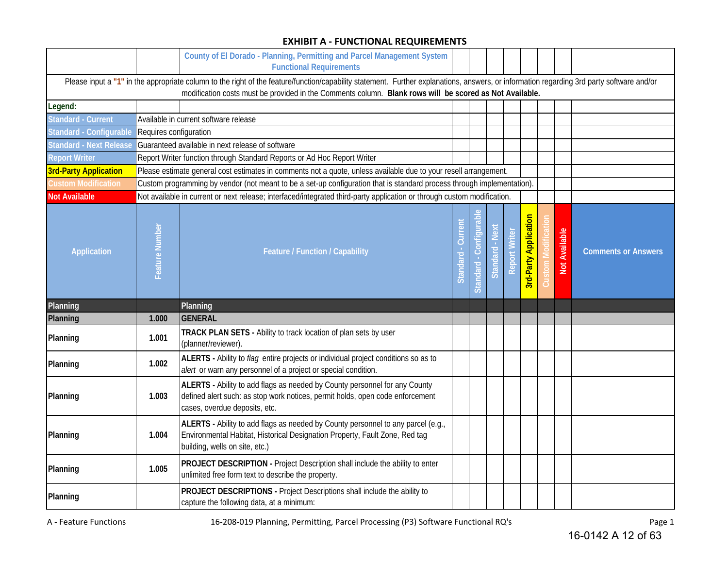#### **EXHIBIT A - FUNCTIONAL REQUIREMENTS**

|                                |                        | County of El Dorado - Planning, Permitting and Parcel Management System<br><b>Functional Requirements</b>                                                                                                                                                                                            |                   |                       |                 |                      |                              |                      |                            |
|--------------------------------|------------------------|------------------------------------------------------------------------------------------------------------------------------------------------------------------------------------------------------------------------------------------------------------------------------------------------------|-------------------|-----------------------|-----------------|----------------------|------------------------------|----------------------|----------------------------|
|                                |                        | Please input a "1" in the appropriate column to the right of the feature/function/capability statement. Further explanations, answers, or information regarding 3rd party software and/or<br>modification costs must be provided in the Comments column. Blank rows will be scored as Not Available. |                   |                       |                 |                      |                              |                      |                            |
| Legend:                        |                        |                                                                                                                                                                                                                                                                                                      |                   |                       |                 |                      |                              |                      |                            |
| <b>Standard - Current</b>      |                        | Available in current software release                                                                                                                                                                                                                                                                |                   |                       |                 |                      |                              |                      |                            |
| Standard - Configurable        | Requires configuration |                                                                                                                                                                                                                                                                                                      |                   |                       |                 |                      |                              |                      |                            |
| <b>Standard - Next Release</b> |                        | Guaranteed available in next release of software                                                                                                                                                                                                                                                     |                   |                       |                 |                      |                              |                      |                            |
| <b>Report Writer</b>           |                        | Report Writer function through Standard Reports or Ad Hoc Report Writer                                                                                                                                                                                                                              |                   |                       |                 |                      |                              |                      |                            |
| <b>3rd-Party Application</b>   |                        | Please estimate general cost estimates in comments not a quote, unless available due to your resell arrangement.                                                                                                                                                                                     |                   |                       |                 |                      |                              |                      |                            |
| <b>Custom Modification</b>     |                        | Custom programming by vendor (not meant to be a set-up configuration that is standard process through implementation).                                                                                                                                                                               |                   |                       |                 |                      |                              |                      |                            |
| <b>Not Available</b>           |                        | Not available in current or next release; interfaced/integrated third-party application or through custom modification.                                                                                                                                                                              |                   |                       |                 |                      |                              |                      |                            |
| <b>Application</b>             | Feature Number         | Feature / Function / Capability                                                                                                                                                                                                                                                                      | Standard - Curren | Standard - Configural | Standard - Next | <b>Report Writer</b> | <b>3rd-Party Application</b> | <b>Not Available</b> | <b>Comments or Answers</b> |
| Planning                       |                        | Planning                                                                                                                                                                                                                                                                                             |                   |                       |                 |                      |                              |                      |                            |
| Planning                       | 1.000                  | <b>GENERAL</b>                                                                                                                                                                                                                                                                                       |                   |                       |                 |                      |                              |                      |                            |
| Planning                       | 1.001                  | TRACK PLAN SETS - Ability to track location of plan sets by user<br>(planner/reviewer)                                                                                                                                                                                                               |                   |                       |                 |                      |                              |                      |                            |
| Planning                       | 1.002                  | ALERTS - Ability to flag entire projects or individual project conditions so as to<br>alert or warn any personnel of a project or special condition.                                                                                                                                                 |                   |                       |                 |                      |                              |                      |                            |
| Planning                       | 1.003                  | ALERTS - Ability to add flags as needed by County personnel for any County<br>defined alert such: as stop work notices, permit holds, open code enforcement<br>cases, overdue deposits, etc.                                                                                                         |                   |                       |                 |                      |                              |                      |                            |
| Planning                       | 1.004                  | ALERTS - Ability to add flags as needed by County personnel to any parcel (e.g.,<br>Environmental Habitat, Historical Designation Property, Fault Zone, Red tag<br>building, wells on site, etc.)                                                                                                    |                   |                       |                 |                      |                              |                      |                            |
| Planning                       | 1.005                  | PROJECT DESCRIPTION - Project Description shall include the ability to enter<br>unlimited free form text to describe the property.                                                                                                                                                                   |                   |                       |                 |                      |                              |                      |                            |
| Planning                       |                        | PROJECT DESCRIPTIONS - Project Descriptions shall include the ability to<br>capture the following data, at a minimum:                                                                                                                                                                                |                   |                       |                 |                      |                              |                      |                            |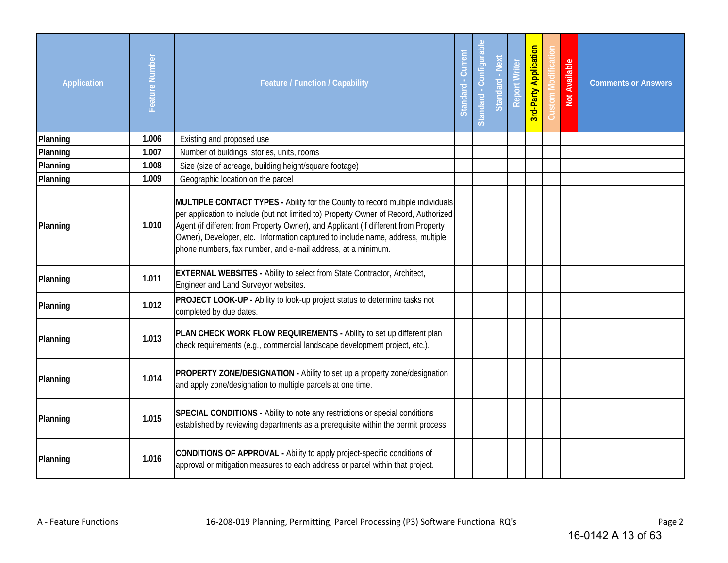| <b>Application</b> | Feature Number | <b>Feature / Function / Capability</b>                                                                                                                                                                                                                                                                                                                                                                           | - Curren<br>Standard | Standard - Configura | Standard - Next | <b>Report Writer</b> | <b>3rd-Party Application</b> | Not Available | <b>Comments or Answers</b> |
|--------------------|----------------|------------------------------------------------------------------------------------------------------------------------------------------------------------------------------------------------------------------------------------------------------------------------------------------------------------------------------------------------------------------------------------------------------------------|----------------------|----------------------|-----------------|----------------------|------------------------------|---------------|----------------------------|
| Planning           | 1.006          | Existing and proposed use                                                                                                                                                                                                                                                                                                                                                                                        |                      |                      |                 |                      |                              |               |                            |
| Planning           | 1.007          | Number of buildings, stories, units, rooms                                                                                                                                                                                                                                                                                                                                                                       |                      |                      |                 |                      |                              |               |                            |
| Planning           | 1.008          | Size (size of acreage, building height/square footage)                                                                                                                                                                                                                                                                                                                                                           |                      |                      |                 |                      |                              |               |                            |
| Planning           | 1.009          | Geographic location on the parcel                                                                                                                                                                                                                                                                                                                                                                                |                      |                      |                 |                      |                              |               |                            |
| Planning           | 1.010          | MULTIPLE CONTACT TYPES - Ability for the County to record multiple individuals<br>per application to include (but not limited to) Property Owner of Record, Authorized<br>Agent (if different from Property Owner), and Applicant (if different from Property<br>Owner), Developer, etc. Information captured to include name, address, multiple<br>phone numbers, fax number, and e-mail address, at a minimum. |                      |                      |                 |                      |                              |               |                            |
| Planning           | 1.011          | <b>EXTERNAL WEBSITES - Ability to select from State Contractor, Architect,</b><br>Engineer and Land Surveyor websites.                                                                                                                                                                                                                                                                                           |                      |                      |                 |                      |                              |               |                            |
| Planning           | 1.012          | <b>PROJECT LOOK-UP - Ability to look-up project status to determine tasks not</b><br>completed by due dates.                                                                                                                                                                                                                                                                                                     |                      |                      |                 |                      |                              |               |                            |
| Planning           | 1.013          | PLAN CHECK WORK FLOW REQUIREMENTS - Ability to set up different plan<br>check requirements (e.g., commercial landscape development project, etc.).                                                                                                                                                                                                                                                               |                      |                      |                 |                      |                              |               |                            |
| Planning           | 1.014          | <b>PROPERTY ZONE/DESIGNATION - Ability to set up a property zone/designation</b><br>and apply zone/designation to multiple parcels at one time.                                                                                                                                                                                                                                                                  |                      |                      |                 |                      |                              |               |                            |
| Planning           | 1.015          | SPECIAL CONDITIONS - Ability to note any restrictions or special conditions<br>established by reviewing departments as a prerequisite within the permit process.                                                                                                                                                                                                                                                 |                      |                      |                 |                      |                              |               |                            |
| Planning           | 1.016          | CONDITIONS OF APPROVAL - Ability to apply project-specific conditions of<br>approval or mitigation measures to each address or parcel within that project.                                                                                                                                                                                                                                                       |                      |                      |                 |                      |                              |               |                            |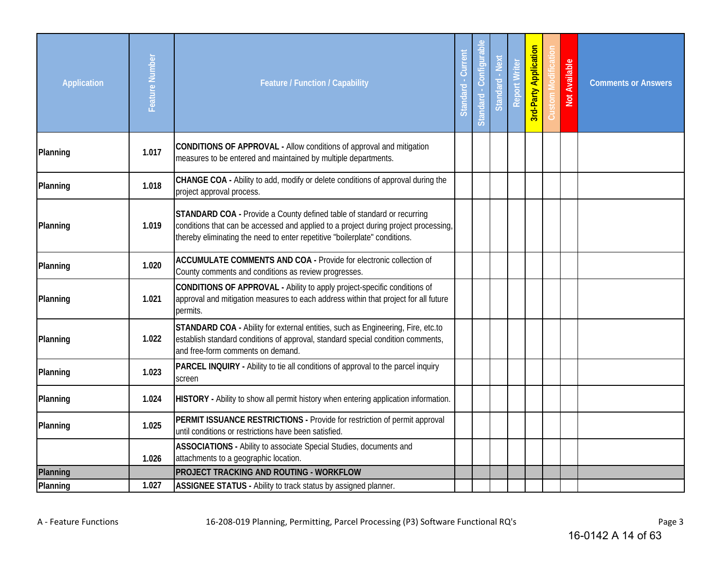| <b>Application</b> | Feature Number | <b>Feature / Function / Capability</b>                                                                                                                                                                                                      | Current<br>Standard | Standard - Configura | Standard - Next | <b>Report Writer</b> | <b>3rd-Party Application</b> | Not Available | <b>Comments or Answers</b> |
|--------------------|----------------|---------------------------------------------------------------------------------------------------------------------------------------------------------------------------------------------------------------------------------------------|---------------------|----------------------|-----------------|----------------------|------------------------------|---------------|----------------------------|
| Planning           | 1.017          | CONDITIONS OF APPROVAL - Allow conditions of approval and mitigation<br>measures to be entered and maintained by multiple departments.                                                                                                      |                     |                      |                 |                      |                              |               |                            |
| Planning           | 1.018          | CHANGE COA - Ability to add, modify or delete conditions of approval during the<br>project approval process.                                                                                                                                |                     |                      |                 |                      |                              |               |                            |
| Planning           | 1.019          | STANDARD COA - Provide a County defined table of standard or recurring<br>conditions that can be accessed and applied to a project during project processing,<br>thereby eliminating the need to enter repetitive "boilerplate" conditions. |                     |                      |                 |                      |                              |               |                            |
| Planning           | 1.020          | <b>ACCUMULATE COMMENTS AND COA - Provide for electronic collection of</b><br>County comments and conditions as review progresses.                                                                                                           |                     |                      |                 |                      |                              |               |                            |
| Planning           | 1.021          | CONDITIONS OF APPROVAL - Ability to apply project-specific conditions of<br>approval and mitigation measures to each address within that project for all future<br>permits.                                                                 |                     |                      |                 |                      |                              |               |                            |
| Planning           | 1.022          | STANDARD COA - Ability for external entities, such as Engineering, Fire, etc.to<br>establish standard conditions of approval, standard special condition comments,<br>and free-form comments on demand.                                     |                     |                      |                 |                      |                              |               |                            |
| Planning           | 1.023          | PARCEL INQUIRY - Ability to tie all conditions of approval to the parcel inquiry<br>screen                                                                                                                                                  |                     |                      |                 |                      |                              |               |                            |
| Planning           | 1.024          | HISTORY - Ability to show all permit history when entering application information.                                                                                                                                                         |                     |                      |                 |                      |                              |               |                            |
| Planning           | 1.025          | PERMIT ISSUANCE RESTRICTIONS - Provide for restriction of permit approval<br>until conditions or restrictions have been satisfied.                                                                                                          |                     |                      |                 |                      |                              |               |                            |
|                    | 1.026          | ASSOCIATIONS - Ability to associate Special Studies, documents and<br>attachments to a geographic location.                                                                                                                                 |                     |                      |                 |                      |                              |               |                            |
| Planning           |                | PROJECT TRACKING AND ROUTING - WORKFLOW                                                                                                                                                                                                     |                     |                      |                 |                      |                              |               |                            |
| Planning           | 1.027          | ASSIGNEE STATUS - Ability to track status by assigned planner.                                                                                                                                                                              |                     |                      |                 |                      |                              |               |                            |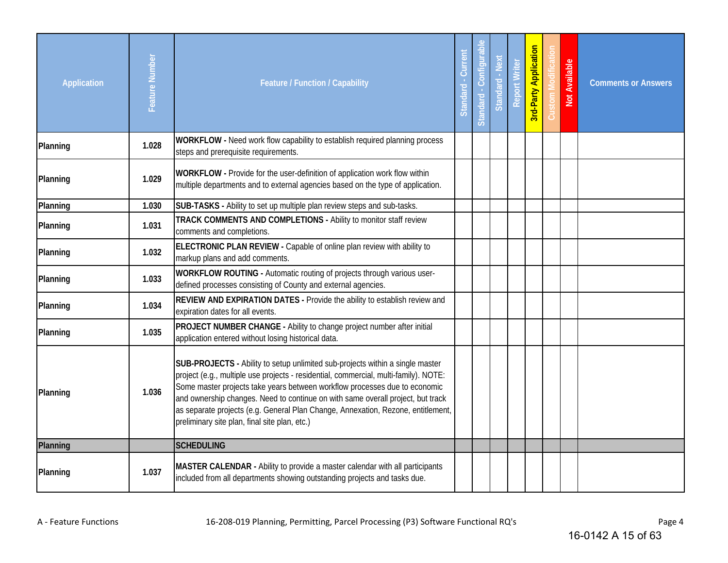| <b>Application</b> | Feature Number | <b>Feature / Function / Capability</b>                                                                                                                                                                                                                                                                                                                                                                                                                                      | Curren<br>Standard | Standard - Configura | Standard - Next | <b>Report Writer</b> | 3rd-Party Application | <b>Not Available</b> | <b>Comments or Answers</b> |
|--------------------|----------------|-----------------------------------------------------------------------------------------------------------------------------------------------------------------------------------------------------------------------------------------------------------------------------------------------------------------------------------------------------------------------------------------------------------------------------------------------------------------------------|--------------------|----------------------|-----------------|----------------------|-----------------------|----------------------|----------------------------|
| Planning           | 1.028          | WORKFLOW - Need work flow capability to establish required planning process<br>steps and prerequisite requirements.                                                                                                                                                                                                                                                                                                                                                         |                    |                      |                 |                      |                       |                      |                            |
| Planning           | 1.029          | <b>WORKFLOW</b> - Provide for the user-definition of application work flow within<br>multiple departments and to external agencies based on the type of application.                                                                                                                                                                                                                                                                                                        |                    |                      |                 |                      |                       |                      |                            |
| Planning           | 1.030          | SUB-TASKS - Ability to set up multiple plan review steps and sub-tasks.                                                                                                                                                                                                                                                                                                                                                                                                     |                    |                      |                 |                      |                       |                      |                            |
| Planning           | 1.031          | TRACK COMMENTS AND COMPLETIONS - Ability to monitor staff review<br>comments and completions.                                                                                                                                                                                                                                                                                                                                                                               |                    |                      |                 |                      |                       |                      |                            |
| Planning           | 1.032          | ELECTRONIC PLAN REVIEW - Capable of online plan review with ability to<br>markup plans and add comments.                                                                                                                                                                                                                                                                                                                                                                    |                    |                      |                 |                      |                       |                      |                            |
| Planning           | 1.033          | WORKFLOW ROUTING - Automatic routing of projects through various user-<br>defined processes consisting of County and external agencies.                                                                                                                                                                                                                                                                                                                                     |                    |                      |                 |                      |                       |                      |                            |
| Planning           | 1.034          | REVIEW AND EXPIRATION DATES - Provide the ability to establish review and<br>expiration dates for all events.                                                                                                                                                                                                                                                                                                                                                               |                    |                      |                 |                      |                       |                      |                            |
| Planning           | 1.035          | PROJECT NUMBER CHANGE - Ability to change project number after initial<br>application entered without losing historical data.                                                                                                                                                                                                                                                                                                                                               |                    |                      |                 |                      |                       |                      |                            |
| Planning           | 1.036          | SUB-PROJECTS - Ability to setup unlimited sub-projects within a single master<br>project (e.g., multiple use projects - residential, commercial, multi-family). NOTE:<br>Some master projects take years between workflow processes due to economic<br>and ownership changes. Need to continue on with same overall project, but track<br>as separate projects (e.g. General Plan Change, Annexation, Rezone, entitlement,<br>preliminary site plan, final site plan, etc.) |                    |                      |                 |                      |                       |                      |                            |
| Planning           |                | <b>SCHEDULING</b>                                                                                                                                                                                                                                                                                                                                                                                                                                                           |                    |                      |                 |                      |                       |                      |                            |
| Planning           | 1.037          | MASTER CALENDAR - Ability to provide a master calendar with all participants<br>included from all departments showing outstanding projects and tasks due.                                                                                                                                                                                                                                                                                                                   |                    |                      |                 |                      |                       |                      |                            |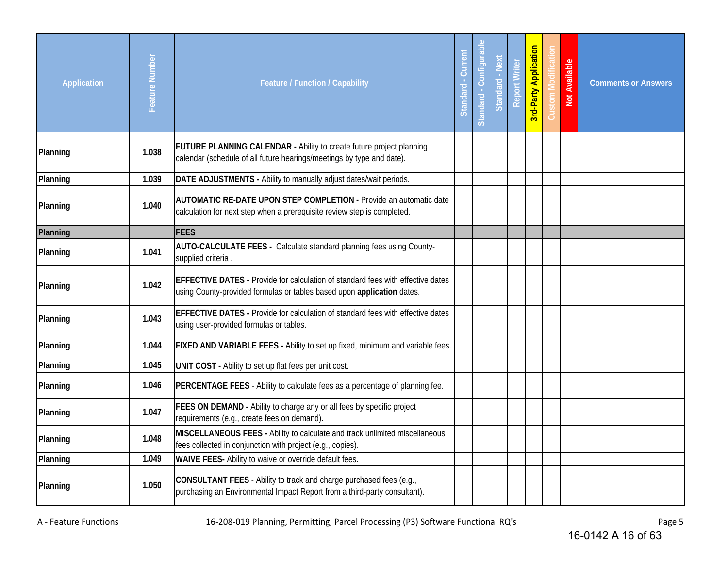| <b>Application</b> | Feature Number | <b>Feature / Function / Capability</b>                                                                                                                           | Standard - Curren | Standard - Configurabl | Standard - Next | <b>Report Writer</b> | <b>3rd-Party Application</b> | Not Available | <b>Comments or Answers</b> |
|--------------------|----------------|------------------------------------------------------------------------------------------------------------------------------------------------------------------|-------------------|------------------------|-----------------|----------------------|------------------------------|---------------|----------------------------|
| Planning           | 1.038          | <b>FUTURE PLANNING CALENDAR - Ability to create future project planning</b><br>calendar (schedule of all future hearings/meetings by type and date).             |                   |                        |                 |                      |                              |               |                            |
| Planning           | 1.039          | DATE ADJUSTMENTS - Ability to manually adjust dates/wait periods.                                                                                                |                   |                        |                 |                      |                              |               |                            |
| Planning           | 1.040          | <b>AUTOMATIC RE-DATE UPON STEP COMPLETION - Provide an automatic date</b><br>calculation for next step when a prerequisite review step is completed.             |                   |                        |                 |                      |                              |               |                            |
| Planning           |                | <b>FEES</b>                                                                                                                                                      |                   |                        |                 |                      |                              |               |                            |
| Planning           | 1.041          | <b>AUTO-CALCULATE FEES - Calculate standard planning fees using County-</b><br>supplied criteria.                                                                |                   |                        |                 |                      |                              |               |                            |
| Planning           | 1.042          | <b>EFFECTIVE DATES - Provide for calculation of standard fees with effective dates</b><br>using County-provided formulas or tables based upon application dates. |                   |                        |                 |                      |                              |               |                            |
| Planning           | 1.043          | <b>EFFECTIVE DATES - Provide for calculation of standard fees with effective dates</b><br>using user-provided formulas or tables.                                |                   |                        |                 |                      |                              |               |                            |
| Planning           | 1.044          | FIXED AND VARIABLE FEES - Ability to set up fixed, minimum and variable fees.                                                                                    |                   |                        |                 |                      |                              |               |                            |
| Planning           | 1.045          | UNIT COST - Ability to set up flat fees per unit cost.                                                                                                           |                   |                        |                 |                      |                              |               |                            |
| Planning           | 1.046          | PERCENTAGE FEES - Ability to calculate fees as a percentage of planning fee.                                                                                     |                   |                        |                 |                      |                              |               |                            |
| Planning           | 1.047          | FEES ON DEMAND - Ability to charge any or all fees by specific project<br>requirements (e.g., create fees on demand).                                            |                   |                        |                 |                      |                              |               |                            |
| Planning           | 1.048          | MISCELLANEOUS FEES - Ability to calculate and track unlimited miscellaneous<br>fees collected in conjunction with project (e.g., copies).                        |                   |                        |                 |                      |                              |               |                            |
| Planning           | 1.049          | WAIVE FEES- Ability to waive or override default fees.                                                                                                           |                   |                        |                 |                      |                              |               |                            |
| Planning           | 1.050          | CONSULTANT FEES - Ability to track and charge purchased fees (e.g.,<br>purchasing an Environmental Impact Report from a third-party consultant).                 |                   |                        |                 |                      |                              |               |                            |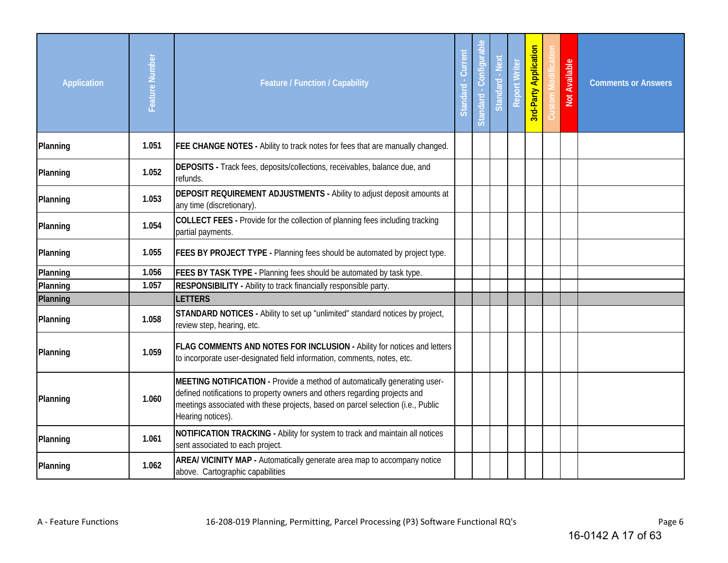| <b>Application</b> | Feature Number | <b>Feature / Function / Capability</b>                                                                                                                                                                                                                           | Current<br>Standard | 흐<br>Standard - Configural | Standard - Next | <b>Report Writer</b> | <b>Brd-Party Application</b> | Not Available | <b>Comments or Answers</b> |
|--------------------|----------------|------------------------------------------------------------------------------------------------------------------------------------------------------------------------------------------------------------------------------------------------------------------|---------------------|----------------------------|-----------------|----------------------|------------------------------|---------------|----------------------------|
| Planning           | 1.051          | <b>FEE CHANGE NOTES - Ability to track notes for fees that are manually changed.</b>                                                                                                                                                                             |                     |                            |                 |                      |                              |               |                            |
| Planning           | 1.052          | DEPOSITS - Track fees, deposits/collections, receivables, balance due, and<br>refunds.                                                                                                                                                                           |                     |                            |                 |                      |                              |               |                            |
| Planning           | 1.053          | <b>DEPOSIT REQUIREMENT ADJUSTMENTS - Ability to adjust deposit amounts at</b><br>any time (discretionary).                                                                                                                                                       |                     |                            |                 |                      |                              |               |                            |
| Planning           | 1.054          | COLLECT FEES - Provide for the collection of planning fees including tracking<br>partial payments.                                                                                                                                                               |                     |                            |                 |                      |                              |               |                            |
| Planning           | 1.055          | <b>FEES BY PROJECT TYPE - Planning fees should be automated by project type.</b>                                                                                                                                                                                 |                     |                            |                 |                      |                              |               |                            |
| Planning           | 1.056          | FEES BY TASK TYPE - Planning fees should be automated by task type.                                                                                                                                                                                              |                     |                            |                 |                      |                              |               |                            |
| Planning           | 1.057          | RESPONSIBILITY - Ability to track financially responsible party.                                                                                                                                                                                                 |                     |                            |                 |                      |                              |               |                            |
| Planning           |                | <b>LETTERS</b>                                                                                                                                                                                                                                                   |                     |                            |                 |                      |                              |               |                            |
| Planning           | 1.058          | STANDARD NOTICES - Ability to set up "unlimited" standard notices by project,<br>review step, hearing, etc.                                                                                                                                                      |                     |                            |                 |                      |                              |               |                            |
| Planning           | 1.059          | <b>FLAG COMMENTS AND NOTES FOR INCLUSION - Ability for notices and letters</b><br>to incorporate user-designated field information, comments, notes, etc.                                                                                                        |                     |                            |                 |                      |                              |               |                            |
| Planning           | 1.060          | MEETING NOTIFICATION - Provide a method of automatically generating user-<br>defined notifications to property owners and others regarding projects and<br>meetings associated with these projects, based on parcel selection (i.e., Public<br>Hearing notices). |                     |                            |                 |                      |                              |               |                            |
| Planning           | 1.061          | NOTIFICATION TRACKING - Ability for system to track and maintain all notices<br>sent associated to each project.                                                                                                                                                 |                     |                            |                 |                      |                              |               |                            |
| Planning           | 1.062          | AREA/ VICINITY MAP - Automatically generate area map to accompany notice<br>above. Cartographic capabilities                                                                                                                                                     |                     |                            |                 |                      |                              |               |                            |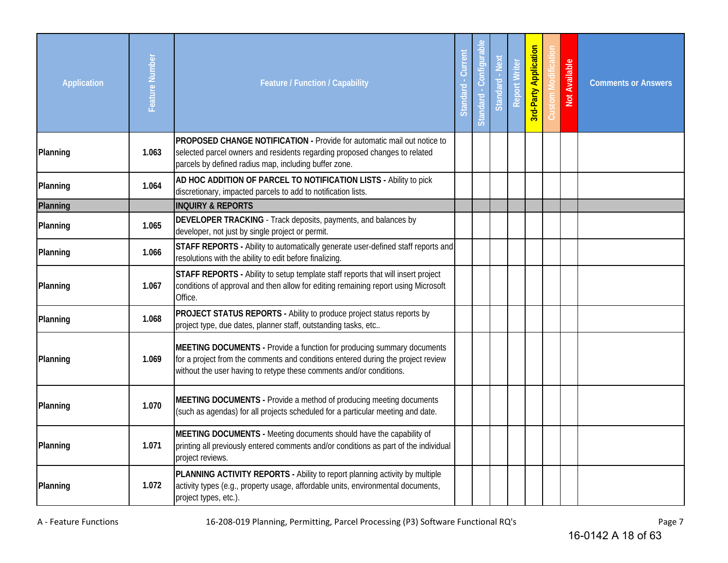| <b>Application</b> | Feature Number | <b>Feature / Function / Capability</b>                                                                                                                                                                                            | Curren<br>Standard | Standard - Configural | Standard - Next | <b>Report Writer</b> | <b>3rd-Party Application</b> | Not Available | <b>Comments or Answers</b> |
|--------------------|----------------|-----------------------------------------------------------------------------------------------------------------------------------------------------------------------------------------------------------------------------------|--------------------|-----------------------|-----------------|----------------------|------------------------------|---------------|----------------------------|
| Planning           | 1.063          | PROPOSED CHANGE NOTIFICATION - Provide for automatic mail out notice to<br>selected parcel owners and residents regarding proposed changes to related<br>parcels by defined radius map, including buffer zone.                    |                    |                       |                 |                      |                              |               |                            |
| Planning           | 1.064          | AD HOC ADDITION OF PARCEL TO NOTIFICATION LISTS - Ability to pick<br>discretionary, impacted parcels to add to notification lists.                                                                                                |                    |                       |                 |                      |                              |               |                            |
| Planning           |                | <b>INQUIRY &amp; REPORTS</b>                                                                                                                                                                                                      |                    |                       |                 |                      |                              |               |                            |
| Planning           | 1.065          | DEVELOPER TRACKING - Track deposits, payments, and balances by<br>developer, not just by single project or permit.                                                                                                                |                    |                       |                 |                      |                              |               |                            |
| Planning           | 1.066          | STAFF REPORTS - Ability to automatically generate user-defined staff reports and<br>resolutions with the ability to edit before finalizing.                                                                                       |                    |                       |                 |                      |                              |               |                            |
| Planning           | 1.067          | STAFF REPORTS - Ability to setup template staff reports that will insert project<br>conditions of approval and then allow for editing remaining report using Microsoft<br>Office.                                                 |                    |                       |                 |                      |                              |               |                            |
| Planning           | 1.068          | PROJECT STATUS REPORTS - Ability to produce project status reports by<br>project type, due dates, planner staff, outstanding tasks, etc                                                                                           |                    |                       |                 |                      |                              |               |                            |
| Planning           | 1.069          | MEETING DOCUMENTS - Provide a function for producing summary documents<br>for a project from the comments and conditions entered during the project review<br>without the user having to retype these comments and/or conditions. |                    |                       |                 |                      |                              |               |                            |
| Planning           | 1.070          | MEETING DOCUMENTS - Provide a method of producing meeting documents<br>(such as agendas) for all projects scheduled for a particular meeting and date.                                                                            |                    |                       |                 |                      |                              |               |                            |
| Planning           | 1.071          | MEETING DOCUMENTS - Meeting documents should have the capability of<br>printing all previously entered comments and/or conditions as part of the individual<br>project reviews.                                                   |                    |                       |                 |                      |                              |               |                            |
| Planning           | 1.072          | PLANNING ACTIVITY REPORTS - Ability to report planning activity by multiple<br>activity types (e.g., property usage, affordable units, environmental documents,<br>project types, etc.).                                          |                    |                       |                 |                      |                              |               |                            |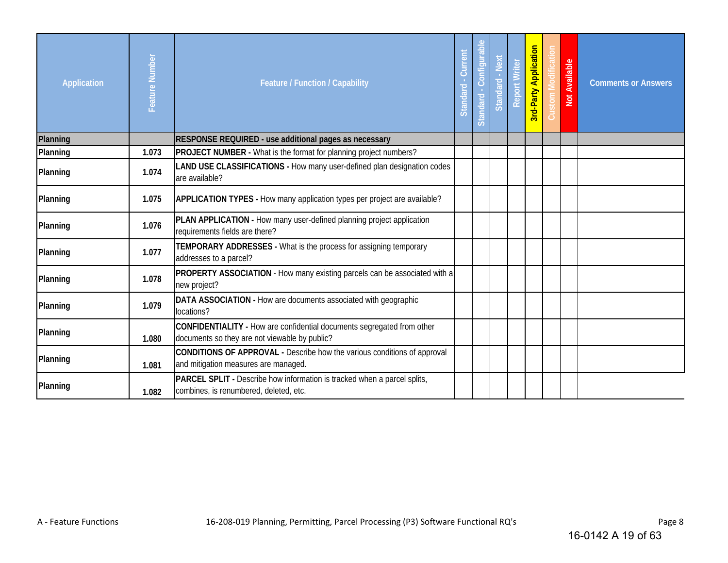| Application | Feature Number | Feature / Function / Capability                                                                                         | Current<br>Standard - | Standard - Configural | Standard - Next | <b>Report Writer</b> | <b>Brd-Party Application</b> | Not Available | <b>Comments or Answers</b> |
|-------------|----------------|-------------------------------------------------------------------------------------------------------------------------|-----------------------|-----------------------|-----------------|----------------------|------------------------------|---------------|----------------------------|
| Planning    |                | RESPONSE REQUIRED - use additional pages as necessary                                                                   |                       |                       |                 |                      |                              |               |                            |
| Planning    | 1.073          | <b>PROJECT NUMBER</b> - What is the format for planning project numbers?                                                |                       |                       |                 |                      |                              |               |                            |
| Planning    | 1.074          | LAND USE CLASSIFICATIONS - How many user-defined plan designation codes<br>are available?                               |                       |                       |                 |                      |                              |               |                            |
| Planning    | 1.075          | <b>APPLICATION TYPES - How many application types per project are available?</b>                                        |                       |                       |                 |                      |                              |               |                            |
| Planning    | 1.076          | PLAN APPLICATION - How many user-defined planning project application<br>requirements fields are there?                 |                       |                       |                 |                      |                              |               |                            |
| Planning    | 1.077          | TEMPORARY ADDRESSES - What is the process for assigning temporary<br>addresses to a parcel?                             |                       |                       |                 |                      |                              |               |                            |
| Planning    | 1.078          | PROPERTY ASSOCIATION - How many existing parcels can be associated with a<br>new project?                               |                       |                       |                 |                      |                              |               |                            |
| Planning    | 1.079          | DATA ASSOCIATION - How are documents associated with geographic<br>locations?                                           |                       |                       |                 |                      |                              |               |                            |
| Planning    | 1.080          | CONFIDENTIALITY - How are confidential documents segregated from other<br>documents so they are not viewable by public? |                       |                       |                 |                      |                              |               |                            |
| Planning    | 1.081          | CONDITIONS OF APPROVAL - Describe how the various conditions of approval<br>and mitigation measures are managed.        |                       |                       |                 |                      |                              |               |                            |
| Planning    | 1.082          | PARCEL SPLIT - Describe how information is tracked when a parcel splits,<br>combines, is renumbered, deleted, etc.      |                       |                       |                 |                      |                              |               |                            |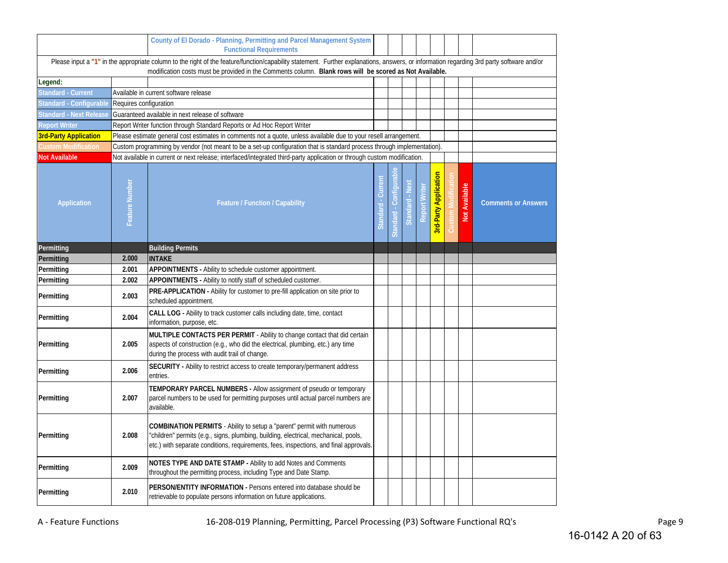|                                                                                                                                                                                                                                                                                                      |                        | County of El Dorado - Planning, Permitting and Parcel Management System<br><b>Functional Requirements</b>                                                                                                                                              |  |                       |                 |        |                              |  |                      |                            |
|------------------------------------------------------------------------------------------------------------------------------------------------------------------------------------------------------------------------------------------------------------------------------------------------------|------------------------|--------------------------------------------------------------------------------------------------------------------------------------------------------------------------------------------------------------------------------------------------------|--|-----------------------|-----------------|--------|------------------------------|--|----------------------|----------------------------|
| Please input a "1" in the appropriate column to the right of the feature/function/capability statement. Further explanations, answers, or information regarding 3rd party software and/or<br>modification costs must be provided in the Comments column. Blank rows will be scored as Not Available. |                        |                                                                                                                                                                                                                                                        |  |                       |                 |        |                              |  |                      |                            |
| Legend:                                                                                                                                                                                                                                                                                              |                        |                                                                                                                                                                                                                                                        |  |                       |                 |        |                              |  |                      |                            |
| <b>Standard - Current</b>                                                                                                                                                                                                                                                                            |                        | Available in current software release                                                                                                                                                                                                                  |  |                       |                 |        |                              |  |                      |                            |
| Standard - Configurable                                                                                                                                                                                                                                                                              | Requires configuration |                                                                                                                                                                                                                                                        |  |                       |                 |        |                              |  |                      |                            |
| Standard - Next Release                                                                                                                                                                                                                                                                              |                        | Guaranteed available in next release of software                                                                                                                                                                                                       |  |                       |                 |        |                              |  |                      |                            |
| <b>Report Writer</b>                                                                                                                                                                                                                                                                                 |                        | Report Writer function through Standard Reports or Ad Hoc Report Writer                                                                                                                                                                                |  |                       |                 |        |                              |  |                      |                            |
| <b>3rd-Party Application</b>                                                                                                                                                                                                                                                                         |                        | Please estimate general cost estimates in comments not a quote, unless available due to your resell arrangement.                                                                                                                                       |  |                       |                 |        |                              |  |                      |                            |
| <b>Custom Modification</b>                                                                                                                                                                                                                                                                           |                        | Custom programming by vendor (not meant to be a set-up configuration that is standard process through implementation)                                                                                                                                  |  |                       |                 |        |                              |  |                      |                            |
| <b>Not Available</b>                                                                                                                                                                                                                                                                                 |                        | Not available in current or next release; interfaced/integrated third-party application or through custom modification.                                                                                                                                |  |                       |                 |        |                              |  |                      |                            |
| Application                                                                                                                                                                                                                                                                                          | Feature Number         | <b>Feature / Function / Capability</b>                                                                                                                                                                                                                 |  | Configura<br>Standard | Standard - Next | Writer | <b>3rd-Party Application</b> |  | <b>Not Available</b> | <b>Comments or Answers</b> |
| Permitting                                                                                                                                                                                                                                                                                           |                        | <b>Building Permits</b>                                                                                                                                                                                                                                |  |                       |                 |        |                              |  |                      |                            |
| Permitting                                                                                                                                                                                                                                                                                           | 2.000                  | <b>INTAKE</b>                                                                                                                                                                                                                                          |  |                       |                 |        |                              |  |                      |                            |
| Permitting                                                                                                                                                                                                                                                                                           | 2.001                  | APPOINTMENTS - Ability to schedule customer appointment.                                                                                                                                                                                               |  |                       |                 |        |                              |  |                      |                            |
| Permitting                                                                                                                                                                                                                                                                                           | 2.002                  | APPOINTMENTS - Ability to notify staff of scheduled customer.                                                                                                                                                                                          |  |                       |                 |        |                              |  |                      |                            |
| Permitting                                                                                                                                                                                                                                                                                           | 2.003                  | PRE-APPLICATION - Ability for customer to pre-fill application on site prior to<br>scheduled appointment.                                                                                                                                              |  |                       |                 |        |                              |  |                      |                            |
| Permitting                                                                                                                                                                                                                                                                                           | 2.004                  | CALL LOG - Ability to track customer calls including date, time, contact<br>information, purpose, etc.                                                                                                                                                 |  |                       |                 |        |                              |  |                      |                            |
| Permitting                                                                                                                                                                                                                                                                                           | 2.005                  | MULTIPLE CONTACTS PER PERMIT - Ability to change contact that did certain<br>aspects of construction (e.g., who did the electrical, plumbing, etc.) any time<br>during the process with audit trail of change.                                         |  |                       |                 |        |                              |  |                      |                            |
| Permitting                                                                                                                                                                                                                                                                                           | 2.006                  | <b>SECURITY</b> - Ability to restrict access to create temporary/permanent address<br>entries.                                                                                                                                                         |  |                       |                 |        |                              |  |                      |                            |
| Permitting                                                                                                                                                                                                                                                                                           | 2.007                  | TEMPORARY PARCEL NUMBERS - Allow assignment of pseudo or temporary<br>parcel numbers to be used for permitting purposes until actual parcel numbers are<br>available.                                                                                  |  |                       |                 |        |                              |  |                      |                            |
| Permitting                                                                                                                                                                                                                                                                                           | 2.008                  | COMBINATION PERMITS - Ability to setup a "parent" permit with numerous<br>"children" permits (e.g., signs, plumbing, building, electrical, mechanical, pools,<br>etc.) with separate conditions, requirements, fees, inspections, and final approvals. |  |                       |                 |        |                              |  |                      |                            |
| Permitting                                                                                                                                                                                                                                                                                           | 2.009                  | NOTES TYPE AND DATE STAMP - Ability to add Notes and Comments<br>throughout the permitting process, including Type and Date Stamp.                                                                                                                     |  |                       |                 |        |                              |  |                      |                            |
| Permitting                                                                                                                                                                                                                                                                                           | 2.010                  | <b>PERSON/ENTITY INFORMATION - Persons entered into database should be</b><br>retrievable to populate persons information on future applications.                                                                                                      |  |                       |                 |        |                              |  |                      |                            |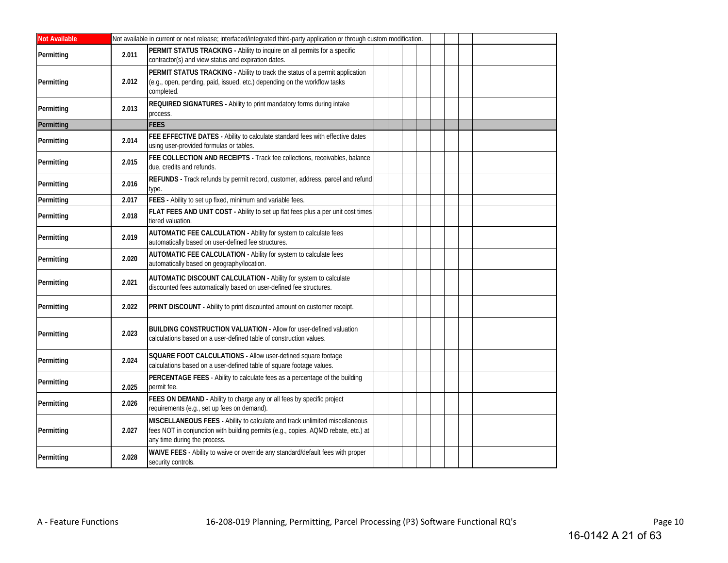| <b>Not Available</b> |       | Not available in current or next release; interfaced/integrated third-party application or through custom modification.                                                                           |  |  |  |  |
|----------------------|-------|---------------------------------------------------------------------------------------------------------------------------------------------------------------------------------------------------|--|--|--|--|
| Permitting           | 2.011 | PERMIT STATUS TRACKING - Ability to inquire on all permits for a specific<br>contractor(s) and view status and expiration dates.                                                                  |  |  |  |  |
| Permitting           | 2.012 | PERMIT STATUS TRACKING - Ability to track the status of a permit application<br>(e.g., open, pending, paid, issued, etc.) depending on the workflow tasks<br>completed.                           |  |  |  |  |
| Permitting           | 2.013 | REQUIRED SIGNATURES - Ability to print mandatory forms during intake<br>process.                                                                                                                  |  |  |  |  |
| Permitting           |       | <b>FEES</b>                                                                                                                                                                                       |  |  |  |  |
| Permitting           | 2.014 | FEE EFFECTIVE DATES - Ability to calculate standard fees with effective dates<br>using user-provided formulas or tables.                                                                          |  |  |  |  |
| Permitting           | 2.015 | FEE COLLECTION AND RECEIPTS - Track fee collections, receivables, balance<br>due, credits and refunds.                                                                                            |  |  |  |  |
| Permitting           | 2.016 | REFUNDS - Track refunds by permit record, customer, address, parcel and refund<br>type.                                                                                                           |  |  |  |  |
| Permitting           | 2.017 | FEES - Ability to set up fixed, minimum and variable fees.                                                                                                                                        |  |  |  |  |
| Permitting           | 2.018 | FLAT FEES AND UNIT COST - Ability to set up flat fees plus a per unit cost times<br>tiered valuation.                                                                                             |  |  |  |  |
| Permitting           | 2.019 | AUTOMATIC FEE CALCULATION - Ability for system to calculate fees<br>automatically based on user-defined fee structures.                                                                           |  |  |  |  |
| Permitting           | 2.020 | AUTOMATIC FEE CALCULATION - Ability for system to calculate fees<br>automatically based on geography/location.                                                                                    |  |  |  |  |
| Permitting           | 2.021 | AUTOMATIC DISCOUNT CALCULATION - Ability for system to calculate<br>discounted fees automatically based on user-defined fee structures.                                                           |  |  |  |  |
| Permitting           | 2.022 | PRINT DISCOUNT - Ability to print discounted amount on customer receipt.                                                                                                                          |  |  |  |  |
| Permitting           | 2.023 | <b>BUILDING CONSTRUCTION VALUATION - Allow for user-defined valuation</b><br>calculations based on a user-defined table of construction values.                                                   |  |  |  |  |
| Permitting           | 2.024 | SQUARE FOOT CALCULATIONS - Allow user-defined square footage<br>calculations based on a user-defined table of square footage values.                                                              |  |  |  |  |
| Permitting           | 2.025 | PERCENTAGE FEES - Ability to calculate fees as a percentage of the building<br>permit fee.                                                                                                        |  |  |  |  |
| Permitting           | 2.026 | FEES ON DEMAND - Ability to charge any or all fees by specific project<br>requirements (e.g., set up fees on demand).                                                                             |  |  |  |  |
| Permitting           | 2.027 | MISCELLANEOUS FEES - Ability to calculate and track unlimited miscellaneous<br>fees NOT in conjunction with building permits (e.g., copies, AQMD rebate, etc.) at<br>any time during the process. |  |  |  |  |
| Permitting           | 2.028 | WAIVE FEES - Ability to waive or override any standard/default fees with proper<br>security controls.                                                                                             |  |  |  |  |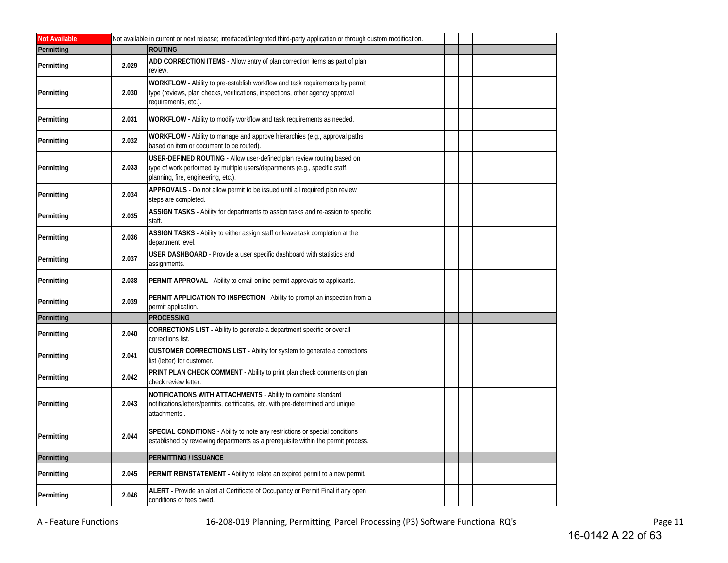| <b>Not Available</b> |       | Not available in current or next release; interfaced/integrated third-party application or through custom modification.                                                                      |
|----------------------|-------|----------------------------------------------------------------------------------------------------------------------------------------------------------------------------------------------|
| Permitting           |       | <b>ROUTING</b>                                                                                                                                                                               |
| Permitting           | 2.029 | ADD CORRECTION ITEMS - Allow entry of plan correction items as part of plan<br>review.                                                                                                       |
| Permitting           | 2.030 | WORKFLOW - Ability to pre-establish workflow and task requirements by permit<br>type (reviews, plan checks, verifications, inspections, other agency approval<br>equirements, etc.).         |
| Permitting           | 2.031 | WORKFLOW - Ability to modify workflow and task requirements as needed.                                                                                                                       |
| Permitting           | 2.032 | WORKFLOW - Ability to manage and approve hierarchies (e.g., approval paths<br>based on item or document to be routed).                                                                       |
| Permitting           | 2.033 | USER-DEFINED ROUTING - Allow user-defined plan review routing based on<br>type of work performed by multiple users/departments (e.g., specific staff,<br>planning, fire, engineering, etc.). |
| Permitting           | 2.034 | APPROVALS - Do not allow permit to be issued until all required plan review<br>steps are completed.                                                                                          |
| Permitting           | 2.035 | ASSIGN TASKS - Ability for departments to assign tasks and re-assign to specific<br>staff.                                                                                                   |
| Permitting           | 2.036 | ASSIGN TASKS - Ability to either assign staff or leave task completion at the<br>department level.                                                                                           |
| Permitting           | 2.037 | USER DASHBOARD - Provide a user specific dashboard with statistics and<br>assignments.                                                                                                       |
| Permitting           | 2.038 | PERMIT APPROVAL - Ability to email online permit approvals to applicants.                                                                                                                    |
| Permitting           | 2.039 | PERMIT APPLICATION TO INSPECTION - Ability to prompt an inspection from a<br>permit application.                                                                                             |
| Permitting           |       | <b>PROCESSING</b>                                                                                                                                                                            |
| Permitting           | 2.040 | CORRECTIONS LIST - Ability to generate a department specific or overall<br>corrections list.                                                                                                 |
| Permitting           | 2.041 | CUSTOMER CORRECTIONS LIST - Ability for system to generate a corrections<br>list (letter) for customer.                                                                                      |
| Permitting           | 2.042 | PRINT PLAN CHECK COMMENT - Ability to print plan check comments on plan<br>check review letter.                                                                                              |
| Permitting           | 2.043 | NOTIFICATIONS WITH ATTACHMENTS - Ability to combine standard<br>notifications/letters/permits, certificates, etc. with pre-determined and unique<br>attachments.                             |
| Permitting           | 2.044 | SPECIAL CONDITIONS - Ability to note any restrictions or special conditions<br>established by reviewing departments as a prerequisite within the permit process.                             |
| Permitting           |       | <b>PERMITTING / ISSUANCE</b>                                                                                                                                                                 |
| Permitting           | 2.045 | PERMIT REINSTATEMENT - Ability to relate an expired permit to a new permit.                                                                                                                  |
| Permitting           | 2.046 | ALERT - Provide an alert at Certificate of Occupancy or Permit Final if any open<br>conditions or fees owed.                                                                                 |

A - Feature Functions **16-208-019 Planning, Permitting, Parcel Processing (P3) Software Functional RQ's** Page 11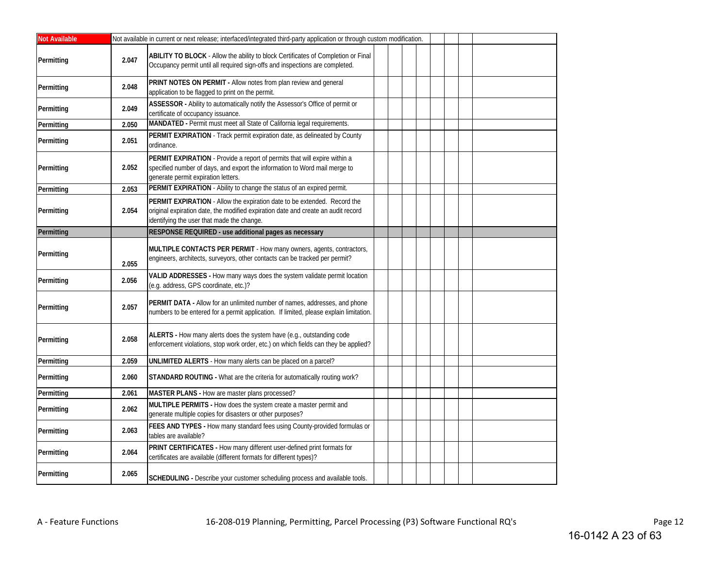| <b>Not Available</b> |       | Not available in current or next release; interfaced/integrated third-party application or through custom modification.                                                                                            |  |  |  |  |
|----------------------|-------|--------------------------------------------------------------------------------------------------------------------------------------------------------------------------------------------------------------------|--|--|--|--|
| Permitting           | 2.047 | ABILITY TO BLOCK - Allow the ability to block Certificates of Completion or Final<br>Occupancy permit until all required sign-offs and inspections are completed.                                                  |  |  |  |  |
| Permitting           | 2.048 | PRINT NOTES ON PERMIT - Allow notes from plan review and general<br>application to be flagged to print on the permit.                                                                                              |  |  |  |  |
| Permitting           | 2.049 | ASSESSOR - Ability to automatically notify the Assessor's Office of permit or<br>certificate of occupancy issuance.                                                                                                |  |  |  |  |
| Permitting           | 2.050 | MANDATED - Permit must meet all State of California legal requirements.                                                                                                                                            |  |  |  |  |
| Permitting           | 2.051 | PERMIT EXPIRATION - Track permit expiration date, as delineated by County<br>ordinance.                                                                                                                            |  |  |  |  |
| Permitting           | 2.052 | PERMIT EXPIRATION - Provide a report of permits that will expire within a<br>specified number of days, and export the information to Word mail merge to<br>generate permit expiration letters.                     |  |  |  |  |
| Permitting           | 2.053 | PERMIT EXPIRATION - Ability to change the status of an expired permit.                                                                                                                                             |  |  |  |  |
| Permitting           | 2.054 | <b>PERMIT EXPIRATION</b> - Allow the expiration date to be extended. Record the<br>original expiration date, the modified expiration date and create an audit record<br>identifying the user that made the change. |  |  |  |  |
| Permitting           |       | RESPONSE REQUIRED - use additional pages as necessary                                                                                                                                                              |  |  |  |  |
| Permitting           | 2.055 | MULTIPLE CONTACTS PER PERMIT - How many owners, agents, contractors,<br>engineers, architects, surveyors, other contacts can be tracked per permit?                                                                |  |  |  |  |
| Permitting           | 2.056 | VALID ADDRESSES - How many ways does the system validate permit location<br>(e.g. address, GPS coordinate, etc.)?                                                                                                  |  |  |  |  |
| Permitting           | 2.057 | PERMIT DATA - Allow for an unlimited number of names, addresses, and phone<br>numbers to be entered for a permit application. If limited, please explain limitation.                                               |  |  |  |  |
| Permitting           | 2.058 | ALERTS - How many alerts does the system have (e.g., outstanding code<br>enforcement violations, stop work order, etc.) on which fields can they be applied?                                                       |  |  |  |  |
| Permitting           | 2.059 | UNLIMITED ALERTS - How many alerts can be placed on a parcel?                                                                                                                                                      |  |  |  |  |
| Permitting           | 2.060 | STANDARD ROUTING - What are the criteria for automatically routing work?                                                                                                                                           |  |  |  |  |
| Permitting           | 2.061 | MASTER PLANS - How are master plans processed?                                                                                                                                                                     |  |  |  |  |
| Permitting           | 2.062 | MULTIPLE PERMITS - How does the system create a master permit and<br>generate multiple copies for disasters or other purposes?                                                                                     |  |  |  |  |
| Permitting           | 2.063 | FEES AND TYPES - How many standard fees using County-provided formulas or<br>tables are available?                                                                                                                 |  |  |  |  |
| Permitting           | 2.064 | PRINT CERTIFICATES - How many different user-defined print formats for<br>certificates are available (different formats for different types)?                                                                      |  |  |  |  |
| Permitting           | 2.065 | SCHEDULING - Describe your customer scheduling process and available tools.                                                                                                                                        |  |  |  |  |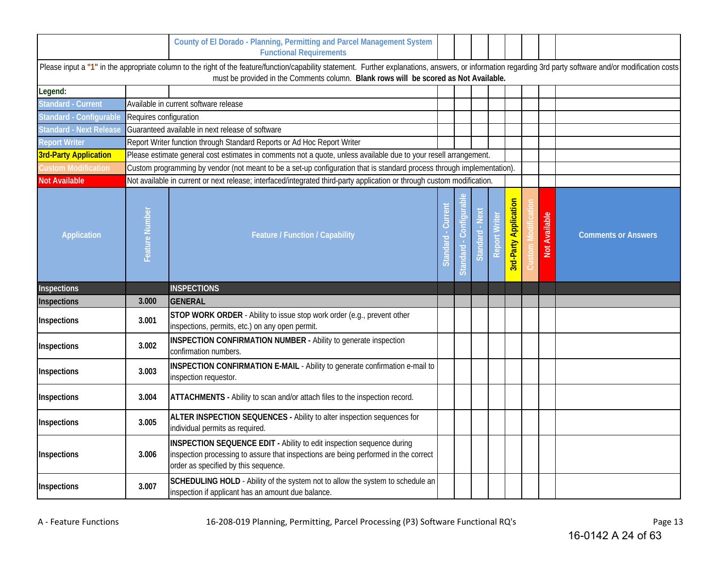|                                |                        | County of El Dorado - Planning, Permitting and Parcel Management System<br><b>Functional Requirements</b>                                                                                                                                                                                            |              |          |                        |        |                              |               |                            |
|--------------------------------|------------------------|------------------------------------------------------------------------------------------------------------------------------------------------------------------------------------------------------------------------------------------------------------------------------------------------------|--------------|----------|------------------------|--------|------------------------------|---------------|----------------------------|
|                                |                        | Please input a "1" in the appropriate column to the right of the feature/function/capability statement. Further explanations, answers, or information regarding 3rd party software and/or modification costs<br>must be provided in the Comments column. Blank rows will be scored as Not Available. |              |          |                        |        |                              |               |                            |
| Legend:                        |                        |                                                                                                                                                                                                                                                                                                      |              |          |                        |        |                              |               |                            |
| <b>Standard - Current</b>      |                        | Available in current software release                                                                                                                                                                                                                                                                |              |          |                        |        |                              |               |                            |
| Standard - Configurable        | Requires configuration |                                                                                                                                                                                                                                                                                                      |              |          |                        |        |                              |               |                            |
| <b>Standard - Next Release</b> |                        | Guaranteed available in next release of software                                                                                                                                                                                                                                                     |              |          |                        |        |                              |               |                            |
| <b>Report Writer</b>           |                        | Report Writer function through Standard Reports or Ad Hoc Report Writer                                                                                                                                                                                                                              |              |          |                        |        |                              |               |                            |
| <b>3rd-Party Application</b>   |                        | Please estimate general cost estimates in comments not a quote, unless available due to your resell arrangement.                                                                                                                                                                                     |              |          |                        |        |                              |               |                            |
| <b>Custom Modification</b>     |                        | Custom programming by vendor (not meant to be a set-up configuration that is standard process through implementation).                                                                                                                                                                               |              |          |                        |        |                              |               |                            |
| <b>Not Available</b>           |                        | Not available in current or next release; interfaced/integrated third-party application or through custom modification.                                                                                                                                                                              |              |          |                        |        |                              |               |                            |
| <b>Application</b>             | Feature Number         | <b>Feature / Function / Capability</b>                                                                                                                                                                                                                                                               | <b>Stand</b> | Standard | <b>New</b><br>Standard | Report | <b>3rd-Party Application</b> | Not Available | <b>Comments or Answers</b> |
| Inspections                    |                        | <b>INSPECTIONS</b>                                                                                                                                                                                                                                                                                   |              |          |                        |        |                              |               |                            |
| Inspections                    | 3.000                  | <b>GENERAL</b>                                                                                                                                                                                                                                                                                       |              |          |                        |        |                              |               |                            |
| Inspections                    | 3.001                  | STOP WORK ORDER - Ability to issue stop work order (e.g., prevent other<br>inspections, permits, etc.) on any open permit.                                                                                                                                                                           |              |          |                        |        |                              |               |                            |
| Inspections                    | 3.002                  | <b>INSPECTION CONFIRMATION NUMBER - Ability to generate inspection</b><br>confirmation numbers.                                                                                                                                                                                                      |              |          |                        |        |                              |               |                            |
| Inspections                    | 3.003                  | INSPECTION CONFIRMATION E-MAIL - Ability to generate confirmation e-mail to<br>inspection requestor.                                                                                                                                                                                                 |              |          |                        |        |                              |               |                            |
| Inspections                    | 3.004                  | ATTACHMENTS - Ability to scan and/or attach files to the inspection record.                                                                                                                                                                                                                          |              |          |                        |        |                              |               |                            |
| Inspections                    | 3.005                  | ALTER INSPECTION SEQUENCES - Ability to alter inspection sequences for<br>individual permits as required.                                                                                                                                                                                            |              |          |                        |        |                              |               |                            |
| Inspections                    | 3.006                  | INSPECTION SEQUENCE EDIT - Ability to edit inspection sequence during<br>inspection processing to assure that inspections are being performed in the correct<br>order as specified by this sequence.                                                                                                 |              |          |                        |        |                              |               |                            |
| Inspections                    | 3.007                  | SCHEDULING HOLD - Ability of the system not to allow the system to schedule an<br>inspection if applicant has an amount due balance.                                                                                                                                                                 |              |          |                        |        |                              |               |                            |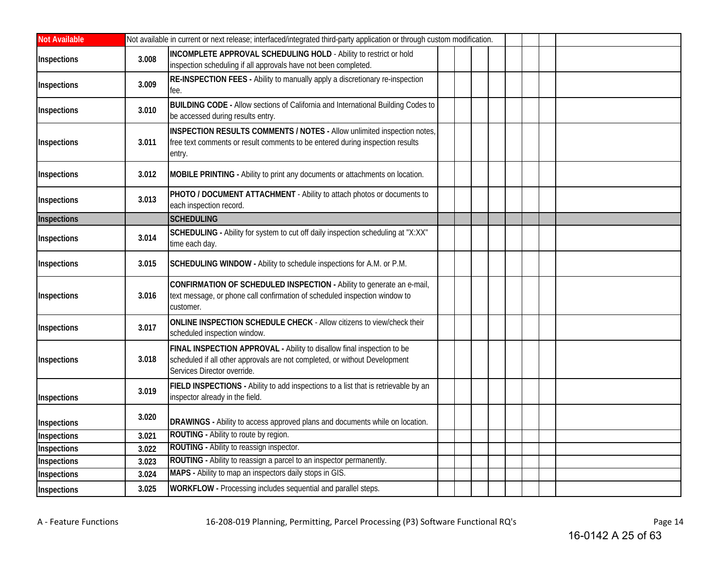| <b>Not Available</b> |       | Not available in current or next release; interfaced/integrated third-party application or through custom modification.                                                             |  |  |
|----------------------|-------|-------------------------------------------------------------------------------------------------------------------------------------------------------------------------------------|--|--|
| Inspections          | 3.008 | <b>INCOMPLETE APPROVAL SCHEDULING HOLD - Ability to restrict or hold</b><br>inspection scheduling if all approvals have not been completed.                                         |  |  |
| Inspections          | 3.009 | RE-INSPECTION FEES - Ability to manually apply a discretionary re-inspection<br>fee.                                                                                                |  |  |
| Inspections          | 3.010 | <b>BUILDING CODE - Allow sections of California and International Building Codes to</b><br>be accessed during results entry.                                                        |  |  |
| Inspections          | 3.011 | INSPECTION RESULTS COMMENTS / NOTES - Allow unlimited inspection notes,<br>free text comments or result comments to be entered during inspection results<br>entry.                  |  |  |
| Inspections          | 3.012 | MOBILE PRINTING - Ability to print any documents or attachments on location.                                                                                                        |  |  |
| Inspections          | 3.013 | PHOTO / DOCUMENT ATTACHMENT - Ability to attach photos or documents to<br>each inspection record.                                                                                   |  |  |
| Inspections          |       | <b>SCHEDULING</b>                                                                                                                                                                   |  |  |
| Inspections          | 3.014 | SCHEDULING - Ability for system to cut off daily inspection scheduling at "X:XX"<br>time each day.                                                                                  |  |  |
| Inspections          | 3.015 | SCHEDULING WINDOW - Ability to schedule inspections for A.M. or P.M.                                                                                                                |  |  |
| Inspections          | 3.016 | CONFIRMATION OF SCHEDULED INSPECTION - Ability to generate an e-mail,<br>text message, or phone call confirmation of scheduled inspection window to<br>customer.                    |  |  |
| Inspections          | 3.017 | ONLINE INSPECTION SCHEDULE CHECK - Allow citizens to view/check their<br>scheduled inspection window.                                                                               |  |  |
| Inspections          | 3.018 | FINAL INSPECTION APPROVAL - Ability to disallow final inspection to be<br>scheduled if all other approvals are not completed, or without Development<br>Services Director override. |  |  |
| Inspections          | 3.019 | FIELD INSPECTIONS - Ability to add inspections to a list that is retrievable by an<br>inspector already in the field.                                                               |  |  |
| Inspections          | 3.020 | DRAWINGS - Ability to access approved plans and documents while on location.                                                                                                        |  |  |
| Inspections          | 3.021 | ROUTING - Ability to route by region.                                                                                                                                               |  |  |
| Inspections          | 3.022 | ROUTING - Ability to reassign inspector.                                                                                                                                            |  |  |
| Inspections          | 3.023 | ROUTING - Ability to reassign a parcel to an inspector permanently.                                                                                                                 |  |  |
| Inspections          | 3.024 | MAPS - Ability to map an inspectors daily stops in GIS.                                                                                                                             |  |  |
| Inspections          | 3.025 | WORKFLOW - Processing includes sequential and parallel steps.                                                                                                                       |  |  |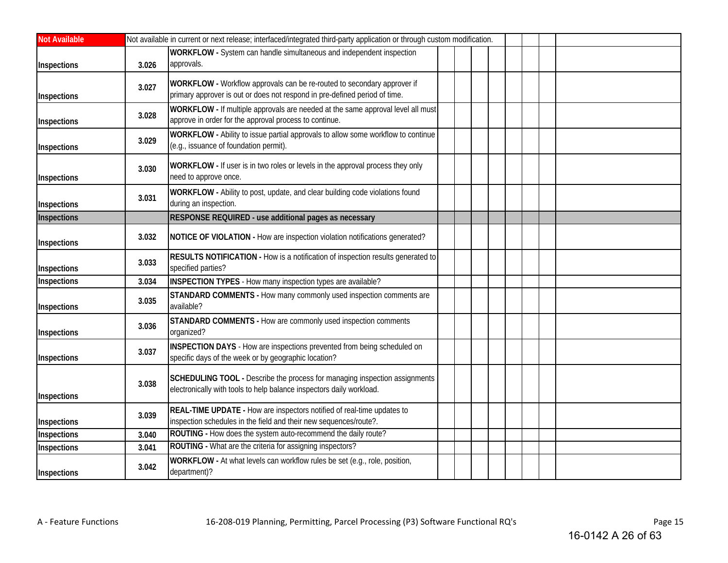| <b>Not Available</b> |       | Not available in current or next release; interfaced/integrated third-party application or through custom modification.                               |
|----------------------|-------|-------------------------------------------------------------------------------------------------------------------------------------------------------|
| Inspections          | 3.026 | WORKFLOW - System can handle simultaneous and independent inspection<br>approvals.                                                                    |
| Inspections          | 3.027 | WORKFLOW - Workflow approvals can be re-routed to secondary approver if<br>primary approver is out or does not respond in pre-defined period of time. |
| Inspections          | 3.028 | WORKFLOW - If multiple approvals are needed at the same approval level all must<br>approve in order for the approval process to continue.             |
| Inspections          | 3.029 | WORKFLOW - Ability to issue partial approvals to allow some workflow to continue<br>(e.g., issuance of foundation permit).                            |
| Inspections          | 3.030 | WORKFLOW - If user is in two roles or levels in the approval process they only<br>need to approve once.                                               |
| Inspections          | 3.031 | WORKFLOW - Ability to post, update, and clear building code violations found<br>during an inspection.                                                 |
| Inspections          |       | RESPONSE REQUIRED - use additional pages as necessary                                                                                                 |
| Inspections          | 3.032 | NOTICE OF VIOLATION - How are inspection violation notifications generated?                                                                           |
| Inspections          | 3.033 | RESULTS NOTIFICATION - How is a notification of inspection results generated to<br>specified parties?                                                 |
| Inspections          | 3.034 | INSPECTION TYPES - How many inspection types are available?                                                                                           |
| Inspections          | 3.035 | STANDARD COMMENTS - How many commonly used inspection comments are<br>available?                                                                      |
| Inspections          | 3.036 | STANDARD COMMENTS - How are commonly used inspection comments<br>organized?                                                                           |
| Inspections          | 3.037 | INSPECTION DAYS - How are inspections prevented from being scheduled on<br>specific days of the week or by geographic location?                       |
| Inspections          | 3.038 | SCHEDULING TOOL - Describe the process for managing inspection assignments<br>electronically with tools to help balance inspectors daily workload.    |
| Inspections          | 3.039 | REAL-TIME UPDATE - How are inspectors notified of real-time updates to<br>inspection schedules in the field and their new sequences/route?.           |
| Inspections          | 3.040 | ROUTING - How does the system auto-recommend the daily route?                                                                                         |
| Inspections          | 3.041 | ROUTING - What are the criteria for assigning inspectors?                                                                                             |
| Inspections          | 3.042 | WORKFLOW - At what levels can workflow rules be set (e.g., role, position,<br>department)?                                                            |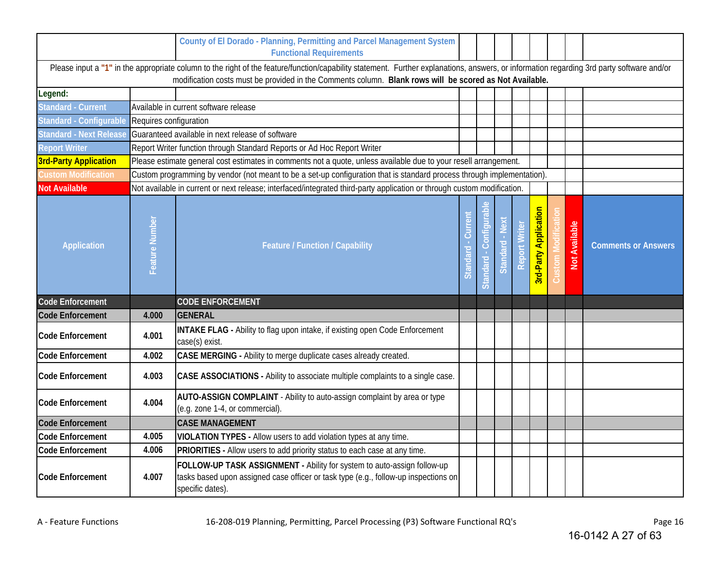|                              |                        | County of El Dorado - Planning, Permitting and Parcel Management System<br><b>Functional Requirements</b>                                                                                                                                                                                            |                      |        |                          |                     |                              |               |                            |
|------------------------------|------------------------|------------------------------------------------------------------------------------------------------------------------------------------------------------------------------------------------------------------------------------------------------------------------------------------------------|----------------------|--------|--------------------------|---------------------|------------------------------|---------------|----------------------------|
|                              |                        | Please input a "1" in the appropriate column to the right of the feature/function/capability statement. Further explanations, answers, or information regarding 3rd party software and/or<br>modification costs must be provided in the Comments column. Blank rows will be scored as Not Available. |                      |        |                          |                     |                              |               |                            |
| Legend:                      |                        |                                                                                                                                                                                                                                                                                                      |                      |        |                          |                     |                              |               |                            |
| <b>Standard - Current</b>    |                        | Available in current software release                                                                                                                                                                                                                                                                |                      |        |                          |                     |                              |               |                            |
| Standard - Configurable      | Requires configuration |                                                                                                                                                                                                                                                                                                      |                      |        |                          |                     |                              |               |                            |
| Standard - Next Release      |                        | Guaranteed available in next release of software                                                                                                                                                                                                                                                     |                      |        |                          |                     |                              |               |                            |
| <b>Report Writer</b>         |                        | Report Writer function through Standard Reports or Ad Hoc Report Writer                                                                                                                                                                                                                              |                      |        |                          |                     |                              |               |                            |
| <b>3rd-Party Application</b> |                        | Please estimate general cost estimates in comments not a quote, unless available due to your resell arrangement.                                                                                                                                                                                     |                      |        |                          |                     |                              |               |                            |
| <b>Custom Modification</b>   |                        | Custom programming by vendor (not meant to be a set-up configuration that is standard process through implementation).                                                                                                                                                                               |                      |        |                          |                     |                              |               |                            |
| <b>Not Available</b>         |                        | Not available in current or next release; interfaced/integrated third-party application or through custom modification.                                                                                                                                                                              |                      |        |                          |                     |                              |               |                            |
| <b>Application</b>           | Feature Number         | <b>Feature / Function / Capability</b>                                                                                                                                                                                                                                                               | 5<br>Sur<br>Standard | andard | $\tilde{\omega}$<br>Stan | $\overline{\omega}$ | <b>3rd-Party Application</b> | Not Available | <b>Comments or Answers</b> |
| <b>Code Enforcement</b>      |                        | <b>CODE ENFORCEMENT</b>                                                                                                                                                                                                                                                                              |                      |        |                          |                     |                              |               |                            |
| <b>Code Enforcement</b>      | 4.000                  | <b>GENERAL</b>                                                                                                                                                                                                                                                                                       |                      |        |                          |                     |                              |               |                            |
| Code Enforcement             | 4.001                  | <b>INTAKE FLAG</b> - Ability to flag upon intake, if existing open Code Enforcement<br>case(s) exist.                                                                                                                                                                                                |                      |        |                          |                     |                              |               |                            |
| Code Enforcement             | 4.002                  | CASE MERGING - Ability to merge duplicate cases already created.                                                                                                                                                                                                                                     |                      |        |                          |                     |                              |               |                            |
| <b>Code Enforcement</b>      | 4.003                  | CASE ASSOCIATIONS - Ability to associate multiple complaints to a single case.                                                                                                                                                                                                                       |                      |        |                          |                     |                              |               |                            |
| <b>Code Enforcement</b>      | 4.004                  | AUTO-ASSIGN COMPLAINT - Ability to auto-assign complaint by area or type<br>(e.g. zone 1-4, or commercial).                                                                                                                                                                                          |                      |        |                          |                     |                              |               |                            |
| <b>Code Enforcement</b>      |                        | <b>CASE MANAGEMENT</b>                                                                                                                                                                                                                                                                               |                      |        |                          |                     |                              |               |                            |
| Code Enforcement             | 4.005                  | VIOLATION TYPES - Allow users to add violation types at any time.                                                                                                                                                                                                                                    |                      |        |                          |                     |                              |               |                            |
| Code Enforcement             | 4.006                  | PRIORITIES - Allow users to add priority status to each case at any time.                                                                                                                                                                                                                            |                      |        |                          |                     |                              |               |                            |
| Code Enforcement             | 4.007                  | FOLLOW-UP TASK ASSIGNMENT - Ability for system to auto-assign follow-up<br>tasks based upon assigned case officer or task type (e.g., follow-up inspections on<br>specific dates).                                                                                                                   |                      |        |                          |                     |                              |               |                            |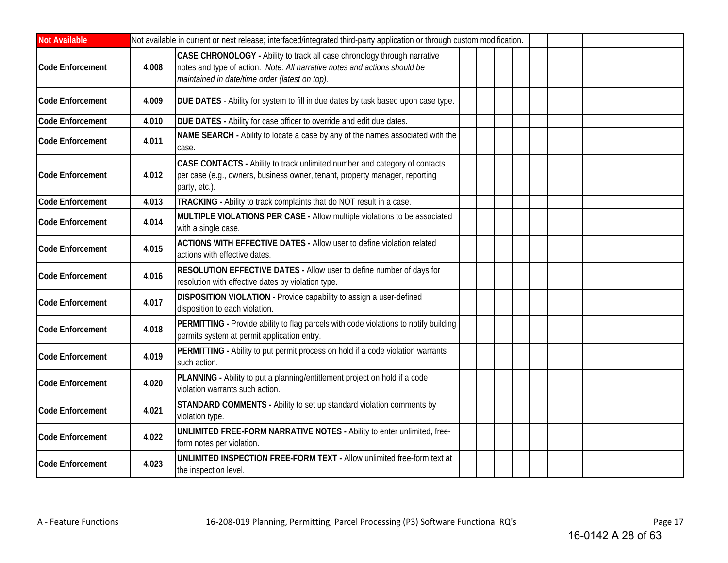| <b>Not Available</b>    |       | Not available in current or next release; interfaced/integrated third-party application or through custom modification.                                                                                 |  |  |  |  |
|-------------------------|-------|---------------------------------------------------------------------------------------------------------------------------------------------------------------------------------------------------------|--|--|--|--|
| <b>Code Enforcement</b> | 4.008 | CASE CHRONOLOGY - Ability to track all case chronology through narrative<br>notes and type of action. Note: All narrative notes and actions should be<br>maintained in date/time order (latest on top). |  |  |  |  |
| <b>Code Enforcement</b> | 4.009 | DUE DATES - Ability for system to fill in due dates by task based upon case type.                                                                                                                       |  |  |  |  |
| <b>Code Enforcement</b> | 4.010 | DUE DATES - Ability for case officer to override and edit due dates.                                                                                                                                    |  |  |  |  |
| <b>Code Enforcement</b> | 4.011 | NAME SEARCH - Ability to locate a case by any of the names associated with the<br>case.                                                                                                                 |  |  |  |  |
| <b>Code Enforcement</b> | 4.012 | CASE CONTACTS - Ability to track unlimited number and category of contacts<br>per case (e.g., owners, business owner, tenant, property manager, reporting<br>party, etc.).                              |  |  |  |  |
| <b>Code Enforcement</b> | 4.013 | TRACKING - Ability to track complaints that do NOT result in a case.                                                                                                                                    |  |  |  |  |
| <b>Code Enforcement</b> | 4.014 | MULTIPLE VIOLATIONS PER CASE - Allow multiple violations to be associated<br>with a single case.                                                                                                        |  |  |  |  |
| <b>Code Enforcement</b> | 4.015 | <b>ACTIONS WITH EFFECTIVE DATES - Allow user to define violation related</b><br>actions with effective dates.                                                                                           |  |  |  |  |
| <b>Code Enforcement</b> | 4.016 | RESOLUTION EFFECTIVE DATES - Allow user to define number of days for<br>resolution with effective dates by violation type.                                                                              |  |  |  |  |
| <b>Code Enforcement</b> | 4.017 | DISPOSITION VIOLATION - Provide capability to assign a user-defined<br>disposition to each violation.                                                                                                   |  |  |  |  |
| <b>Code Enforcement</b> | 4.018 | PERMITTING - Provide ability to flag parcels with code violations to notify building<br>permits system at permit application entry.                                                                     |  |  |  |  |
| <b>Code Enforcement</b> | 4.019 | PERMITTING - Ability to put permit process on hold if a code violation warrants<br>such action.                                                                                                         |  |  |  |  |
| <b>Code Enforcement</b> | 4.020 | PLANNING - Ability to put a planning/entitlement project on hold if a code<br>violation warrants such action.                                                                                           |  |  |  |  |
| <b>Code Enforcement</b> | 4.021 | STANDARD COMMENTS - Ability to set up standard violation comments by<br>violation type.                                                                                                                 |  |  |  |  |
| <b>Code Enforcement</b> | 4.022 | UNLIMITED FREE-FORM NARRATIVE NOTES - Ability to enter unlimited, free-<br>form notes per violation.                                                                                                    |  |  |  |  |
| <b>Code Enforcement</b> | 4.023 | UNLIMITED INSPECTION FREE-FORM TEXT - Allow unlimited free-form text at<br>the inspection level.                                                                                                        |  |  |  |  |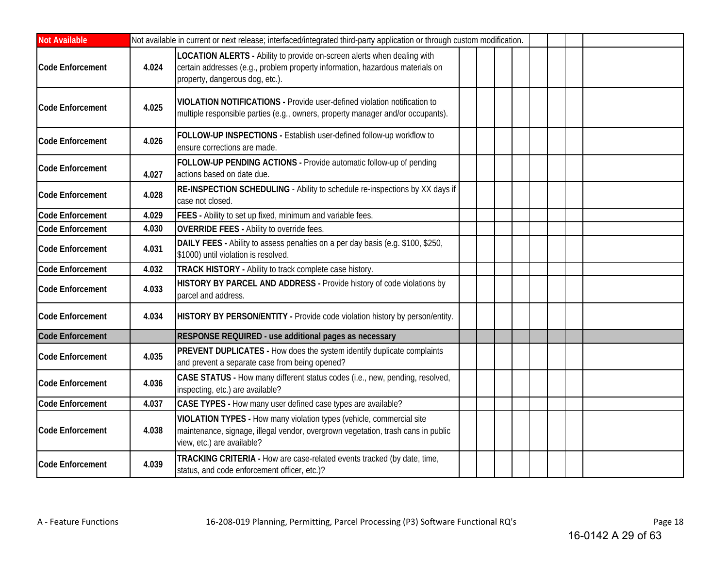| <b>Not Available</b>    |       | Not available in current or next release; interfaced/integrated third-party application or through custom modification.                                                                     |  |  |  |  |
|-------------------------|-------|---------------------------------------------------------------------------------------------------------------------------------------------------------------------------------------------|--|--|--|--|
| Code Enforcement        | 4.024 | LOCATION ALERTS - Ability to provide on-screen alerts when dealing with<br>certain addresses (e.g., problem property information, hazardous materials on<br>property, dangerous dog, etc.). |  |  |  |  |
| <b>Code Enforcement</b> | 4.025 | VIOLATION NOTIFICATIONS - Provide user-defined violation notification to<br>multiple responsible parties (e.g., owners, property manager and/or occupants).                                 |  |  |  |  |
| <b>Code Enforcement</b> | 4.026 | FOLLOW-UP INSPECTIONS - Establish user-defined follow-up workflow to<br>ensure corrections are made.                                                                                        |  |  |  |  |
| Code Enforcement        | 4.027 | FOLLOW-UP PENDING ACTIONS - Provide automatic follow-up of pending<br>actions based on date due.                                                                                            |  |  |  |  |
| Code Enforcement        | 4.028 | RE-INSPECTION SCHEDULING - Ability to schedule re-inspections by XX days if<br>case not closed.                                                                                             |  |  |  |  |
| Code Enforcement        | 4.029 | FEES - Ability to set up fixed, minimum and variable fees.                                                                                                                                  |  |  |  |  |
| <b>Code Enforcement</b> | 4.030 | <b>OVERRIDE FEES - Ability to override fees.</b>                                                                                                                                            |  |  |  |  |
| <b>Code Enforcement</b> | 4.031 | DAILY FEES - Ability to assess penalties on a per day basis (e.g. \$100, \$250,<br>\$1000) until violation is resolved.                                                                     |  |  |  |  |
| <b>Code Enforcement</b> | 4.032 | TRACK HISTORY - Ability to track complete case history.                                                                                                                                     |  |  |  |  |
| <b>Code Enforcement</b> | 4.033 | HISTORY BY PARCEL AND ADDRESS - Provide history of code violations by<br>parcel and address.                                                                                                |  |  |  |  |
| <b>Code Enforcement</b> | 4.034 | HISTORY BY PERSON/ENTITY - Provide code violation history by person/entity.                                                                                                                 |  |  |  |  |
| <b>Code Enforcement</b> |       | RESPONSE REQUIRED - use additional pages as necessary                                                                                                                                       |  |  |  |  |
| <b>Code Enforcement</b> | 4.035 | PREVENT DUPLICATES - How does the system identify duplicate complaints<br>and prevent a separate case from being opened?                                                                    |  |  |  |  |
| <b>Code Enforcement</b> | 4.036 | CASE STATUS - How many different status codes (i.e., new, pending, resolved,<br>inspecting, etc.) are available?                                                                            |  |  |  |  |
| <b>Code Enforcement</b> | 4.037 | CASE TYPES - How many user defined case types are available?                                                                                                                                |  |  |  |  |
| <b>Code Enforcement</b> | 4.038 | VIOLATION TYPES - How many violation types (vehicle, commercial site<br>maintenance, signage, illegal vendor, overgrown vegetation, trash cans in public<br>view, etc.) are available?      |  |  |  |  |
| <b>Code Enforcement</b> | 4.039 | TRACKING CRITERIA - How are case-related events tracked (by date, time,<br>status, and code enforcement officer, etc.)?                                                                     |  |  |  |  |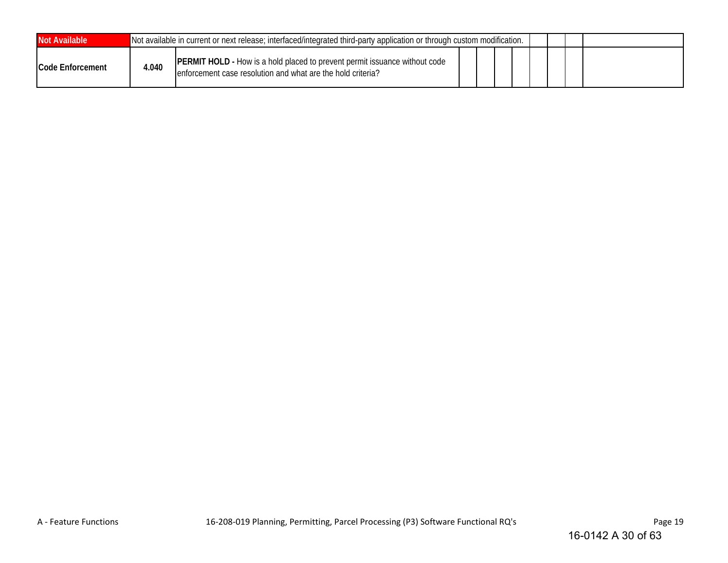| Not Available            |       | Not available in current or next release; interfaced/integrated third-party application or through custom modification.                          |  |  |  |  |  |  |  |  |
|--------------------------|-------|--------------------------------------------------------------------------------------------------------------------------------------------------|--|--|--|--|--|--|--|--|
| <b>ICode Enforcement</b> | 4.040 | <b>PERMIT HOLD - How is a hold placed to prevent permit issuance without code</b><br>enforcement case resolution and what are the hold criteria? |  |  |  |  |  |  |  |  |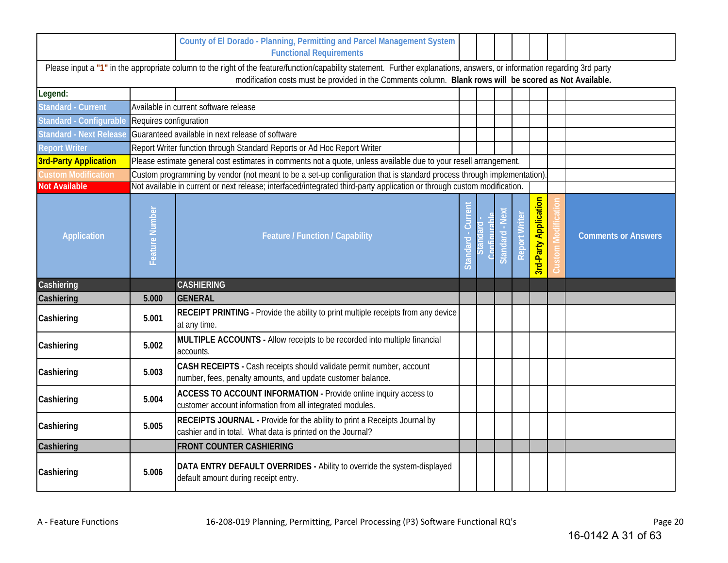|                              |                        | County of El Dorado - Planning, Permitting and Parcel Management System<br><b>Functional Requirements</b>                                                                                                                                                                            |         |         |          |             |                          |                            |
|------------------------------|------------------------|--------------------------------------------------------------------------------------------------------------------------------------------------------------------------------------------------------------------------------------------------------------------------------------|---------|---------|----------|-------------|--------------------------|----------------------------|
|                              |                        | Please input a "1" in the appropriate column to the right of the feature/function/capability statement. Further explanations, answers, or information regarding 3rd party<br>modification costs must be provided in the Comments column. Blank rows will be scored as Not Available. |         |         |          |             |                          |                            |
| Legend:                      |                        |                                                                                                                                                                                                                                                                                      |         |         |          |             |                          |                            |
| <b>Standard - Current</b>    |                        | Available in current software release                                                                                                                                                                                                                                                |         |         |          |             |                          |                            |
| Standard - Configurable      | Requires configuration |                                                                                                                                                                                                                                                                                      |         |         |          |             |                          |                            |
| Standard - Next Releas       |                        | Guaranteed available in next release of software                                                                                                                                                                                                                                     |         |         |          |             |                          |                            |
| <b>Report Writer</b>         |                        | Report Writer function through Standard Reports or Ad Hoc Report Writer                                                                                                                                                                                                              |         |         |          |             |                          |                            |
| <b>3rd-Party Application</b> |                        | Please estimate general cost estimates in comments not a quote, unless available due to your resell arrangement.                                                                                                                                                                     |         |         |          |             |                          |                            |
| <b>Custom Modification</b>   |                        | Custom programming by vendor (not meant to be a set-up configuration that is standard process through implementation)                                                                                                                                                                |         |         |          |             |                          |                            |
| <b>Not Available</b>         |                        | Not available in current or next release; interfaced/integrated third-party application or through custom modification.                                                                                                                                                              |         |         |          |             |                          |                            |
| <b>Application</b>           | Feature Number         | Feature / Function / Capability                                                                                                                                                                                                                                                      | Standar | `onfigu | Standard | 혼<br>Report | Application<br>3rd-Party | <b>Comments or Answers</b> |
| Cashiering                   |                        | <b>CASHIERING</b>                                                                                                                                                                                                                                                                    |         |         |          |             |                          |                            |
| Cashiering                   | 5.000                  | <b>GENERAL</b>                                                                                                                                                                                                                                                                       |         |         |          |             |                          |                            |
| Cashiering                   | 5.001                  | RECEIPT PRINTING - Provide the ability to print multiple receipts from any device<br>at any time.                                                                                                                                                                                    |         |         |          |             |                          |                            |
| Cashiering                   | 5.002                  | MULTIPLE ACCOUNTS - Allow receipts to be recorded into multiple financial<br>accounts.                                                                                                                                                                                               |         |         |          |             |                          |                            |
| Cashiering                   | 5.003                  | CASH RECEIPTS - Cash receipts should validate permit number, account<br>number, fees, penalty amounts, and update customer balance.                                                                                                                                                  |         |         |          |             |                          |                            |
| Cashiering                   | 5.004                  | ACCESS TO ACCOUNT INFORMATION - Provide online inquiry access to<br>customer account information from all integrated modules.                                                                                                                                                        |         |         |          |             |                          |                            |
| Cashiering                   | 5.005                  | RECEIPTS JOURNAL - Provide for the ability to print a Receipts Journal by<br>cashier and in total. What data is printed on the Journal?                                                                                                                                              |         |         |          |             |                          |                            |
| Cashiering                   |                        | <b>FRONT COUNTER CASHIERING</b>                                                                                                                                                                                                                                                      |         |         |          |             |                          |                            |
| Cashiering                   | 5.006                  | DATA ENTRY DEFAULT OVERRIDES - Ability to override the system-displayed<br>default amount during receipt entry.                                                                                                                                                                      |         |         |          |             |                          |                            |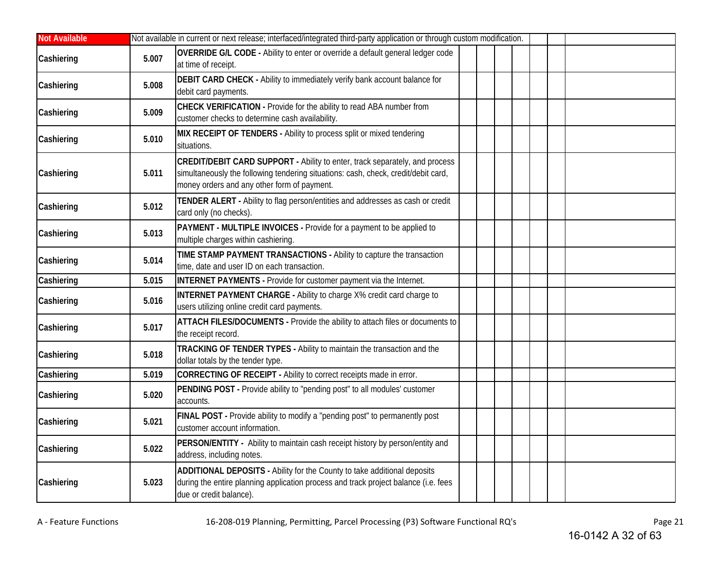| <b>Not Available</b> |       | Not available in current or next release; interfaced/integrated third-party application or through custom modification.                                                                                          |  |  |  |
|----------------------|-------|------------------------------------------------------------------------------------------------------------------------------------------------------------------------------------------------------------------|--|--|--|
| Cashiering           | 5.007 | OVERRIDE G/L CODE - Ability to enter or override a default general ledger code<br>at time of receipt.                                                                                                            |  |  |  |
| Cashiering           | 5.008 | DEBIT CARD CHECK - Ability to immediately verify bank account balance for<br>debit card payments.                                                                                                                |  |  |  |
| Cashiering           | 5.009 | CHECK VERIFICATION - Provide for the ability to read ABA number from<br>customer checks to determine cash availability.                                                                                          |  |  |  |
| Cashiering           | 5.010 | MIX RECEIPT OF TENDERS - Ability to process split or mixed tendering<br>situations.                                                                                                                              |  |  |  |
| Cashiering           | 5.011 | CREDIT/DEBIT CARD SUPPORT - Ability to enter, track separately, and process<br>simultaneously the following tendering situations: cash, check, credit/debit card,<br>money orders and any other form of payment. |  |  |  |
| Cashiering           | 5.012 | TENDER ALERT - Ability to flag person/entities and addresses as cash or credit<br>card only (no checks).                                                                                                         |  |  |  |
| Cashiering           | 5.013 | PAYMENT - MULTIPLE INVOICES - Provide for a payment to be applied to<br>multiple charges within cashiering.                                                                                                      |  |  |  |
| Cashiering           | 5.014 | TIME STAMP PAYMENT TRANSACTIONS - Ability to capture the transaction<br>time, date and user ID on each transaction.                                                                                              |  |  |  |
| Cashiering           | 5.015 | INTERNET PAYMENTS - Provide for customer payment via the Internet.                                                                                                                                               |  |  |  |
| Cashiering           | 5.016 | <b>INTERNET PAYMENT CHARGE - Ability to charge X% credit card charge to</b><br>users utilizing online credit card payments.                                                                                      |  |  |  |
| Cashiering           | 5.017 | ATTACH FILES/DOCUMENTS - Provide the ability to attach files or documents to<br>the receipt record.                                                                                                              |  |  |  |
| Cashiering           | 5.018 | TRACKING OF TENDER TYPES - Ability to maintain the transaction and the<br>dollar totals by the tender type.                                                                                                      |  |  |  |
| Cashiering           | 5.019 | CORRECTING OF RECEIPT - Ability to correct receipts made in error.                                                                                                                                               |  |  |  |
| Cashiering           | 5.020 | PENDING POST - Provide ability to "pending post" to all modules' customer<br>accounts.                                                                                                                           |  |  |  |
| Cashiering           | 5.021 | FINAL POST - Provide ability to modify a "pending post" to permanently post<br>customer account information.                                                                                                     |  |  |  |
| Cashiering           | 5.022 | PERSON/ENTITY - Ability to maintain cash receipt history by person/entity and<br>address, including notes.                                                                                                       |  |  |  |
| Cashiering           | 5.023 | ADDITIONAL DEPOSITS - Ability for the County to take additional deposits<br>during the entire planning application process and track project balance (i.e. fees<br>due or credit balance).                       |  |  |  |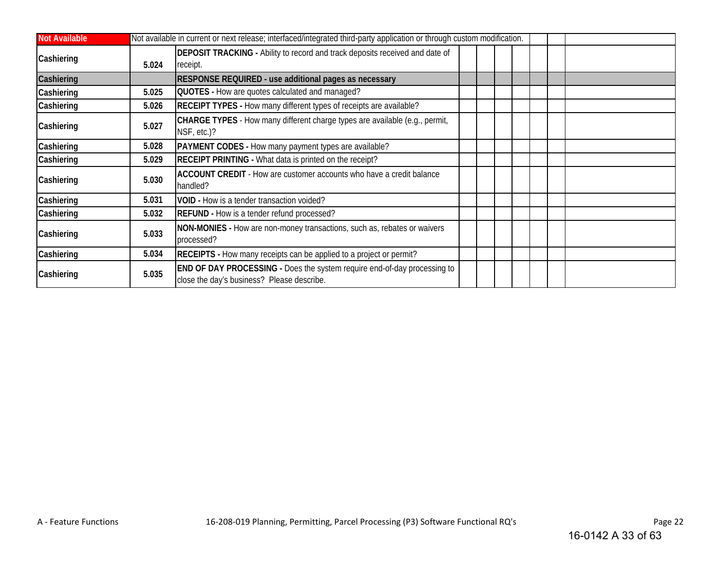| <b>Not Available</b> |       | Not available in current or next release; interfaced/integrated third-party application or through custom modification.       |  |  |  |
|----------------------|-------|-------------------------------------------------------------------------------------------------------------------------------|--|--|--|
| Cashiering           | 5.024 | <b>DEPOSIT TRACKING</b> - Ability to record and track deposits received and date of<br>receipt.                               |  |  |  |
| Cashiering           |       | RESPONSE REQUIRED - use additional pages as necessary                                                                         |  |  |  |
| Cashiering           | 5.025 | QUOTES - How are quotes calculated and managed?                                                                               |  |  |  |
| Cashiering           | 5.026 | RECEIPT TYPES - How many different types of receipts are available?                                                           |  |  |  |
| Cashiering           | 5.027 | CHARGE TYPES - How many different charge types are available (e.g., permit,<br>NSF, etc.)?                                    |  |  |  |
| Cashiering           | 5.028 | <b>PAYMENT CODES</b> - How many payment types are available?                                                                  |  |  |  |
| Cashiering           | 5.029 | <b>RECEIPT PRINTING - What data is printed on the receipt?</b>                                                                |  |  |  |
| Cashiering           | 5.030 | ACCOUNT CREDIT - How are customer accounts who have a credit balance<br>handled?                                              |  |  |  |
| Cashiering           | 5.031 | VOID - How is a tender transaction voided?                                                                                    |  |  |  |
| Cashiering           | 5.032 | <b>REFUND</b> - How is a tender refund processed?                                                                             |  |  |  |
| Cashiering           | 5.033 | NON-MONIES - How are non-money transactions, such as, rebates or waivers<br>processed?                                        |  |  |  |
| Cashiering           | 5.034 | RECEIPTS - How many receipts can be applied to a project or permit?                                                           |  |  |  |
| Cashiering           | 5.035 | <b>END OF DAY PROCESSING - Does the system require end-of-day processing to</b><br>close the day's business? Please describe. |  |  |  |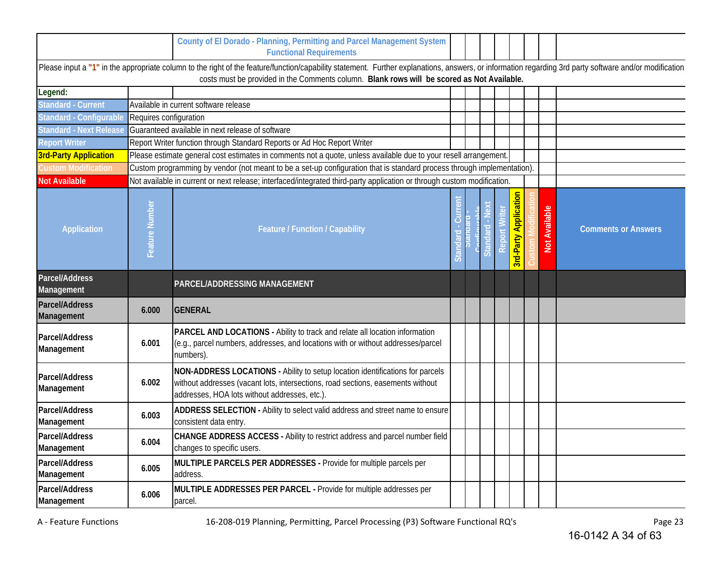|                                     |                        | County of El Dorado - Planning, Permitting and Parcel Management System<br><b>Functional Requirements</b>                                                                                                                                                                                            |       |       |                              |                           |                            |
|-------------------------------------|------------------------|------------------------------------------------------------------------------------------------------------------------------------------------------------------------------------------------------------------------------------------------------------------------------------------------------|-------|-------|------------------------------|---------------------------|----------------------------|
|                                     |                        | Please input a "1" in the appropriate column to the right of the feature/function/capability statement. Further explanations, answers, or information regarding 3rd party software and/or modification<br>costs must be provided in the Comments column. Blank rows will be scored as Not Available. |       |       |                              |                           |                            |
| Legend:                             |                        |                                                                                                                                                                                                                                                                                                      |       |       |                              |                           |                            |
| <b>Standard - Current</b>           |                        | Available in current software release                                                                                                                                                                                                                                                                |       |       |                              |                           |                            |
| Standard - Configurable             | Requires configuration |                                                                                                                                                                                                                                                                                                      |       |       |                              |                           |                            |
| <b>Standard - Next Release</b>      |                        | Guaranteed available in next release of software                                                                                                                                                                                                                                                     |       |       |                              |                           |                            |
| <b>Report Writer</b>                |                        | Report Writer function through Standard Reports or Ad Hoc Report Writer                                                                                                                                                                                                                              |       |       |                              |                           |                            |
| <b>3rd-Party Application</b>        |                        | Please estimate general cost estimates in comments not a quote, unless available due to your resell arrangement.                                                                                                                                                                                     |       |       |                              |                           |                            |
| <b>Custom Modification</b>          |                        | Custom programming by vendor (not meant to be a set-up configuration that is standard process through implementation).                                                                                                                                                                               |       |       |                              |                           |                            |
| <b>Not Available</b>                |                        | Not available in current or next release; interfaced/integrated third-party application or through custom modification.                                                                                                                                                                              |       |       |                              |                           |                            |
| <b>Application</b>                  | Feature Number         | Feature / Function / Capability                                                                                                                                                                                                                                                                      | Stand | Stand | <b>Brd-Party Application</b> | ്ധ<br><b>Not Availabl</b> | <b>Comments or Answers</b> |
| Parcel/Address<br>Management        |                        | <b>PARCEL/ADDRESSING MANAGEMENT</b>                                                                                                                                                                                                                                                                  |       |       |                              |                           |                            |
| <b>Parcel/Address</b><br>Management | 6.000                  | GENERAL                                                                                                                                                                                                                                                                                              |       |       |                              |                           |                            |
| Parcel/Address<br>Management        | 6.001                  | PARCEL AND LOCATIONS - Ability to track and relate all location information<br>(e.g., parcel numbers, addresses, and locations with or without addresses/parcel<br>numbers).                                                                                                                         |       |       |                              |                           |                            |
| Parcel/Address<br>Management        | 6.002                  | NON-ADDRESS LOCATIONS - Ability to setup location identifications for parcels<br>without addresses (vacant lots, intersections, road sections, easements without<br>addresses, HOA lots without addresses, etc.).                                                                                    |       |       |                              |                           |                            |
| Parcel/Address<br>Management        | 6.003                  | ADDRESS SELECTION - Ability to select valid address and street name to ensure<br>consistent data entry.                                                                                                                                                                                              |       |       |                              |                           |                            |
| Parcel/Address<br>Management        | 6.004                  | CHANGE ADDRESS ACCESS - Ability to restrict address and parcel number field<br>changes to specific users.                                                                                                                                                                                            |       |       |                              |                           |                            |
| Parcel/Address<br>Management        | 6.005                  | MULTIPLE PARCELS PER ADDRESSES - Provide for multiple parcels per<br>address.                                                                                                                                                                                                                        |       |       |                              |                           |                            |
| Parcel/Address<br>Management        | 6.006                  | MULTIPLE ADDRESSES PER PARCEL - Provide for multiple addresses per<br>parcel.                                                                                                                                                                                                                        |       |       |                              |                           |                            |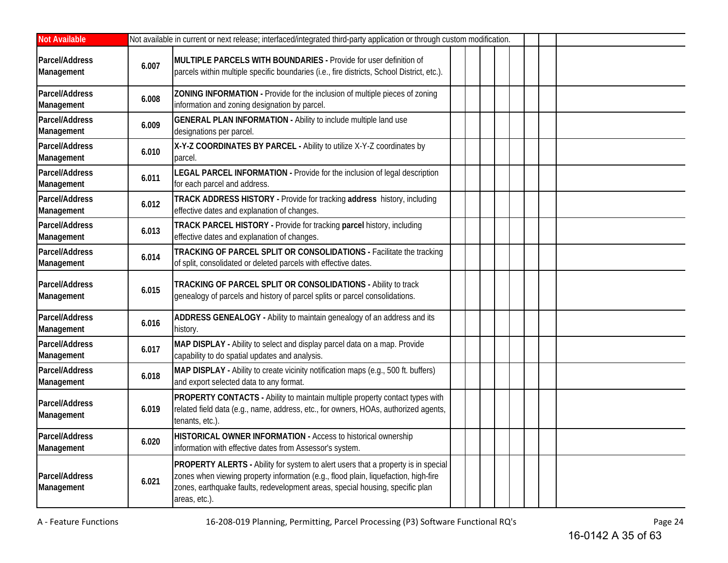| <b>Not Available</b>         |       | Not available in current or next release; interfaced/integrated third-party application or through custom modification.                                                                                                                                                           |  |  |  |  |  |  |
|------------------------------|-------|-----------------------------------------------------------------------------------------------------------------------------------------------------------------------------------------------------------------------------------------------------------------------------------|--|--|--|--|--|--|
| Parcel/Address<br>Management | 6.007 | MULTIPLE PARCELS WITH BOUNDARIES - Provide for user definition of<br>parcels within multiple specific boundaries (i.e., fire districts, School District, etc.).                                                                                                                   |  |  |  |  |  |  |
| Parcel/Address<br>Management | 6.008 | ZONING INFORMATION - Provide for the inclusion of multiple pieces of zoning<br>information and zoning designation by parcel.                                                                                                                                                      |  |  |  |  |  |  |
| Parcel/Address<br>Management | 6.009 | <b>GENERAL PLAN INFORMATION - Ability to include multiple land use</b><br>designations per parcel.                                                                                                                                                                                |  |  |  |  |  |  |
| Parcel/Address<br>Management | 6.010 | X-Y-Z COORDINATES BY PARCEL - Ability to utilize X-Y-Z coordinates by<br>parcel.                                                                                                                                                                                                  |  |  |  |  |  |  |
| Parcel/Address<br>Management | 6.011 | LEGAL PARCEL INFORMATION - Provide for the inclusion of legal description<br>for each parcel and address.                                                                                                                                                                         |  |  |  |  |  |  |
| Parcel/Address<br>Management | 6.012 | TRACK ADDRESS HISTORY - Provide for tracking address history, including<br>effective dates and explanation of changes.                                                                                                                                                            |  |  |  |  |  |  |
| Parcel/Address<br>Management | 6.013 | TRACK PARCEL HISTORY - Provide for tracking parcel history, including<br>effective dates and explanation of changes.                                                                                                                                                              |  |  |  |  |  |  |
| Parcel/Address<br>Management | 6.014 | TRACKING OF PARCEL SPLIT OR CONSOLIDATIONS - Facilitate the tracking<br>of split, consolidated or deleted parcels with effective dates.                                                                                                                                           |  |  |  |  |  |  |
| Parcel/Address<br>Management | 6.015 | TRACKING OF PARCEL SPLIT OR CONSOLIDATIONS - Ability to track<br>genealogy of parcels and history of parcel splits or parcel consolidations.                                                                                                                                      |  |  |  |  |  |  |
| Parcel/Address<br>Management | 6.016 | ADDRESS GENEALOGY - Ability to maintain genealogy of an address and its<br>history.                                                                                                                                                                                               |  |  |  |  |  |  |
| Parcel/Address<br>Management | 6.017 | MAP DISPLAY - Ability to select and display parcel data on a map. Provide<br>capability to do spatial updates and analysis.                                                                                                                                                       |  |  |  |  |  |  |
| Parcel/Address<br>Management | 6.018 | MAP DISPLAY - Ability to create vicinity notification maps (e.g., 500 ft. buffers)<br>and export selected data to any format.                                                                                                                                                     |  |  |  |  |  |  |
| Parcel/Address<br>Management | 6.019 | <b>PROPERTY CONTACTS</b> - Ability to maintain multiple property contact types with<br>related field data (e.g., name, address, etc., for owners, HOAs, authorized agents,<br>tenants, etc.).                                                                                     |  |  |  |  |  |  |
| Parcel/Address<br>Management | 6.020 | HISTORICAL OWNER INFORMATION - Access to historical ownership<br>information with effective dates from Assessor's system.                                                                                                                                                         |  |  |  |  |  |  |
| Parcel/Address<br>Management | 6.021 | <b>PROPERTY ALERTS</b> - Ability for system to alert users that a property is in special<br>zones when viewing property information (e.g., flood plain, liquefaction, high-fire<br>zones, earthquake faults, redevelopment areas, special housing, specific plan<br>areas, etc.). |  |  |  |  |  |  |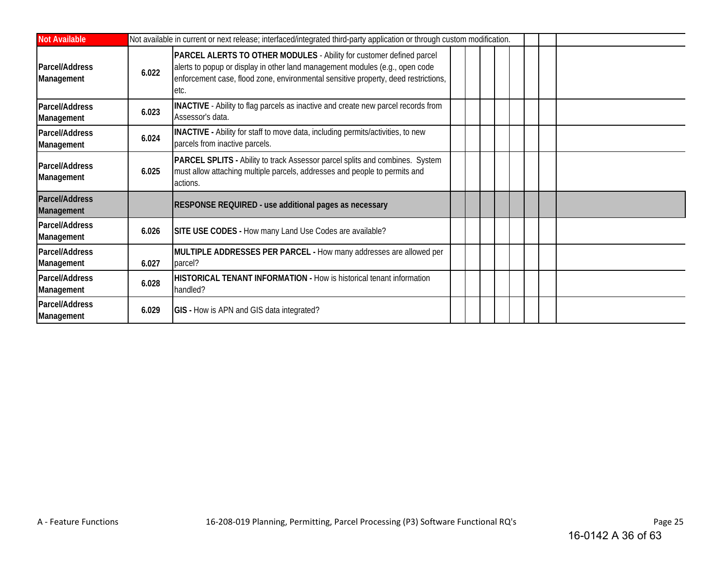| <b>Not Available</b>         |       | Not available in current or next release; interfaced/integrated third-party application or through custom modification.                                                                                                                            |
|------------------------------|-------|----------------------------------------------------------------------------------------------------------------------------------------------------------------------------------------------------------------------------------------------------|
| Parcel/Address<br>Management | 6.022 | PARCEL ALERTS TO OTHER MODULES - Ability for customer defined parcel<br>alerts to popup or display in other land management modules (e.g., open code<br>enforcement case, flood zone, environmental sensitive property, deed restrictions,<br>etc. |
| Parcel/Address<br>Management | 6.023 | INACTIVE - Ability to flag parcels as inactive and create new parcel records from<br>Assessor's data.                                                                                                                                              |
| Parcel/Address<br>Management | 6.024 | <b>INACTIVE</b> - Ability for staff to move data, including permits/activities, to new<br>parcels from inactive parcels.                                                                                                                           |
| Parcel/Address<br>Management | 6.025 | PARCEL SPLITS - Ability to track Assessor parcel splits and combines. System<br>must allow attaching multiple parcels, addresses and people to permits and<br>actions.                                                                             |
| Parcel/Address<br>Management |       | RESPONSE REQUIRED - use additional pages as necessary                                                                                                                                                                                              |
| Parcel/Address<br>Management | 6.026 | SITE USE CODES - How many Land Use Codes are available?                                                                                                                                                                                            |
| Parcel/Address<br>Management | 6.027 | MULTIPLE ADDRESSES PER PARCEL - How many addresses are allowed per<br>parcel?                                                                                                                                                                      |
| Parcel/Address<br>Management | 6.028 | <b>HISTORICAL TENANT INFORMATION - How is historical tenant information</b><br>handled?                                                                                                                                                            |
| Parcel/Address<br>Management | 6.029 | <b>GIS</b> - How is APN and GIS data integrated?                                                                                                                                                                                                   |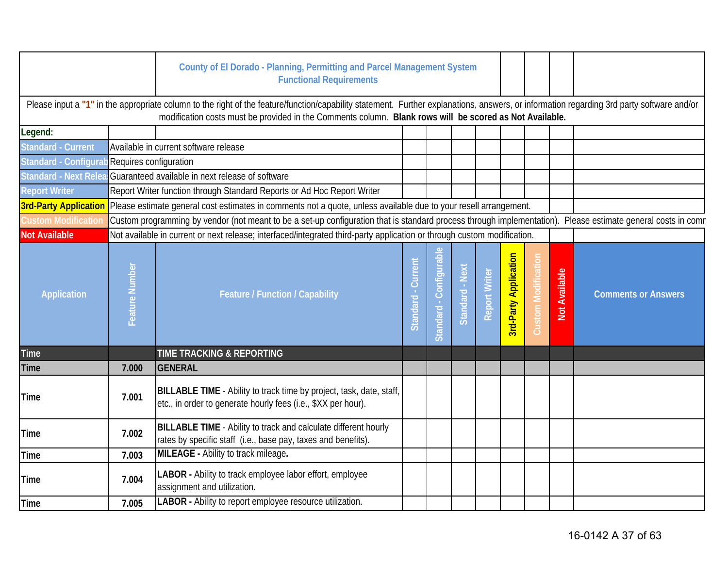|                                              |                | County of El Dorado - Planning, Permitting and Parcel Management System<br><b>Functional Requirements</b>                                                                                                                                                                                            |                       |                         |                 |               |                              |                            |                      |                            |
|----------------------------------------------|----------------|------------------------------------------------------------------------------------------------------------------------------------------------------------------------------------------------------------------------------------------------------------------------------------------------------|-----------------------|-------------------------|-----------------|---------------|------------------------------|----------------------------|----------------------|----------------------------|
|                                              |                | Please input a "1" in the appropriate column to the right of the feature/function/capability statement. Further explanations, answers, or information regarding 3rd party software and/or<br>modification costs must be provided in the Comments column. Blank rows will be scored as Not Available. |                       |                         |                 |               |                              |                            |                      |                            |
| Legend:                                      |                |                                                                                                                                                                                                                                                                                                      |                       |                         |                 |               |                              |                            |                      |                            |
| <b>Standard - Current</b>                    |                | Available in current software release                                                                                                                                                                                                                                                                |                       |                         |                 |               |                              |                            |                      |                            |
| Standard - Configurab Requires configuration |                |                                                                                                                                                                                                                                                                                                      |                       |                         |                 |               |                              |                            |                      |                            |
|                                              |                | Standard - Next Relea Guaranteed available in next release of software                                                                                                                                                                                                                               |                       |                         |                 |               |                              |                            |                      |                            |
| <b>Report Writer</b>                         |                | Report Writer function through Standard Reports or Ad Hoc Report Writer                                                                                                                                                                                                                              |                       |                         |                 |               |                              |                            |                      |                            |
|                                              |                | 3rd-Party Application Please estimate general cost estimates in comments not a quote, unless available due to your resell arrangement.                                                                                                                                                               |                       |                         |                 |               |                              |                            |                      |                            |
| <b>Custom Modification</b>                   |                | Custom programming by vendor (not meant to be a set-up configuration that is standard process through implementation). Please estimate general costs in comr                                                                                                                                         |                       |                         |                 |               |                              |                            |                      |                            |
| <b>Not Available</b>                         |                | Not available in current or next release; interfaced/integrated third-party application or through custom modification.                                                                                                                                                                              |                       |                         |                 |               |                              |                            |                      |                            |
| <b>Application</b>                           | Feature Number | <b>Feature / Function / Capability</b>                                                                                                                                                                                                                                                               | - Current<br>Standard | Standard - Configurable | Standard - Next | Report Writer | <b>3rd-Party Application</b> | <b>Custom Modification</b> | <b>Not Available</b> | <b>Comments or Answers</b> |
| <b>Time</b>                                  |                | TIME TRACKING & REPORTING                                                                                                                                                                                                                                                                            |                       |                         |                 |               |                              |                            |                      |                            |
| <b>Time</b>                                  | 7.000          | GENERAL                                                                                                                                                                                                                                                                                              |                       |                         |                 |               |                              |                            |                      |                            |
| <b>Time</b>                                  | 7.001          | BILLABLE TIME - Ability to track time by project, task, date, staff,<br>etc., in order to generate hourly fees (i.e., \$XX per hour).                                                                                                                                                                |                       |                         |                 |               |                              |                            |                      |                            |
| <b>Time</b>                                  | 7.002          | BILLABLE TIME - Ability to track and calculate different hourly<br>rates by specific staff (i.e., base pay, taxes and benefits).                                                                                                                                                                     |                       |                         |                 |               |                              |                            |                      |                            |
| <b>Time</b>                                  | 7.003          | MILEAGE - Ability to track mileage.                                                                                                                                                                                                                                                                  |                       |                         |                 |               |                              |                            |                      |                            |
| <b>Time</b>                                  | 7.004          | LABOR - Ability to track employee labor effort, employee<br>assignment and utilization.                                                                                                                                                                                                              |                       |                         |                 |               |                              |                            |                      |                            |
| Time                                         | 7.005          | LABOR - Ability to report employee resource utilization.                                                                                                                                                                                                                                             |                       |                         |                 |               |                              |                            |                      |                            |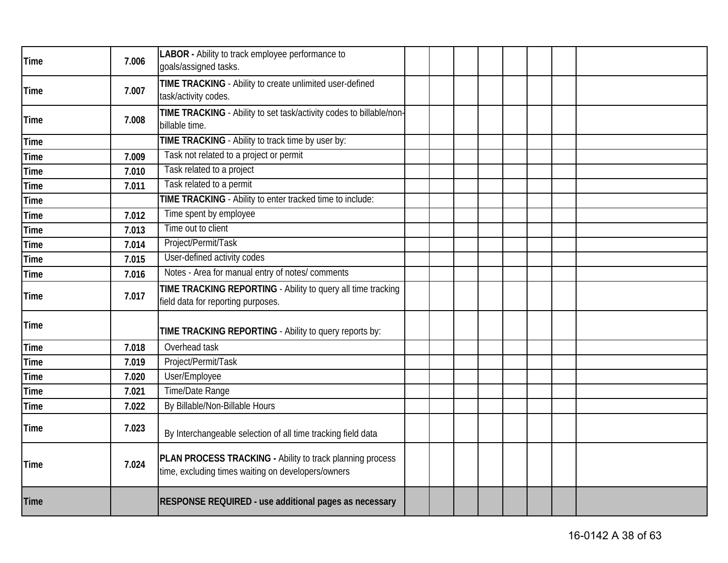| <b>Time</b> | 7.006 | LABOR - Ability to track employee performance to<br>goals/assigned tasks.                                       |  |  |  |  |
|-------------|-------|-----------------------------------------------------------------------------------------------------------------|--|--|--|--|
| <b>Time</b> | 7.007 | TIME TRACKING - Ability to create unlimited user-defined<br>task/activity codes.                                |  |  |  |  |
| <b>Time</b> | 7.008 | TIME TRACKING - Ability to set task/activity codes to billable/non-<br>billable time.                           |  |  |  |  |
| <b>Time</b> |       | TIME TRACKING - Ability to track time by user by:                                                               |  |  |  |  |
| <b>Time</b> | 7.009 | Task not related to a project or permit                                                                         |  |  |  |  |
| <b>Time</b> | 7.010 | Task related to a project                                                                                       |  |  |  |  |
| <b>Time</b> | 7.011 | Task related to a permit                                                                                        |  |  |  |  |
| <b>Time</b> |       | TIME TRACKING - Ability to enter tracked time to include:                                                       |  |  |  |  |
| <b>Time</b> | 7.012 | Time spent by employee                                                                                          |  |  |  |  |
| <b>Time</b> | 7.013 | Time out to client                                                                                              |  |  |  |  |
| <b>Time</b> | 7.014 | Project/Permit/Task                                                                                             |  |  |  |  |
| <b>Time</b> | 7.015 | User-defined activity codes                                                                                     |  |  |  |  |
| <b>Time</b> | 7.016 | Notes - Area for manual entry of notes/ comments                                                                |  |  |  |  |
| <b>Time</b> | 7.017 | TIME TRACKING REPORTING - Ability to query all time tracking<br>field data for reporting purposes.              |  |  |  |  |
| <b>Time</b> |       | TIME TRACKING REPORTING - Ability to query reports by:                                                          |  |  |  |  |
| <b>Time</b> | 7.018 | Overhead task                                                                                                   |  |  |  |  |
| <b>Time</b> | 7.019 | Project/Permit/Task                                                                                             |  |  |  |  |
| <b>Time</b> | 7.020 | User/Employee                                                                                                   |  |  |  |  |
| <b>Time</b> | 7.021 | Time/Date Range                                                                                                 |  |  |  |  |
| Time        | 7.022 | By Billable/Non-Billable Hours                                                                                  |  |  |  |  |
| <b>Time</b> | 7.023 | By Interchangeable selection of all time tracking field data                                                    |  |  |  |  |
| <b>Time</b> | 7.024 | PLAN PROCESS TRACKING - Ability to track planning process<br>time, excluding times waiting on developers/owners |  |  |  |  |
| <b>Time</b> |       | RESPONSE REQUIRED - use additional pages as necessary                                                           |  |  |  |  |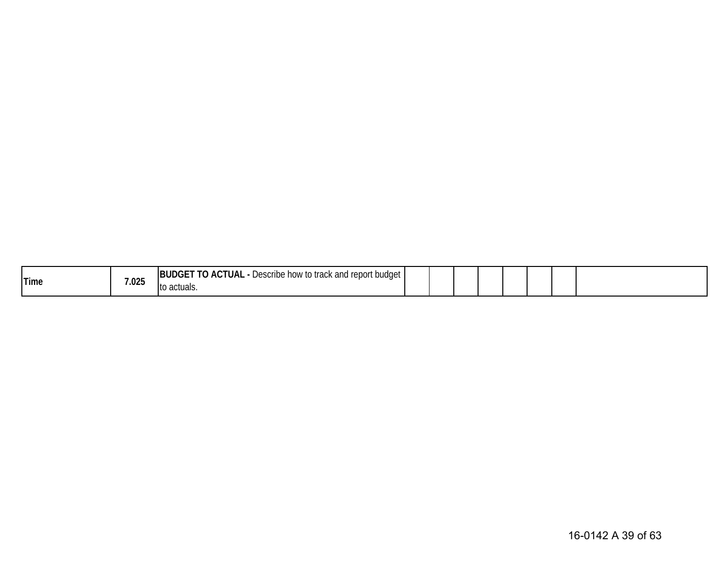| <b>Time</b> | 7.025 | <b>TO ACTUAL</b><br><br><b>BUDGE</b><br>Uescribe how to track and report budget,<br>. . |  |  |  |  |
|-------------|-------|-----------------------------------------------------------------------------------------|--|--|--|--|
|             |       | to actuals.                                                                             |  |  |  |  |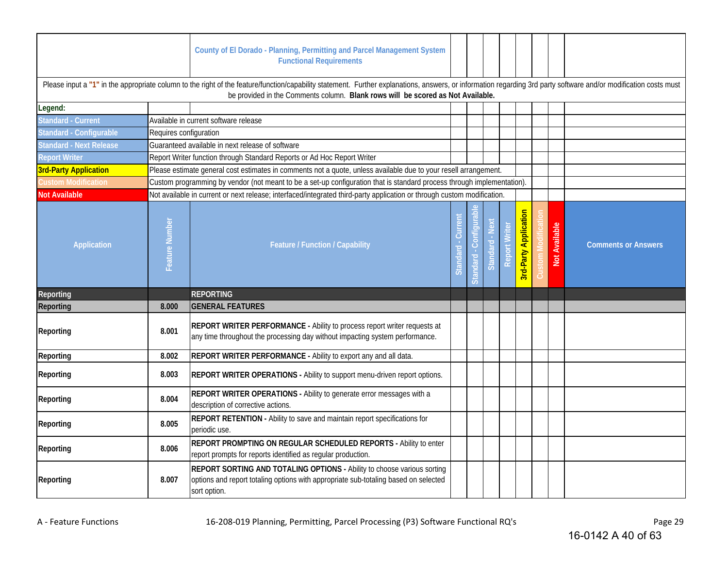|                                |                        | County of El Dorado - Planning, Permitting and Parcel Management System<br><b>Functional Requirements</b>                                                                                                                                                                                            |                    |                   |                |                      |                              |                             |                            |
|--------------------------------|------------------------|------------------------------------------------------------------------------------------------------------------------------------------------------------------------------------------------------------------------------------------------------------------------------------------------------|--------------------|-------------------|----------------|----------------------|------------------------------|-----------------------------|----------------------------|
|                                |                        | Please input a "1" in the appropriate column to the right of the feature/function/capability statement. Further explanations, answers, or information regarding 3rd party software and/or modification costs must<br>be provided in the Comments column. Blank rows will be scored as Not Available. |                    |                   |                |                      |                              |                             |                            |
| Legend:                        |                        |                                                                                                                                                                                                                                                                                                      |                    |                   |                |                      |                              |                             |                            |
| <b>Standard - Current</b>      |                        | Available in current software release                                                                                                                                                                                                                                                                |                    |                   |                |                      |                              |                             |                            |
| Standard - Configurable        | Requires configuration |                                                                                                                                                                                                                                                                                                      |                    |                   |                |                      |                              |                             |                            |
| <b>Standard - Next Release</b> |                        | Guaranteed available in next release of software                                                                                                                                                                                                                                                     |                    |                   |                |                      |                              |                             |                            |
| <b>Report Writer</b>           |                        | Report Writer function through Standard Reports or Ad Hoc Report Writer                                                                                                                                                                                                                              |                    |                   |                |                      |                              |                             |                            |
| <b>3rd-Party Application</b>   |                        | Please estimate general cost estimates in comments not a quote, unless available due to your resell arrangement.                                                                                                                                                                                     |                    |                   |                |                      |                              |                             |                            |
| Custom Modification            |                        | Custom programming by vendor (not meant to be a set-up configuration that is standard process through implementation).                                                                                                                                                                               |                    |                   |                |                      |                              |                             |                            |
| <b>Not Available</b>           |                        | Not available in current or next release; interfaced/integrated third-party application or through custom modification.                                                                                                                                                                              |                    |                   |                |                      |                              |                             |                            |
| Application                    | Feature Number         | Feature / Function / Capability                                                                                                                                                                                                                                                                      | Curren<br>Standard | Confiqu<br>andard | Standard - Nex | <b>Report Writer</b> | <b>3rd-Party Application</b> | Available<br>$\overline{a}$ | <b>Comments or Answers</b> |
| Reporting                      |                        | <b>REPORTING</b>                                                                                                                                                                                                                                                                                     |                    |                   |                |                      |                              |                             |                            |
| Reporting                      | 8.000                  | <b>GENERAL FEATURES</b>                                                                                                                                                                                                                                                                              |                    |                   |                |                      |                              |                             |                            |
| Reporting                      | 8.001                  | <b>REPORT WRITER PERFORMANCE - Ability to process report writer requests at</b><br>any time throughout the processing day without impacting system performance.                                                                                                                                      |                    |                   |                |                      |                              |                             |                            |
| Reporting                      | 8.002                  | REPORT WRITER PERFORMANCE - Ability to export any and all data.                                                                                                                                                                                                                                      |                    |                   |                |                      |                              |                             |                            |
| Reporting                      | 8.003                  | REPORT WRITER OPERATIONS - Ability to support menu-driven report options.                                                                                                                                                                                                                            |                    |                   |                |                      |                              |                             |                            |
| Reporting                      | 8.004                  | REPORT WRITER OPERATIONS - Ability to generate error messages with a<br>description of corrective actions.                                                                                                                                                                                           |                    |                   |                |                      |                              |                             |                            |
| Reporting                      | 8.005                  | <b>REPORT RETENTION</b> - Ability to save and maintain report specifications for<br>periodic use.                                                                                                                                                                                                    |                    |                   |                |                      |                              |                             |                            |
| Reporting                      | 8.006                  | REPORT PROMPTING ON REGULAR SCHEDULED REPORTS - Ability to enter<br>report prompts for reports identified as regular production.                                                                                                                                                                     |                    |                   |                |                      |                              |                             |                            |
| Reporting                      | 8.007                  | REPORT SORTING AND TOTALING OPTIONS - Ability to choose various sorting<br>options and report totaling options with appropriate sub-totaling based on selected<br>sort option.                                                                                                                       |                    |                   |                |                      |                              |                             |                            |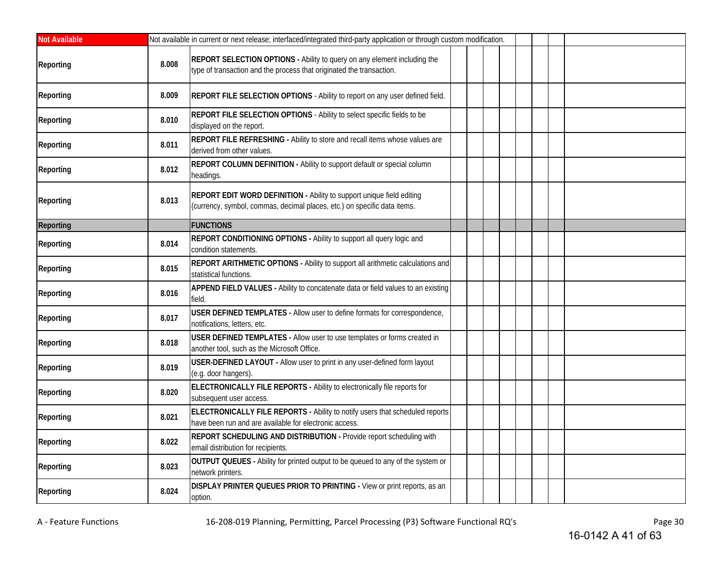| <b>Not Available</b> |       | Not available in current or next release; interfaced/integrated third-party application or through custom modification.                           |  |  |  |  |
|----------------------|-------|---------------------------------------------------------------------------------------------------------------------------------------------------|--|--|--|--|
| <b>Reporting</b>     | 8.008 | REPORT SELECTION OPTIONS - Ability to query on any element including the<br>type of transaction and the process that originated the transaction.  |  |  |  |  |
| Reporting            | 8.009 | REPORT FILE SELECTION OPTIONS - Ability to report on any user defined field.                                                                      |  |  |  |  |
| Reporting            | 8.010 | REPORT FILE SELECTION OPTIONS - Ability to select specific fields to be<br>displayed on the report.                                               |  |  |  |  |
| Reporting            | 8.011 | REPORT FILE REFRESHING - Ability to store and recall items whose values are<br>derived from other values.                                         |  |  |  |  |
| Reporting            | 8.012 | REPORT COLUMN DEFINITION - Ability to support default or special column<br>headings.                                                              |  |  |  |  |
| Reporting            | 8.013 | REPORT EDIT WORD DEFINITION - Ability to support unique field editing<br>(currency, symbol, commas, decimal places, etc.) on specific data items. |  |  |  |  |
| Reporting            |       | <b>FUNCTIONS</b>                                                                                                                                  |  |  |  |  |
| Reporting            | 8.014 | REPORT CONDITIONING OPTIONS - Ability to support all query logic and<br>condition statements.                                                     |  |  |  |  |
| Reporting            | 8.015 | REPORT ARITHMETIC OPTIONS - Ability to support all arithmetic calculations and<br>statistical functions.                                          |  |  |  |  |
| Reporting            | 8.016 | APPEND FIELD VALUES - Ability to concatenate data or field values to an existing<br>field.                                                        |  |  |  |  |
| Reporting            | 8.017 | USER DEFINED TEMPLATES - Allow user to define formats for correspondence,<br>notifications, letters, etc.                                         |  |  |  |  |
| Reporting            | 8.018 | USER DEFINED TEMPLATES - Allow user to use templates or forms created in<br>another tool, such as the Microsoft Office.                           |  |  |  |  |
| Reporting            | 8.019 | USER-DEFINED LAYOUT - Allow user to print in any user-defined form layout<br>(e.g. door hangers).                                                 |  |  |  |  |
| Reporting            | 8.020 | ELECTRONICALLY FILE REPORTS - Ability to electronically file reports for<br>subsequent user access.                                               |  |  |  |  |
| Reporting            | 8.021 | ELECTRONICALLY FILE REPORTS - Ability to notify users that scheduled reports<br>have been run and are available for electronic access.            |  |  |  |  |
| Reporting            | 8.022 | <b>REPORT SCHEDULING AND DISTRIBUTION - Provide report scheduling with</b><br>email distribution for recipients.                                  |  |  |  |  |
| Reporting            | 8.023 | OUTPUT QUEUES - Ability for printed output to be queued to any of the system or<br>network printers.                                              |  |  |  |  |
| Reporting            | 8.024 | DISPLAY PRINTER QUEUES PRIOR TO PRINTING - View or print reports, as an<br>option.                                                                |  |  |  |  |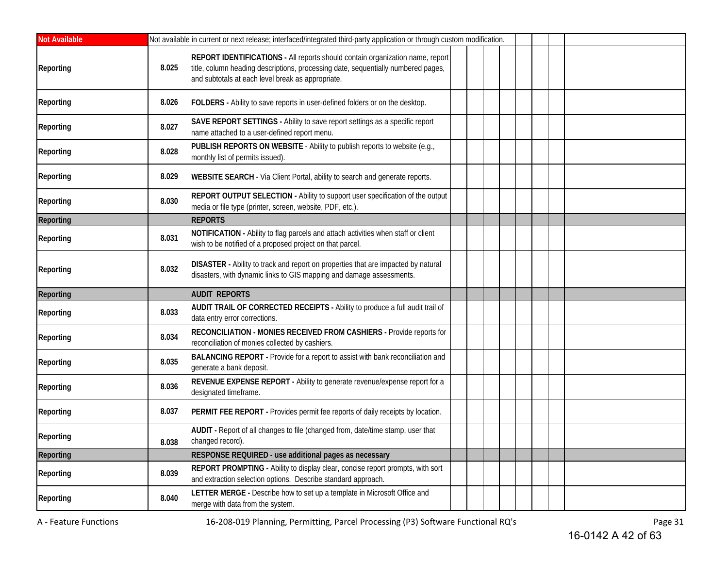| <b>Not Available</b> |       | Not available in current or next release; interfaced/integrated third-party application or through custom modification.                                                                                                 |  |  |  |  |
|----------------------|-------|-------------------------------------------------------------------------------------------------------------------------------------------------------------------------------------------------------------------------|--|--|--|--|
| Reporting            | 8.025 | REPORT IDENTIFICATIONS - All reports should contain organization name, report<br>title, column heading descriptions, processing date, sequentially numbered pages,<br>and subtotals at each level break as appropriate. |  |  |  |  |
| Reporting            | 8.026 | FOLDERS - Ability to save reports in user-defined folders or on the desktop.                                                                                                                                            |  |  |  |  |
| Reporting            | 8.027 | SAVE REPORT SETTINGS - Ability to save report settings as a specific report<br>name attached to a user-defined report menu.                                                                                             |  |  |  |  |
| Reporting            | 8.028 | PUBLISH REPORTS ON WEBSITE - Ability to publish reports to website (e.g.,<br>monthly list of permits issued).                                                                                                           |  |  |  |  |
| Reporting            | 8.029 | <b>WEBSITE SEARCH</b> - Via Client Portal, ability to search and generate reports.                                                                                                                                      |  |  |  |  |
| Reporting            | 8.030 | REPORT OUTPUT SELECTION - Ability to support user specification of the output<br>media or file type (printer, screen, website, PDF, etc.).                                                                              |  |  |  |  |
| Reporting            |       | <b>REPORTS</b>                                                                                                                                                                                                          |  |  |  |  |
| Reporting            | 8.031 | NOTIFICATION - Ability to flag parcels and attach activities when staff or client<br>wish to be notified of a proposed project on that parcel.                                                                          |  |  |  |  |
| Reporting            | 8.032 | DISASTER - Ability to track and report on properties that are impacted by natural<br>disasters, with dynamic links to GIS mapping and damage assessments.                                                               |  |  |  |  |
| Reporting            |       | <b>AUDIT REPORTS</b>                                                                                                                                                                                                    |  |  |  |  |
| Reporting            | 8.033 | AUDIT TRAIL OF CORRECTED RECEIPTS - Ability to produce a full audit trail of<br>data entry error corrections.                                                                                                           |  |  |  |  |
| Reporting            | 8.034 | RECONCILIATION - MONIES RECEIVED FROM CASHIERS - Provide reports for<br>reconciliation of monies collected by cashiers.                                                                                                 |  |  |  |  |
| Reporting            | 8.035 | BALANCING REPORT - Provide for a report to assist with bank reconciliation and<br>generate a bank deposit.                                                                                                              |  |  |  |  |
| Reporting            | 8.036 | REVENUE EXPENSE REPORT - Ability to generate revenue/expense report for a<br>designated timeframe.                                                                                                                      |  |  |  |  |
| Reporting            | 8.037 | PERMIT FEE REPORT - Provides permit fee reports of daily receipts by location.                                                                                                                                          |  |  |  |  |
| Reporting            | 8.038 | AUDIT - Report of all changes to file (changed from, date/time stamp, user that<br>changed record).                                                                                                                     |  |  |  |  |
| <b>Reporting</b>     |       | RESPONSE REQUIRED - use additional pages as necessary                                                                                                                                                                   |  |  |  |  |
| Reporting            | 8.039 | REPORT PROMPTING - Ability to display clear, concise report prompts, with sort<br>and extraction selection options. Describe standard approach.                                                                         |  |  |  |  |
| Reporting            | 8.040 | LETTER MERGE - Describe how to set up a template in Microsoft Office and<br>merge with data from the system.                                                                                                            |  |  |  |  |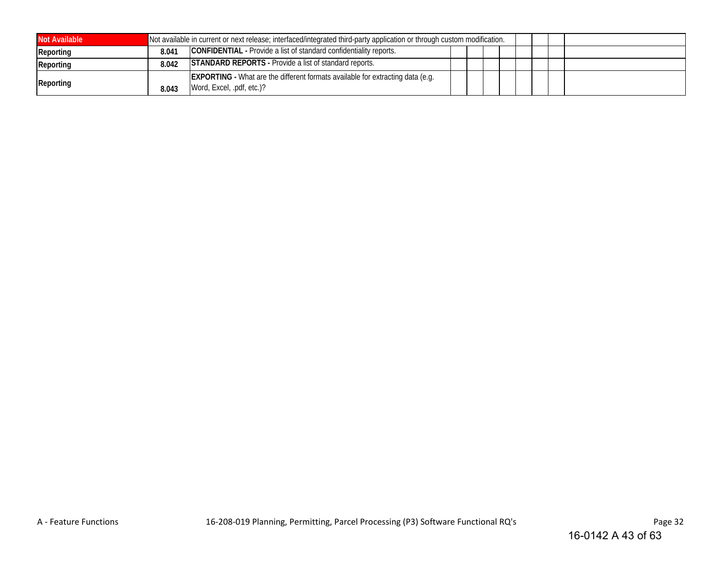| <b>Not Available</b> |       | Not available in current or next release; interfaced/integrated third-party application or through custom modification. |  |  |  |  |
|----------------------|-------|-------------------------------------------------------------------------------------------------------------------------|--|--|--|--|
| Reporting            | 8.041 | <b>CONFIDENTIAL</b> - Provide a list of standard confidentiality reports.                                               |  |  |  |  |
| Reporting            | 8.042 | <b>STANDARD REPORTS</b> - Provide a list of standard reports.                                                           |  |  |  |  |
| Reporting            | 8.043 | <b>EXPORTING</b> - What are the different formats available for extracting data (e.g.<br>Word, Excel, .pdf, etc.)?      |  |  |  |  |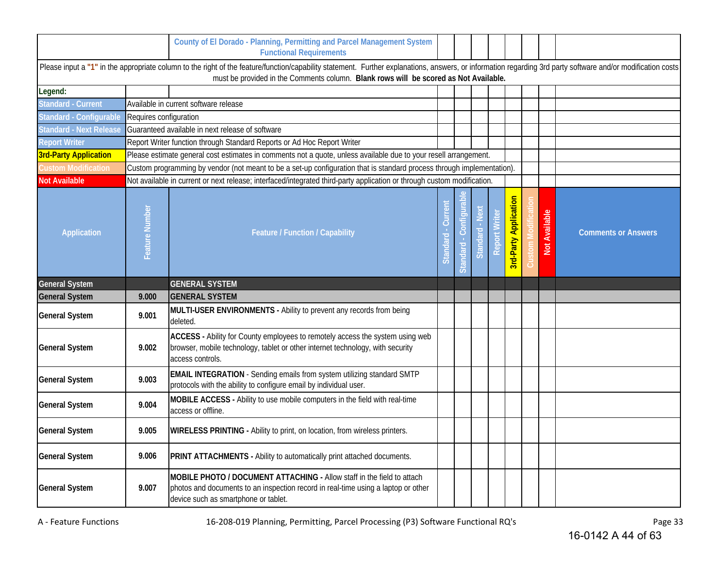|                                |                        | County of El Dorado - Planning, Permitting and Parcel Management System<br><b>Functional Requirements</b>                                                                                                                                                                                            |                    |         |                          |                               |                              |               |                            |
|--------------------------------|------------------------|------------------------------------------------------------------------------------------------------------------------------------------------------------------------------------------------------------------------------------------------------------------------------------------------------|--------------------|---------|--------------------------|-------------------------------|------------------------------|---------------|----------------------------|
|                                |                        | Please input a "1" in the appropriate column to the right of the feature/function/capability statement. Further explanations, answers, or information regarding 3rd party software and/or modification costs<br>must be provided in the Comments column. Blank rows will be scored as Not Available. |                    |         |                          |                               |                              |               |                            |
| Legend:                        |                        |                                                                                                                                                                                                                                                                                                      |                    |         |                          |                               |                              |               |                            |
| <b>Standard - Current</b>      |                        | Available in current software release                                                                                                                                                                                                                                                                |                    |         |                          |                               |                              |               |                            |
| Standard - Configurable        | Requires configuration |                                                                                                                                                                                                                                                                                                      |                    |         |                          |                               |                              |               |                            |
| <b>Standard - Next Release</b> |                        | Guaranteed available in next release of software                                                                                                                                                                                                                                                     |                    |         |                          |                               |                              |               |                            |
| <b>Report Writer</b>           |                        | Report Writer function through Standard Reports or Ad Hoc Report Writer                                                                                                                                                                                                                              |                    |         |                          |                               |                              |               |                            |
| <b>3rd-Party Application</b>   |                        | Please estimate general cost estimates in comments not a quote, unless available due to your resell arrangement.                                                                                                                                                                                     |                    |         |                          |                               |                              |               |                            |
| Custom Modification            |                        | Custom programming by vendor (not meant to be a set-up configuration that is standard process through implementation).                                                                                                                                                                               |                    |         |                          |                               |                              |               |                            |
| <b>Not Available</b>           |                        | Not available in current or next release; interfaced/integrated third-party application or through custom modification.                                                                                                                                                                              |                    |         |                          |                               |                              |               |                            |
| <b>Application</b>             | Feature Number         | <b>Feature / Function / Capability</b>                                                                                                                                                                                                                                                               | Curren<br>Standard | tandard | <b>Nex</b><br>Standard - | $\overline{\omega}$<br>Report | <b>Brd-Party Application</b> | Not Available | <b>Comments or Answers</b> |
| <b>General System</b>          |                        | <b>GENERAL SYSTEM</b>                                                                                                                                                                                                                                                                                |                    |         |                          |                               |                              |               |                            |
| <b>General System</b>          | 9.000                  | <b>GENERAL SYSTEM</b>                                                                                                                                                                                                                                                                                |                    |         |                          |                               |                              |               |                            |
| <b>General System</b>          | 9.001                  | MULTI-USER ENVIRONMENTS - Ability to prevent any records from being<br>deleted.                                                                                                                                                                                                                      |                    |         |                          |                               |                              |               |                            |
| <b>General System</b>          | 9.002                  | ACCESS - Ability for County employees to remotely access the system using web<br>browser, mobile technology, tablet or other internet technology, with security<br>access controls.                                                                                                                  |                    |         |                          |                               |                              |               |                            |
| <b>General System</b>          | 9.003                  | <b>EMAIL INTEGRATION</b> - Sending emails from system utilizing standard SMTP<br>protocols with the ability to configure email by individual user.                                                                                                                                                   |                    |         |                          |                               |                              |               |                            |
| <b>General System</b>          | 9.004                  | MOBILE ACCESS - Ability to use mobile computers in the field with real-time<br>access or offline.                                                                                                                                                                                                    |                    |         |                          |                               |                              |               |                            |
| <b>General System</b>          | 9.005                  | <b>WIRELESS PRINTING - Ability to print, on location, from wireless printers.</b>                                                                                                                                                                                                                    |                    |         |                          |                               |                              |               |                            |
| <b>General System</b>          | 9.006                  | PRINT ATTACHMENTS - Ability to automatically print attached documents.                                                                                                                                                                                                                               |                    |         |                          |                               |                              |               |                            |
| <b>General System</b>          | 9.007                  | MOBILE PHOTO / DOCUMENT ATTACHING - Allow staff in the field to attach<br>photos and documents to an inspection record in real-time using a laptop or other<br>device such as smartphone or tablet.                                                                                                  |                    |         |                          |                               |                              |               |                            |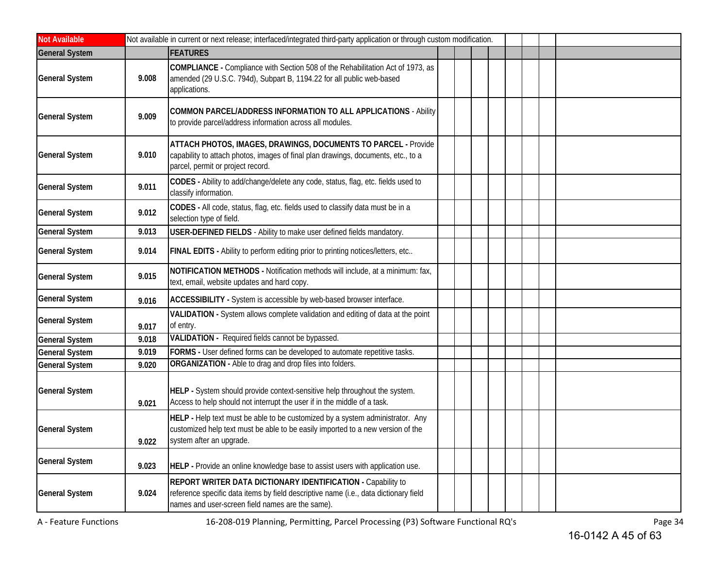| <b>Not Available</b>  |       | Not available in current or next release; interfaced/integrated third-party application or through custom modification.                                                                                         |
|-----------------------|-------|-----------------------------------------------------------------------------------------------------------------------------------------------------------------------------------------------------------------|
| <b>General System</b> |       | <b>FEATURES</b>                                                                                                                                                                                                 |
| <b>General System</b> | 9.008 | COMPLIANCE - Compliance with Section 508 of the Rehabilitation Act of 1973, as<br>amended (29 U.S.C. 794d), Subpart B, 1194.22 for all public web-based<br>applications.                                        |
| <b>General System</b> | 9.009 | COMMON PARCEL/ADDRESS INFORMATION TO ALL APPLICATIONS - Ability<br>to provide parcel/address information across all modules.                                                                                    |
| <b>General System</b> | 9.010 | ATTACH PHOTOS, IMAGES, DRAWINGS, DOCUMENTS TO PARCEL - Provide<br>capability to attach photos, images of final plan drawings, documents, etc., to a<br>parcel, permit or project record.                        |
| <b>General System</b> | 9.011 | CODES - Ability to add/change/delete any code, status, flag, etc. fields used to<br>classify information.                                                                                                       |
| <b>General System</b> | 9.012 | CODES - All code, status, flag, etc. fields used to classify data must be in a<br>selection type of field.                                                                                                      |
| <b>General System</b> | 9.013 | <b>USER-DEFINED FIELDS</b> - Ability to make user defined fields mandatory.                                                                                                                                     |
| <b>General System</b> | 9.014 | FINAL EDITS - Ability to perform editing prior to printing notices/letters, etc                                                                                                                                 |
| <b>General System</b> | 9.015 | NOTIFICATION METHODS - Notification methods will include, at a minimum: fax,<br>text, email, website updates and hard copy.                                                                                     |
| <b>General System</b> | 9.016 | ACCESSIBILITY - System is accessible by web-based browser interface.                                                                                                                                            |
| <b>General System</b> | 9.017 | VALIDATION - System allows complete validation and editing of data at the point<br>of entry.                                                                                                                    |
| <b>General System</b> | 9.018 | VALIDATION - Required fields cannot be bypassed.                                                                                                                                                                |
| <b>General System</b> | 9.019 | FORMS - User defined forms can be developed to automate repetitive tasks.                                                                                                                                       |
| <b>General System</b> | 9.020 | ORGANIZATION - Able to drag and drop files into folders.                                                                                                                                                        |
| <b>General System</b> | 9.021 | HELP - System should provide context-sensitive help throughout the system.<br>Access to help should not interrupt the user if in the middle of a task.                                                          |
| <b>General System</b> | 9.022 | HELP - Help text must be able to be customized by a system administrator. Any<br>customized help text must be able to be easily imported to a new version of the<br>system after an upgrade.                    |
| <b>General System</b> | 9.023 | HELP - Provide an online knowledge base to assist users with application use.                                                                                                                                   |
| <b>General System</b> | 9.024 | <b>REPORT WRITER DATA DICTIONARY IDENTIFICATION - Capability to</b><br>reference specific data items by field descriptive name (i.e., data dictionary field<br>names and user-screen field names are the same). |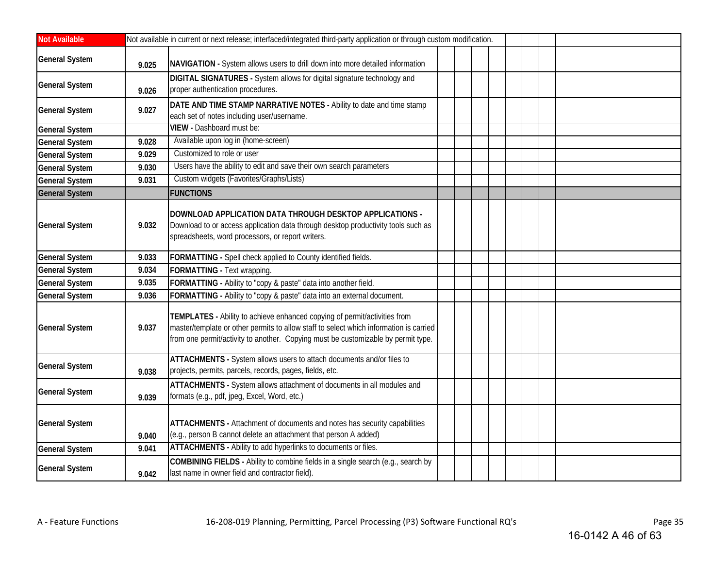| <b>Not Available</b>  |       | Not available in current or next release; interfaced/integrated third-party application or through custom modification.                                                                                                                                  |  |  |  |  |
|-----------------------|-------|----------------------------------------------------------------------------------------------------------------------------------------------------------------------------------------------------------------------------------------------------------|--|--|--|--|
| <b>General System</b> | 9.025 | NAVIGATION - System allows users to drill down into more detailed information                                                                                                                                                                            |  |  |  |  |
| <b>General System</b> | 9.026 | DIGITAL SIGNATURES - System allows for digital signature technology and<br>proper authentication procedures.                                                                                                                                             |  |  |  |  |
| <b>General System</b> | 9.027 | DATE AND TIME STAMP NARRATIVE NOTES - Ability to date and time stamp<br>each set of notes including user/username.                                                                                                                                       |  |  |  |  |
| <b>General System</b> |       | VIEW - Dashboard must be:                                                                                                                                                                                                                                |  |  |  |  |
| <b>General System</b> | 9.028 | Available upon log in (home-screen)                                                                                                                                                                                                                      |  |  |  |  |
| <b>General System</b> | 9.029 | Customized to role or user                                                                                                                                                                                                                               |  |  |  |  |
| <b>General System</b> | 9.030 | Users have the ability to edit and save their own search parameters                                                                                                                                                                                      |  |  |  |  |
| <b>General System</b> | 9.031 | Custom widgets (Favorites/Graphs/Lists)                                                                                                                                                                                                                  |  |  |  |  |
| <b>General System</b> |       | <b>FUNCTIONS</b>                                                                                                                                                                                                                                         |  |  |  |  |
| <b>General System</b> | 9.032 | DOWNLOAD APPLICATION DATA THROUGH DESKTOP APPLICATIONS -<br>Download to or access application data through desktop productivity tools such as<br>spreadsheets, word processors, or report writers.                                                       |  |  |  |  |
| <b>General System</b> | 9.033 | FORMATTING - Spell check applied to County identified fields.                                                                                                                                                                                            |  |  |  |  |
| <b>General System</b> | 9.034 | FORMATTING - Text wrapping.                                                                                                                                                                                                                              |  |  |  |  |
| <b>General System</b> | 9.035 | FORMATTING - Ability to "copy & paste" data into another field.                                                                                                                                                                                          |  |  |  |  |
| <b>General System</b> | 9.036 | FORMATTING - Ability to "copy & paste" data into an external document.                                                                                                                                                                                   |  |  |  |  |
| <b>General System</b> | 9.037 | TEMPLATES - Ability to achieve enhanced copying of permit/activities from<br>master/template or other permits to allow staff to select which information is carried<br>from one permit/activity to another. Copying must be customizable by permit type. |  |  |  |  |
| <b>General System</b> | 9.038 | ATTACHMENTS - System allows users to attach documents and/or files to<br>projects, permits, parcels, records, pages, fields, etc.                                                                                                                        |  |  |  |  |
| <b>General System</b> | 9.039 | ATTACHMENTS - System allows attachment of documents in all modules and<br>formats (e.g., pdf, jpeg, Excel, Word, etc.)                                                                                                                                   |  |  |  |  |
| <b>General System</b> | 9.040 | ATTACHMENTS - Attachment of documents and notes has security capabilities<br>(e.g., person B cannot delete an attachment that person A added)                                                                                                            |  |  |  |  |
| <b>General System</b> | 9.041 | ATTACHMENTS - Ability to add hyperlinks to documents or files.                                                                                                                                                                                           |  |  |  |  |
| <b>General System</b> | 9.042 | COMBINING FIELDS - Ability to combine fields in a single search (e.g., search by<br>last name in owner field and contractor field).                                                                                                                      |  |  |  |  |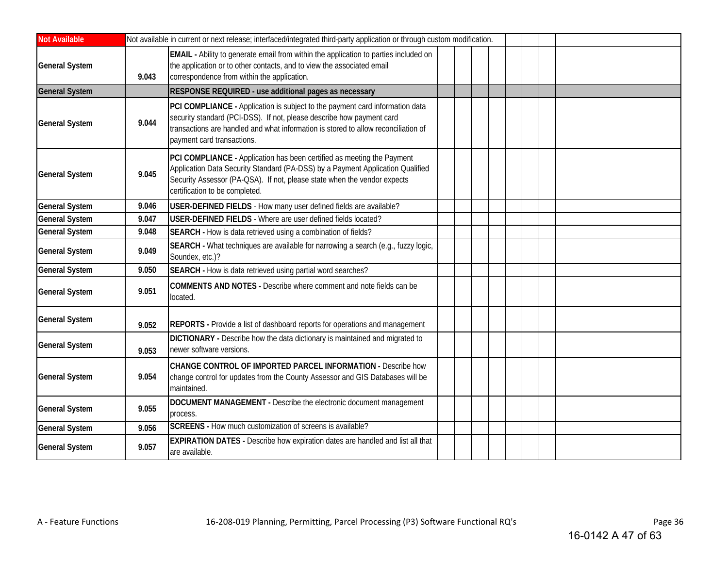| <b>Not Available</b>  |       | Not available in current or next release; interfaced/integrated third-party application or through custom modification.                                                                                                                                                   |  |  |  |  |
|-----------------------|-------|---------------------------------------------------------------------------------------------------------------------------------------------------------------------------------------------------------------------------------------------------------------------------|--|--|--|--|
| <b>General System</b> | 9.043 | EMAIL - Ability to generate email from within the application to parties included on<br>the application or to other contacts, and to view the associated email<br>correspondence from within the application.                                                             |  |  |  |  |
| <b>General System</b> |       | RESPONSE REQUIRED - use additional pages as necessary                                                                                                                                                                                                                     |  |  |  |  |
| <b>General System</b> | 9.044 | PCI COMPLIANCE - Application is subject to the payment card information data<br>security standard (PCI-DSS). If not, please describe how payment card<br>transactions are handled and what information is stored to allow reconciliation of<br>payment card transactions. |  |  |  |  |
| <b>General System</b> | 9.045 | PCI COMPLIANCE - Application has been certified as meeting the Payment<br>Application Data Security Standard (PA-DSS) by a Payment Application Qualified<br>Security Assessor (PA-QSA). If not, please state when the vendor expects<br>certification to be completed.    |  |  |  |  |
| <b>General System</b> | 9.046 | USER-DEFINED FIELDS - How many user defined fields are available?                                                                                                                                                                                                         |  |  |  |  |
| <b>General System</b> | 9.047 | USER-DEFINED FIELDS - Where are user defined fields located?                                                                                                                                                                                                              |  |  |  |  |
| <b>General System</b> | 9.048 | SEARCH - How is data retrieved using a combination of fields?                                                                                                                                                                                                             |  |  |  |  |
| <b>General System</b> | 9.049 | SEARCH - What techniques are available for narrowing a search (e.g., fuzzy logic,<br>Soundex, etc.)?                                                                                                                                                                      |  |  |  |  |
| <b>General System</b> | 9.050 | SEARCH - How is data retrieved using partial word searches?                                                                                                                                                                                                               |  |  |  |  |
| <b>General System</b> | 9.051 | COMMENTS AND NOTES - Describe where comment and note fields can be<br>located.                                                                                                                                                                                            |  |  |  |  |
| <b>General System</b> | 9.052 | REPORTS - Provide a list of dashboard reports for operations and management                                                                                                                                                                                               |  |  |  |  |
| <b>General System</b> | 9.053 | DICTIONARY - Describe how the data dictionary is maintained and migrated to<br>newer software versions.                                                                                                                                                                   |  |  |  |  |
| <b>General System</b> | 9.054 | CHANGE CONTROL OF IMPORTED PARCEL INFORMATION - Describe how<br>change control for updates from the County Assessor and GIS Databases will be<br>maintained.                                                                                                              |  |  |  |  |
| <b>General System</b> | 9.055 | DOCUMENT MANAGEMENT - Describe the electronic document management<br>process.                                                                                                                                                                                             |  |  |  |  |
| <b>General System</b> | 9.056 | SCREENS - How much customization of screens is available?                                                                                                                                                                                                                 |  |  |  |  |
| <b>General System</b> | 9.057 | <b>EXPIRATION DATES - Describe how expiration dates are handled and list all that</b><br>are available.                                                                                                                                                                   |  |  |  |  |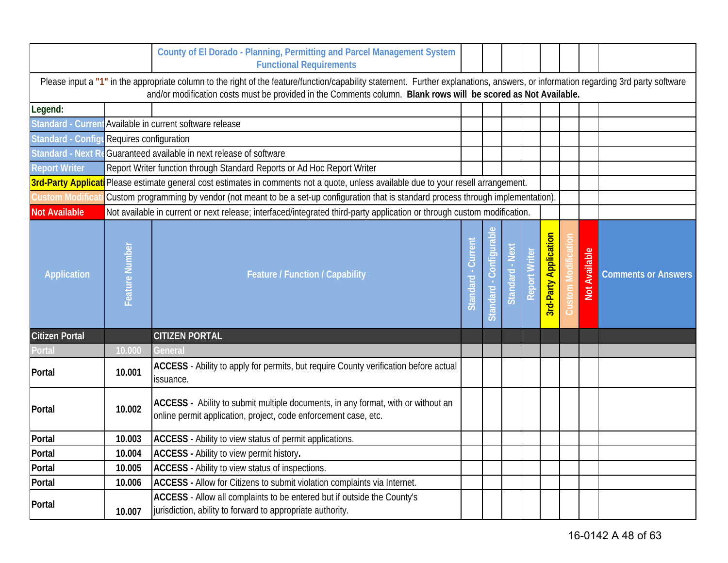|                                           |                | County of El Dorado - Planning, Permitting and Parcel Management System<br><b>Functional Requirements</b>                                                                                                                                                                                            |                     |                             |                 |               |                              |                      |                            |
|-------------------------------------------|----------------|------------------------------------------------------------------------------------------------------------------------------------------------------------------------------------------------------------------------------------------------------------------------------------------------------|---------------------|-----------------------------|-----------------|---------------|------------------------------|----------------------|----------------------------|
|                                           |                | Please input a "1" in the appropriate column to the right of the feature/function/capability statement. Further explanations, answers, or information regarding 3rd party software<br>and/or modification costs must be provided in the Comments column. Blank rows will be scored as Not Available. |                     |                             |                 |               |                              |                      |                            |
| Legend:                                   |                |                                                                                                                                                                                                                                                                                                      |                     |                             |                 |               |                              |                      |                            |
|                                           |                | Standard - Current Available in current software release                                                                                                                                                                                                                                             |                     |                             |                 |               |                              |                      |                            |
| Standard - Configu Requires configuration |                |                                                                                                                                                                                                                                                                                                      |                     |                             |                 |               |                              |                      |                            |
| Standard - Next R                         |                | Guaranteed available in next release of software                                                                                                                                                                                                                                                     |                     |                             |                 |               |                              |                      |                            |
| <b>Report Writer</b>                      |                | Report Writer function through Standard Reports or Ad Hoc Report Writer                                                                                                                                                                                                                              |                     |                             |                 |               |                              |                      |                            |
| <b>3rd-Party Applicat</b>                 |                | Please estimate general cost estimates in comments not a quote, unless available due to your resell arrangement.                                                                                                                                                                                     |                     |                             |                 |               |                              |                      |                            |
| Custom Modifica                           |                | Custom programming by vendor (not meant to be a set-up configuration that is standard process through implementation).                                                                                                                                                                               |                     |                             |                 |               |                              |                      |                            |
| <b>Not Available</b>                      |                | Not available in current or next release; interfaced/integrated third-party application or through custom modification.                                                                                                                                                                              |                     |                             |                 |               |                              |                      |                            |
| <b>Application</b>                        | Feature Number | <b>Feature / Function / Capability</b>                                                                                                                                                                                                                                                               | Current<br>Standard | lgural<br>Conti<br>Standard | Standard - Next | Report Writer | <b>Brd-Party Application</b> | <b>Not Available</b> | <b>Comments or Answers</b> |
| <b>Citizen Portal</b>                     |                | <b>CITIZEN PORTAL</b>                                                                                                                                                                                                                                                                                |                     |                             |                 |               |                              |                      |                            |
| Portal                                    | 10.000         | General                                                                                                                                                                                                                                                                                              |                     |                             |                 |               |                              |                      |                            |
| Portal                                    | 10.001         | ACCESS - Ability to apply for permits, but require County verification before actual<br>issuance.                                                                                                                                                                                                    |                     |                             |                 |               |                              |                      |                            |
| Portal                                    | 10.002         | ACCESS - Ability to submit multiple documents, in any format, with or without an<br>online permit application, project, code enforcement case, etc.                                                                                                                                                  |                     |                             |                 |               |                              |                      |                            |
| Portal                                    | 10.003         | ACCESS - Ability to view status of permit applications.                                                                                                                                                                                                                                              |                     |                             |                 |               |                              |                      |                            |
| Portal                                    | 10.004         | ACCESS - Ability to view permit history.                                                                                                                                                                                                                                                             |                     |                             |                 |               |                              |                      |                            |
| Portal                                    | 10.005         | ACCESS - Ability to view status of inspections.                                                                                                                                                                                                                                                      |                     |                             |                 |               |                              |                      |                            |
| Portal                                    | 10.006         | ACCESS - Allow for Citizens to submit violation complaints via Internet.                                                                                                                                                                                                                             |                     |                             |                 |               |                              |                      |                            |
| Portal                                    | 10.007         | ACCESS - Allow all complaints to be entered but if outside the County's<br>jurisdiction, ability to forward to appropriate authority.                                                                                                                                                                |                     |                             |                 |               |                              |                      |                            |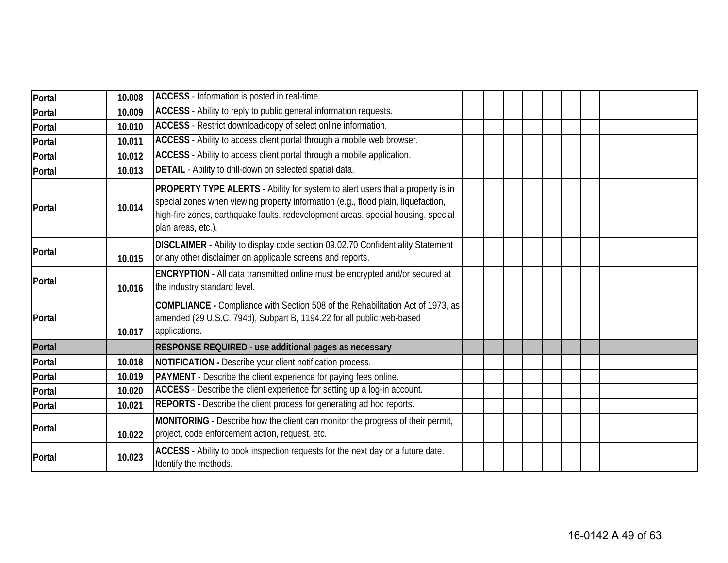| Portal | 10.008 | ACCESS - Information is posted in real-time.                                                                                                                                                                                                                                   |  |  |  |  |
|--------|--------|--------------------------------------------------------------------------------------------------------------------------------------------------------------------------------------------------------------------------------------------------------------------------------|--|--|--|--|
| Portal | 10.009 | ACCESS - Ability to reply to public general information requests.                                                                                                                                                                                                              |  |  |  |  |
| Portal | 10.010 | ACCESS - Restrict download/copy of select online information.                                                                                                                                                                                                                  |  |  |  |  |
| Portal | 10.011 | ACCESS - Ability to access client portal through a mobile web browser.                                                                                                                                                                                                         |  |  |  |  |
| Portal | 10.012 | ACCESS - Ability to access client portal through a mobile application.                                                                                                                                                                                                         |  |  |  |  |
| Portal | 10.013 | DETAIL - Ability to drill-down on selected spatial data.                                                                                                                                                                                                                       |  |  |  |  |
| Portal | 10.014 | PROPERTY TYPE ALERTS - Ability for system to alert users that a property is in<br>special zones when viewing property information (e.g., flood plain, liquefaction,<br>high-fire zones, earthquake faults, redevelopment areas, special housing, special<br>plan areas, etc.). |  |  |  |  |
| Portal | 10.015 | DISCLAIMER - Ability to display code section 09.02.70 Confidentiality Statement<br>or any other disclaimer on applicable screens and reports.                                                                                                                                  |  |  |  |  |
| Portal | 10.016 | ENCRYPTION - All data transmitted online must be encrypted and/or secured at<br>the industry standard level.                                                                                                                                                                   |  |  |  |  |
| Portal | 10.017 | COMPLIANCE - Compliance with Section 508 of the Rehabilitation Act of 1973, as<br>amended (29 U.S.C. 794d), Subpart B, 1194.22 for all public web-based<br>applications.                                                                                                       |  |  |  |  |
| Portal |        | RESPONSE REQUIRED - use additional pages as necessary                                                                                                                                                                                                                          |  |  |  |  |
| Portal | 10.018 | NOTIFICATION - Describe your client notification process.                                                                                                                                                                                                                      |  |  |  |  |
| Portal | 10.019 | PAYMENT - Describe the client experience for paying fees online.                                                                                                                                                                                                               |  |  |  |  |
| Portal | 10.020 | ACCESS - Describe the client experience for setting up a log-in account.                                                                                                                                                                                                       |  |  |  |  |
| Portal | 10.021 | REPORTS - Describe the client process for generating ad hoc reports.                                                                                                                                                                                                           |  |  |  |  |
| Portal | 10.022 | MONITORING - Describe how the client can monitor the progress of their permit,<br>project, code enforcement action, request, etc.                                                                                                                                              |  |  |  |  |
| Portal | 10.023 | ACCESS - Ability to book inspection requests for the next day or a future date.<br>Identify the methods.                                                                                                                                                                       |  |  |  |  |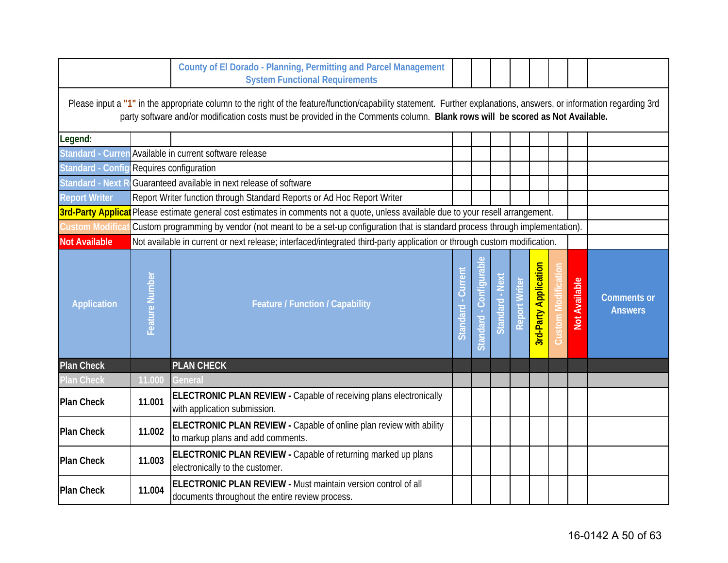|                                          |                | County of El Dorado - Planning, Permitting and Parcel Management<br><b>System Functional Requirements</b>                                                                                                                                                                                            |                           |                                         |                 |                      |                              |                      |                                      |
|------------------------------------------|----------------|------------------------------------------------------------------------------------------------------------------------------------------------------------------------------------------------------------------------------------------------------------------------------------------------------|---------------------------|-----------------------------------------|-----------------|----------------------|------------------------------|----------------------|--------------------------------------|
|                                          |                | Please input a "1" in the appropriate column to the right of the feature/function/capability statement. Further explanations, answers, or information regarding 3rd<br>party software and/or modification costs must be provided in the Comments column. Blank rows will be scored as Not Available. |                           |                                         |                 |                      |                              |                      |                                      |
| Legend:                                  |                |                                                                                                                                                                                                                                                                                                      |                           |                                         |                 |                      |                              |                      |                                      |
|                                          |                | Standard - Curren Available in current software release                                                                                                                                                                                                                                              |                           |                                         |                 |                      |                              |                      |                                      |
| Standard - Config Requires configuration |                |                                                                                                                                                                                                                                                                                                      |                           |                                         |                 |                      |                              |                      |                                      |
| <b>Standard - Next</b>                   |                | Guaranteed available in next release of software                                                                                                                                                                                                                                                     |                           |                                         |                 |                      |                              |                      |                                      |
| <b>Report Writer</b>                     |                | Report Writer function through Standard Reports or Ad Hoc Report Writer                                                                                                                                                                                                                              |                           |                                         |                 |                      |                              |                      |                                      |
| <b>3rd-Party Applicat</b>                |                | Please estimate general cost estimates in comments not a quote, unless available due to your resell arrangement.                                                                                                                                                                                     |                           |                                         |                 |                      |                              |                      |                                      |
| Custom Modifica                          |                | Custom programming by vendor (not meant to be a set-up configuration that is standard process through implementation).                                                                                                                                                                               |                           |                                         |                 |                      |                              |                      |                                      |
| <b>Not Available</b>                     |                | Not available in current or next release; interfaced/integrated third-party application or through custom modification.                                                                                                                                                                              |                           |                                         |                 |                      |                              |                      |                                      |
| <b>Application</b>                       | Feature Number | <b>Feature / Function / Capability</b>                                                                                                                                                                                                                                                               | Curren<br><b>Standard</b> | <u>legin</u><br><b>Cont</b><br>Standard | Standard - Next | <b>Report Writer</b> | <b>3rd-Party Application</b> | <b>Not Available</b> | <b>Comments or</b><br><b>Answers</b> |
| <b>Plan Check</b>                        |                | <b>PLAN CHECK</b>                                                                                                                                                                                                                                                                                    |                           |                                         |                 |                      |                              |                      |                                      |
| <b>Plan Check</b>                        | 11.000         | General                                                                                                                                                                                                                                                                                              |                           |                                         |                 |                      |                              |                      |                                      |
| <b>Plan Check</b>                        | 11.001         | ELECTRONIC PLAN REVIEW - Capable of receiving plans electronically<br>with application submission.                                                                                                                                                                                                   |                           |                                         |                 |                      |                              |                      |                                      |
| <b>Plan Check</b>                        | 11.002         | ELECTRONIC PLAN REVIEW - Capable of online plan review with ability<br>to markup plans and add comments.                                                                                                                                                                                             |                           |                                         |                 |                      |                              |                      |                                      |
| <b>Plan Check</b>                        | 11.003         | ELECTRONIC PLAN REVIEW - Capable of returning marked up plans<br>electronically to the customer.                                                                                                                                                                                                     |                           |                                         |                 |                      |                              |                      |                                      |
| <b>Plan Check</b>                        | 11.004         | ELECTRONIC PLAN REVIEW - Must maintain version control of all<br>documents throughout the entire review process.                                                                                                                                                                                     |                           |                                         |                 |                      |                              |                      |                                      |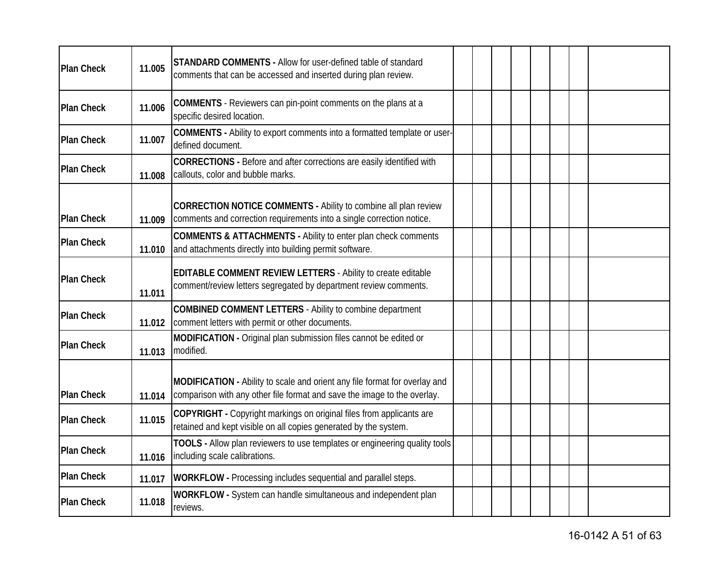| <b>Plan Check</b> | 11.005 | STANDARD COMMENTS - Allow for user-defined table of standard<br>comments that can be accessed and inserted during plan review.                         |  |  |  |  |  |
|-------------------|--------|--------------------------------------------------------------------------------------------------------------------------------------------------------|--|--|--|--|--|
| <b>Plan Check</b> | 11.006 | <b>COMMENTS</b> - Reviewers can pin-point comments on the plans at a<br>specific desired location.                                                     |  |  |  |  |  |
| <b>Plan Check</b> | 11.007 | <b>COMMENTS</b> - Ability to export comments into a formatted template or user-<br>defined document.                                                   |  |  |  |  |  |
| <b>Plan Check</b> | 11.008 | CORRECTIONS - Before and after corrections are easily identified with<br>callouts, color and bubble marks.                                             |  |  |  |  |  |
| <b>Plan Check</b> | 11.009 | CORRECTION NOTICE COMMENTS - Ability to combine all plan review<br>comments and correction requirements into a single correction notice.               |  |  |  |  |  |
| <b>Plan Check</b> | 11.010 | <b>COMMENTS &amp; ATTACHMENTS - Ability to enter plan check comments</b><br>and attachments directly into building permit software.                    |  |  |  |  |  |
| <b>Plan Check</b> | 11.011 | <b>EDITABLE COMMENT REVIEW LETTERS - Ability to create editable</b><br>comment/review letters segregated by department review comments.                |  |  |  |  |  |
| <b>Plan Check</b> | 11.012 | <b>COMBINED COMMENT LETTERS - Ability to combine department</b><br>comment letters with permit or other documents.                                     |  |  |  |  |  |
| <b>Plan Check</b> | 11.013 | MODIFICATION - Original plan submission files cannot be edited or<br>modified.                                                                         |  |  |  |  |  |
| <b>Plan Check</b> | 11.014 | MODIFICATION - Ability to scale and orient any file format for overlay and<br>comparison with any other file format and save the image to the overlay. |  |  |  |  |  |
| <b>Plan Check</b> | 11.015 | COPYRIGHT - Copyright markings on original files from applicants are<br>retained and kept visible on all copies generated by the system.               |  |  |  |  |  |
| <b>Plan Check</b> | 11.016 | TOOLS - Allow plan reviewers to use templates or engineering quality tools<br>including scale calibrations.                                            |  |  |  |  |  |
| <b>Plan Check</b> | 11.017 | <b>WORKFLOW</b> - Processing includes sequential and parallel steps.                                                                                   |  |  |  |  |  |
| <b>Plan Check</b> | 11.018 | WORKFLOW - System can handle simultaneous and independent plan<br>reviews.                                                                             |  |  |  |  |  |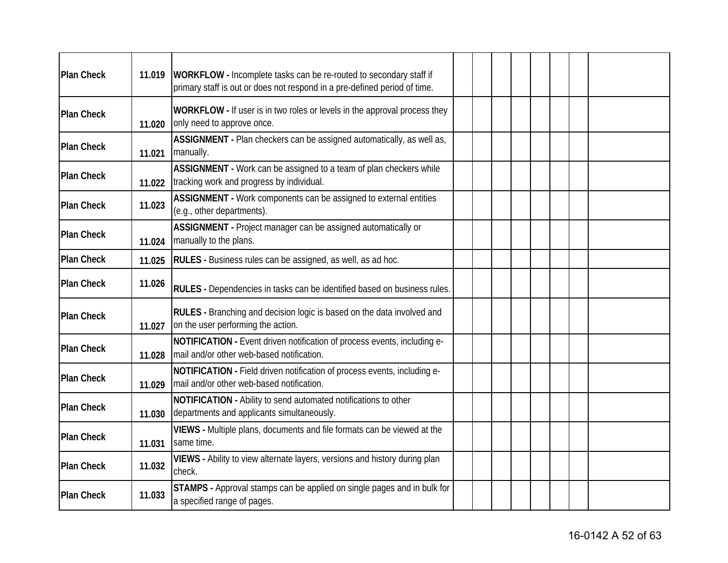| <b>Plan Check</b> | 11.019 | WORKFLOW - Incomplete tasks can be re-routed to secondary staff if                                                    |  |  |  |  |
|-------------------|--------|-----------------------------------------------------------------------------------------------------------------------|--|--|--|--|
|                   |        | primary staff is out or does not respond in a pre-defined period of time.                                             |  |  |  |  |
| <b>Plan Check</b> | 11.020 | WORKFLOW - If user is in two roles or levels in the approval process they<br>only need to approve once.               |  |  |  |  |
| <b>Plan Check</b> | 11.021 | ASSIGNMENT - Plan checkers can be assigned automatically, as well as,<br>manually.                                    |  |  |  |  |
| <b>Plan Check</b> | 11.022 | ASSIGNMENT - Work can be assigned to a team of plan checkers while<br>tracking work and progress by individual.       |  |  |  |  |
| <b>Plan Check</b> | 11.023 | ASSIGNMENT - Work components can be assigned to external entities<br>(e.g., other departments).                       |  |  |  |  |
| <b>Plan Check</b> | 11.024 | ASSIGNMENT - Project manager can be assigned automatically or<br>manually to the plans.                               |  |  |  |  |
| Plan Check        | 11.025 | <b>RULES</b> - Business rules can be assigned, as well, as ad hoc.                                                    |  |  |  |  |
| <b>Plan Check</b> | 11.026 | RULES - Dependencies in tasks can be identified based on business rules.                                              |  |  |  |  |
| <b>Plan Check</b> | 11.027 | <b>RULES</b> - Branching and decision logic is based on the data involved and<br>on the user performing the action.   |  |  |  |  |
| <b>Plan Check</b> | 11.028 | NOTIFICATION - Event driven notification of process events, including e-<br>mail and/or other web-based notification. |  |  |  |  |
| <b>Plan Check</b> | 11.029 | NOTIFICATION - Field driven notification of process events, including e-<br>mail and/or other web-based notification. |  |  |  |  |
| <b>Plan Check</b> | 11.030 | NOTIFICATION - Ability to send automated notifications to other<br>departments and applicants simultaneously.         |  |  |  |  |
| <b>Plan Check</b> | 11.031 | VIEWS - Multiple plans, documents and file formats can be viewed at the<br>same time.                                 |  |  |  |  |
| <b>Plan Check</b> | 11.032 | VIEWS - Ability to view alternate layers, versions and history during plan<br>check.                                  |  |  |  |  |
| <b>Plan Check</b> | 11.033 | STAMPS - Approval stamps can be applied on single pages and in bulk for<br>a specified range of pages.                |  |  |  |  |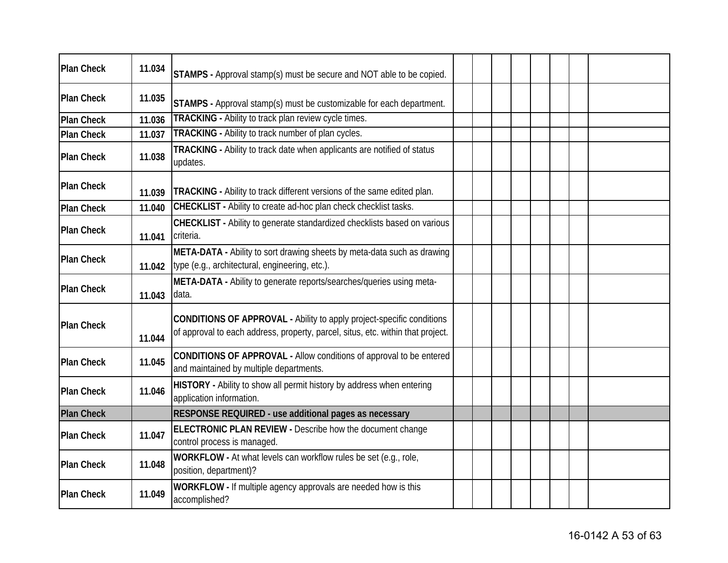| <b>Plan Check</b> | 11.034 | <b>STAMPS</b> - Approval stamp(s) must be secure and NOT able to be copied.                                                                              |  |  |  |  |
|-------------------|--------|----------------------------------------------------------------------------------------------------------------------------------------------------------|--|--|--|--|
| <b>Plan Check</b> | 11.035 | STAMPS - Approval stamp(s) must be customizable for each department.                                                                                     |  |  |  |  |
| <b>Plan Check</b> | 11.036 | TRACKING - Ability to track plan review cycle times.                                                                                                     |  |  |  |  |
| <b>Plan Check</b> | 11.037 | TRACKING - Ability to track number of plan cycles.                                                                                                       |  |  |  |  |
| <b>Plan Check</b> | 11.038 | TRACKING - Ability to track date when applicants are notified of status<br>updates.                                                                      |  |  |  |  |
| <b>Plan Check</b> | 11.039 | <b>TRACKING</b> - Ability to track different versions of the same edited plan.                                                                           |  |  |  |  |
| <b>Plan Check</b> | 11.040 | <b>CHECKLIST</b> - Ability to create ad-hoc plan check checklist tasks.                                                                                  |  |  |  |  |
| <b>Plan Check</b> | 11.041 | CHECKLIST - Ability to generate standardized checklists based on various<br>criteria.                                                                    |  |  |  |  |
| <b>Plan Check</b> | 11.042 | META-DATA - Ability to sort drawing sheets by meta-data such as drawing<br>type (e.g., architectural, engineering, etc.).                                |  |  |  |  |
| <b>Plan Check</b> | 11.043 | META-DATA - Ability to generate reports/searches/queries using meta-<br>data.                                                                            |  |  |  |  |
| <b>Plan Check</b> | 11.044 | CONDITIONS OF APPROVAL - Ability to apply project-specific conditions<br>of approval to each address, property, parcel, situs, etc. within that project. |  |  |  |  |
| <b>Plan Check</b> | 11.045 | CONDITIONS OF APPROVAL - Allow conditions of approval to be entered<br>and maintained by multiple departments.                                           |  |  |  |  |
| <b>Plan Check</b> | 11.046 | HISTORY - Ability to show all permit history by address when entering<br>application information.                                                        |  |  |  |  |
| <b>Plan Check</b> |        | RESPONSE REQUIRED - use additional pages as necessary                                                                                                    |  |  |  |  |
| <b>Plan Check</b> | 11.047 | ELECTRONIC PLAN REVIEW - Describe how the document change<br>control process is managed.                                                                 |  |  |  |  |
| <b>Plan Check</b> | 11.048 | WORKFLOW - At what levels can workflow rules be set (e.g., role,<br>position, department)?                                                               |  |  |  |  |
| <b>Plan Check</b> | 11.049 | WORKFLOW - If multiple agency approvals are needed how is this<br>accomplished?                                                                          |  |  |  |  |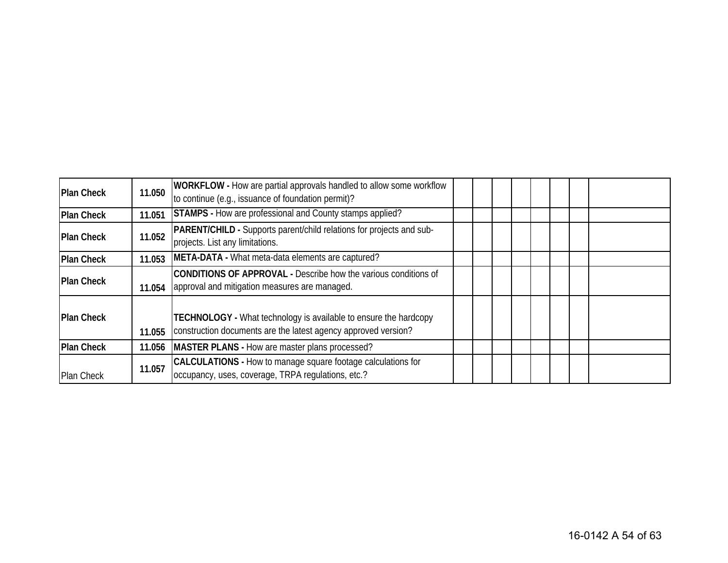| <b>Plan Check</b> | 11.050 | <b>WORKFLOW</b> - How are partial approvals handled to allow some workflow<br>to continue (e.g., issuance of foundation permit)?          |  |  |  |  |
|-------------------|--------|-------------------------------------------------------------------------------------------------------------------------------------------|--|--|--|--|
| <b>Plan Check</b> | 11.051 | <b>STAMPS</b> - How are professional and County stamps applied?                                                                           |  |  |  |  |
| <b>Plan Check</b> | 11.052 | <b>PARENT/CHILD</b> - Supports parent/child relations for projects and sub-<br>projects. List any limitations.                            |  |  |  |  |
| <b>Plan Check</b> | 11.053 | META-DATA - What meta-data elements are captured?                                                                                         |  |  |  |  |
| <b>Plan Check</b> | 11.054 | <b>CONDITIONS OF APPROVAL - Describe how the various conditions of</b><br>approval and mitigation measures are managed.                   |  |  |  |  |
| <b>Plan Check</b> | 11.055 | <b>TECHNOLOGY</b> - What technology is available to ensure the hardcopy<br>construction documents are the latest agency approved version? |  |  |  |  |
| <b>Plan Check</b> | 11.056 | MASTER PLANS - How are master plans processed?                                                                                            |  |  |  |  |
| Plan Check        | 11.057 | CALCULATIONS - How to manage square footage calculations for<br>occupancy, uses, coverage, TRPA regulations, etc.?                        |  |  |  |  |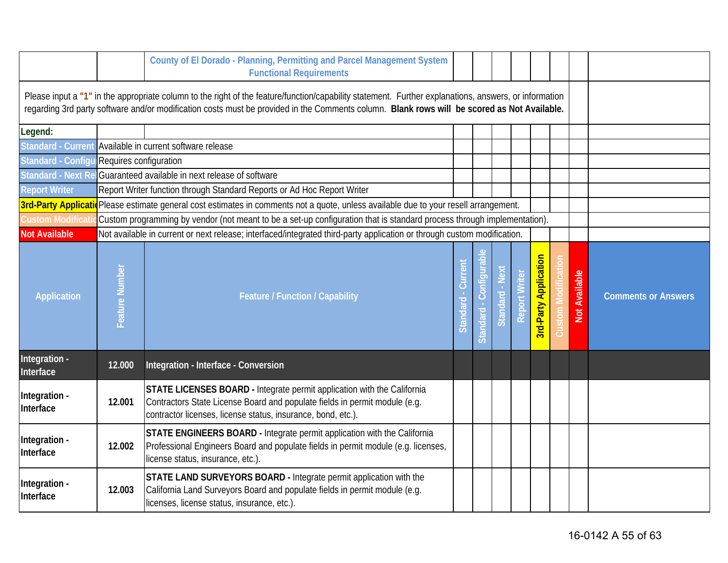|                            |                        | County of El Dorado - Planning, Permitting and Parcel Management System<br><b>Functional Requirements</b>                                                                                                                                                                                            |                    |                      |                 |                      |                              |                      |                            |
|----------------------------|------------------------|------------------------------------------------------------------------------------------------------------------------------------------------------------------------------------------------------------------------------------------------------------------------------------------------------|--------------------|----------------------|-----------------|----------------------|------------------------------|----------------------|----------------------------|
|                            |                        | Please input a "1" in the appropriate column to the right of the feature/function/capability statement. Further explanations, answers, or information<br>regarding 3rd party software and/or modification costs must be provided in the Comments column. Blank rows will be scored as Not Available. |                    |                      |                 |                      |                              |                      |                            |
| Legend:                    |                        |                                                                                                                                                                                                                                                                                                      |                    |                      |                 |                      |                              |                      |                            |
|                            |                        | Standard - Current Available in current software release                                                                                                                                                                                                                                             |                    |                      |                 |                      |                              |                      |                            |
| Standard - Configu         | Requires configuration |                                                                                                                                                                                                                                                                                                      |                    |                      |                 |                      |                              |                      |                            |
| Standard - Next Re         |                        | Guaranteed available in next release of software                                                                                                                                                                                                                                                     |                    |                      |                 |                      |                              |                      |                            |
| <b>Report Writer</b>       |                        | Report Writer function through Standard Reports or Ad Hoc Report Writer                                                                                                                                                                                                                              |                    |                      |                 |                      |                              |                      |                            |
|                            |                        | 3rd-Party Applicatio Please estimate general cost estimates in comments not a quote, unless available due to your resell arrangement.                                                                                                                                                                |                    |                      |                 |                      |                              |                      |                            |
| <b>Custom Modificati</b>   |                        | Custom programming by vendor (not meant to be a set-up configuration that is standard process through implementation).                                                                                                                                                                               |                    |                      |                 |                      |                              |                      |                            |
| <b>Not Available</b>       |                        | Not available in current or next release; interfaced/integrated third-party application or through custom modification.                                                                                                                                                                              |                    |                      |                 |                      |                              |                      |                            |
| <b>Application</b>         | Feature Number         | <b>Feature / Function / Capability</b>                                                                                                                                                                                                                                                               | Curren<br>Standard | Standard - Configura | Standard - Next | <b>Report Writer</b> | <b>3rd-Party Application</b> | <b>Not Available</b> | <b>Comments or Answers</b> |
| Integration -<br>Interface | 12.000                 | Integration - Interface - Conversion                                                                                                                                                                                                                                                                 |                    |                      |                 |                      |                              |                      |                            |
| Integration -<br>Interface | 12.001                 | STATE LICENSES BOARD - Integrate permit application with the California<br>Contractors State License Board and populate fields in permit module (e.g.<br>contractor licenses, license status, insurance, bond, etc.).                                                                                |                    |                      |                 |                      |                              |                      |                            |
| Integration -<br>Interface | 12.002                 | STATE ENGINEERS BOARD - Integrate permit application with the California<br>Professional Engineers Board and populate fields in permit module (e.g. licenses,<br>license status, insurance, etc.).                                                                                                   |                    |                      |                 |                      |                              |                      |                            |
| Integration -<br>Interface | 12.003                 | STATE LAND SURVEYORS BOARD - Integrate permit application with the<br>California Land Surveyors Board and populate fields in permit module (e.g.<br>licenses, license status, insurance, etc.).                                                                                                      |                    |                      |                 |                      |                              |                      |                            |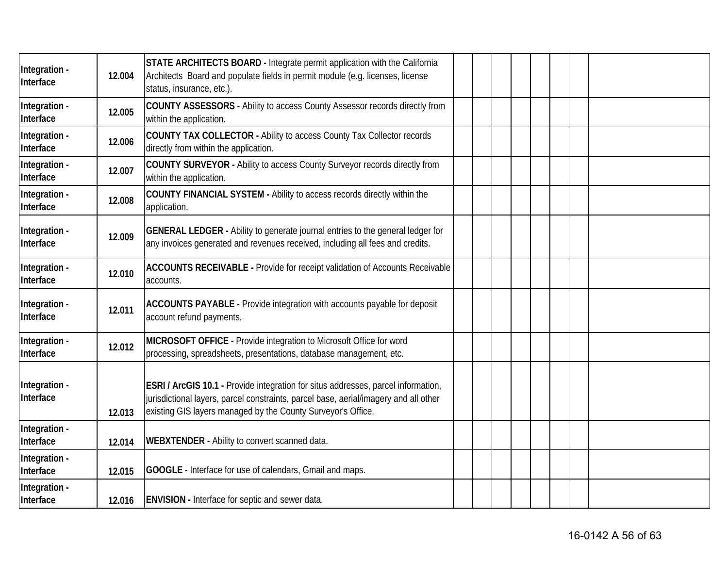| Integration -<br>Interface | 12.004 | STATE ARCHITECTS BOARD - Integrate permit application with the California<br>Architects Board and populate fields in permit module (e.g. licenses, license<br>status, insurance, etc.).                                                   |  |  |  |  |
|----------------------------|--------|-------------------------------------------------------------------------------------------------------------------------------------------------------------------------------------------------------------------------------------------|--|--|--|--|
| Integration -<br>Interface | 12.005 | COUNTY ASSESSORS - Ability to access County Assessor records directly from<br>within the application.                                                                                                                                     |  |  |  |  |
| Integration -<br>Interface | 12.006 | COUNTY TAX COLLECTOR - Ability to access County Tax Collector records<br>directly from within the application.                                                                                                                            |  |  |  |  |
| Integration -<br>Interface | 12.007 | COUNTY SURVEYOR - Ability to access County Surveyor records directly from<br>within the application.                                                                                                                                      |  |  |  |  |
| Integration -<br>Interface | 12.008 | COUNTY FINANCIAL SYSTEM - Ability to access records directly within the<br>application.                                                                                                                                                   |  |  |  |  |
| Integration -<br>Interface | 12.009 | <b>GENERAL LEDGER</b> - Ability to generate journal entries to the general ledger for<br>any invoices generated and revenues received, including all fees and credits.                                                                    |  |  |  |  |
| Integration -<br>Interface | 12.010 | ACCOUNTS RECEIVABLE - Provide for receipt validation of Accounts Receivable<br>accounts.                                                                                                                                                  |  |  |  |  |
| Integration -<br>Interface | 12.011 | ACCOUNTS PAYABLE - Provide integration with accounts payable for deposit<br>account refund payments.                                                                                                                                      |  |  |  |  |
| Integration -<br>Interface | 12.012 | MICROSOFT OFFICE - Provide integration to Microsoft Office for word<br>processing, spreadsheets, presentations, database management, etc.                                                                                                 |  |  |  |  |
| Integration -<br>Interface | 12.013 | ESRI / ArcGIS 10.1 - Provide integration for situs addresses, parcel information,<br>jurisdictional layers, parcel constraints, parcel base, aerial/imagery and all other<br>existing GIS layers managed by the County Surveyor's Office. |  |  |  |  |
| Integration -<br>Interface | 12.014 | WEBXTENDER - Ability to convert scanned data.                                                                                                                                                                                             |  |  |  |  |
| Integration -<br>Interface | 12.015 | GOOGLE - Interface for use of calendars, Gmail and maps.                                                                                                                                                                                  |  |  |  |  |
| Integration -<br>Interface | 12.016 | <b>ENVISION</b> - Interface for septic and sewer data.                                                                                                                                                                                    |  |  |  |  |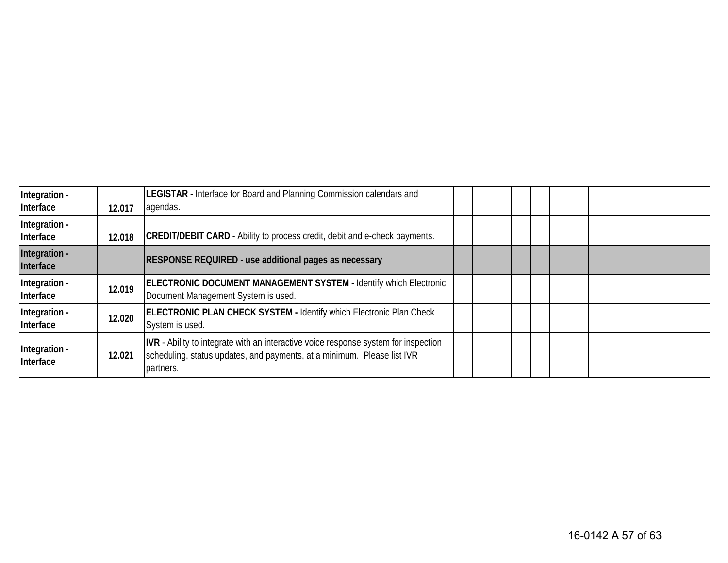| Integration -<br>Interface | 12.017 | LEGISTAR - Interface for Board and Planning Commission calendars and<br>agendas.                                                                                            |  |  |  |  |
|----------------------------|--------|-----------------------------------------------------------------------------------------------------------------------------------------------------------------------------|--|--|--|--|
| Integration -<br>Interface | 12.018 | <b>CREDIT/DEBIT CARD - Ability to process credit, debit and e-check payments.</b>                                                                                           |  |  |  |  |
| Integration -<br>Interface |        | <b>RESPONSE REQUIRED - use additional pages as necessary</b>                                                                                                                |  |  |  |  |
| Integration -<br>Interface | 12.019 | <b>ELECTRONIC DOCUMENT MANAGEMENT SYSTEM - Identify which Electronic</b><br>Document Management System is used.                                                             |  |  |  |  |
| Integration -<br>Interface | 12.020 | <b>ELECTRONIC PLAN CHECK SYSTEM - Identify which Electronic Plan Check</b><br>System is used.                                                                               |  |  |  |  |
| Integration -<br>Interface | 12.021 | IVR - Ability to integrate with an interactive voice response system for inspection<br>scheduling, status updates, and payments, at a minimum. Please list IVR<br>partners. |  |  |  |  |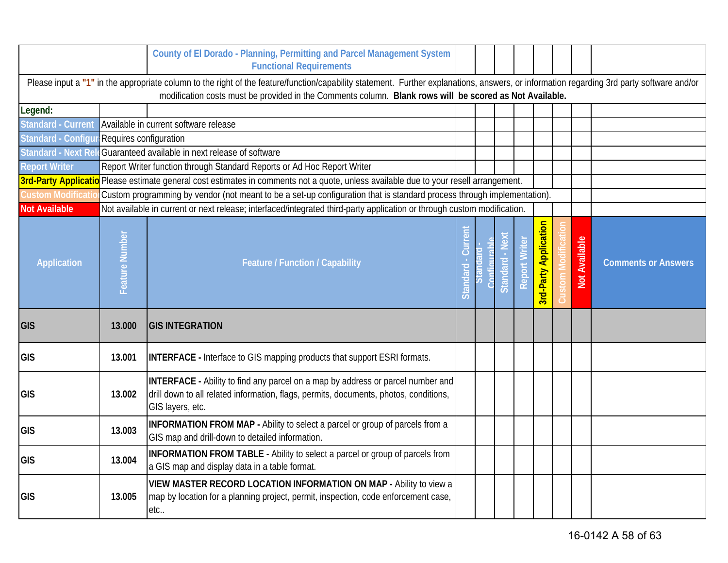|                            |                        | County of El Dorado - Planning, Permitting and Parcel Management System<br><b>Functional Requirements</b>                                                                                                                                                                                            |                              |                           |                   |                              |                   |                      |                            |
|----------------------------|------------------------|------------------------------------------------------------------------------------------------------------------------------------------------------------------------------------------------------------------------------------------------------------------------------------------------------|------------------------------|---------------------------|-------------------|------------------------------|-------------------|----------------------|----------------------------|
|                            |                        | Please input a "1" in the appropriate column to the right of the feature/function/capability statement. Further explanations, answers, or information regarding 3rd party software and/or<br>modification costs must be provided in the Comments column. Blank rows will be scored as Not Available. |                              |                           |                   |                              |                   |                      |                            |
| Legend:                    |                        |                                                                                                                                                                                                                                                                                                      |                              |                           |                   |                              |                   |                      |                            |
| <b>Standard - Current</b>  |                        | Available in current software release                                                                                                                                                                                                                                                                |                              |                           |                   |                              |                   |                      |                            |
| <b>Standard - Configur</b> | Requires configuration |                                                                                                                                                                                                                                                                                                      |                              |                           |                   |                              |                   |                      |                            |
| <b>Standard - Next Re</b>  |                        | Guaranteed available in next release of software                                                                                                                                                                                                                                                     |                              |                           |                   |                              |                   |                      |                            |
| <b>Report Writer</b>       |                        | Report Writer function through Standard Reports or Ad Hoc Report Writer                                                                                                                                                                                                                              |                              |                           |                   |                              |                   |                      |                            |
|                            |                        | 3rd-Party Applicatio Please estimate general cost estimates in comments not a quote, unless available due to your resell arrangement.                                                                                                                                                                |                              |                           |                   |                              |                   |                      |                            |
| <b>Custom Modificati</b>   |                        | Custom programming by vendor (not meant to be a set-up configuration that is standard process through implementation).                                                                                                                                                                               |                              |                           |                   |                              |                   |                      |                            |
| <b>Not Available</b>       |                        | Not available in current or next release; interfaced/integrated third-party application or through custom modification.                                                                                                                                                                              |                              |                           |                   |                              |                   |                      |                            |
| <b>Application</b>         | Feature Number         | <b>Feature / Function / Capability</b>                                                                                                                                                                                                                                                               | ēξ<br>Cur<br><b>Standard</b> | $\omega$<br><b>Standa</b> | $\circ$<br>Report | <b>3rd-Party Application</b> | <b>Custom Moo</b> | <b>Not Available</b> | <b>Comments or Answers</b> |
| GIS                        | 13.000                 | <b>GIS INTEGRATION</b>                                                                                                                                                                                                                                                                               |                              |                           |                   |                              |                   |                      |                            |
| <b>GIS</b>                 | 13.001                 | <b>INTERFACE</b> - Interface to GIS mapping products that support ESRI formats.                                                                                                                                                                                                                      |                              |                           |                   |                              |                   |                      |                            |
| GIS                        | 13.002                 | <b>INTERFACE</b> - Ability to find any parcel on a map by address or parcel number and<br>drill down to all related information, flags, permits, documents, photos, conditions,<br>GIS layers, etc.                                                                                                  |                              |                           |                   |                              |                   |                      |                            |
| <b>GIS</b>                 | 13.003                 | <b>INFORMATION FROM MAP - Ability to select a parcel or group of parcels from a</b><br>GIS map and drill-down to detailed information.                                                                                                                                                               |                              |                           |                   |                              |                   |                      |                            |
| <b>GIS</b>                 | 13.004                 | INFORMATION FROM TABLE - Ability to select a parcel or group of parcels from<br>a GIS map and display data in a table format.                                                                                                                                                                        |                              |                           |                   |                              |                   |                      |                            |
| <b>GIS</b>                 | 13.005                 | VIEW MASTER RECORD LOCATION INFORMATION ON MAP - Ability to view a<br>map by location for a planning project, permit, inspection, code enforcement case,<br>etc                                                                                                                                      |                              |                           |                   |                              |                   |                      |                            |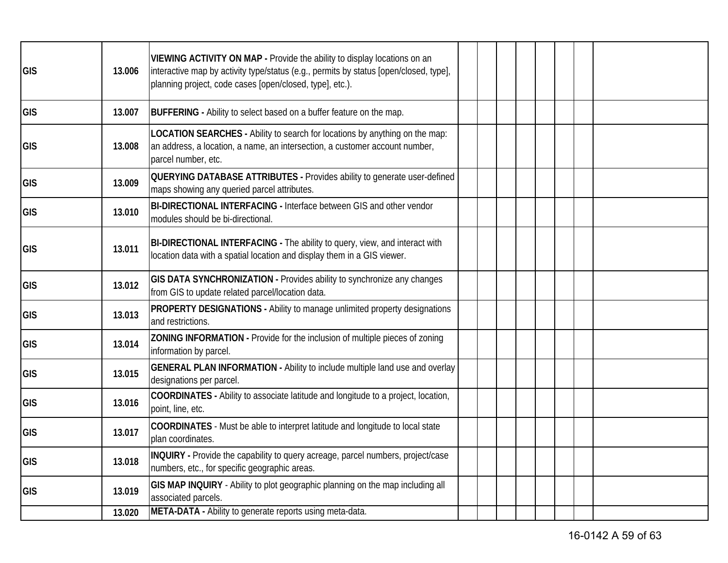| GIS        | 13.006 | VIEWING ACTIVITY ON MAP - Provide the ability to display locations on an<br>interactive map by activity type/status (e.g., permits by status [open/closed, type],<br>planning project, code cases [open/closed, type], etc.). |  |  |  |  |
|------------|--------|-------------------------------------------------------------------------------------------------------------------------------------------------------------------------------------------------------------------------------|--|--|--|--|
| GIS        | 13.007 | <b>BUFFERING</b> - Ability to select based on a buffer feature on the map.                                                                                                                                                    |  |  |  |  |
| <b>GIS</b> | 13.008 | LOCATION SEARCHES - Ability to search for locations by anything on the map:<br>an address, a location, a name, an intersection, a customer account number,<br>parcel number, etc.                                             |  |  |  |  |
| GIS        | 13.009 | <b>QUERYING DATABASE ATTRIBUTES - Provides ability to generate user-defined</b><br>maps showing any queried parcel attributes.                                                                                                |  |  |  |  |
| <b>GIS</b> | 13.010 | BI-DIRECTIONAL INTERFACING - Interface between GIS and other vendor<br>modules should be bi-directional.                                                                                                                      |  |  |  |  |
| GIS        | 13.011 | BI-DIRECTIONAL INTERFACING - The ability to query, view, and interact with<br>location data with a spatial location and display them in a GIS viewer.                                                                         |  |  |  |  |
| GIS        | 13.012 | GIS DATA SYNCHRONIZATION - Provides ability to synchronize any changes<br>from GIS to update related parcel/location data.                                                                                                    |  |  |  |  |
| GIS        | 13.013 | PROPERTY DESIGNATIONS - Ability to manage unlimited property designations<br>and restrictions.                                                                                                                                |  |  |  |  |
| GIS        | 13.014 | ZONING INFORMATION - Provide for the inclusion of multiple pieces of zoning<br>information by parcel.                                                                                                                         |  |  |  |  |
| GIS        | 13.015 | GENERAL PLAN INFORMATION - Ability to include multiple land use and overlay<br>designations per parcel.                                                                                                                       |  |  |  |  |
| GIS        | 13.016 | COORDINATES - Ability to associate latitude and longitude to a project, location,<br>point, line, etc.                                                                                                                        |  |  |  |  |
| GIS        | 13.017 | COORDINATES - Must be able to interpret latitude and longitude to local state<br>plan coordinates.                                                                                                                            |  |  |  |  |
| <b>GIS</b> | 13.018 | INQUIRY - Provide the capability to query acreage, parcel numbers, project/case<br>numbers, etc., for specific geographic areas.                                                                                              |  |  |  |  |
| GIS        | 13.019 | GIS MAP INQUIRY - Ability to plot geographic planning on the map including all<br>associated parcels.                                                                                                                         |  |  |  |  |
|            | 13.020 | META-DATA - Ability to generate reports using meta-data.                                                                                                                                                                      |  |  |  |  |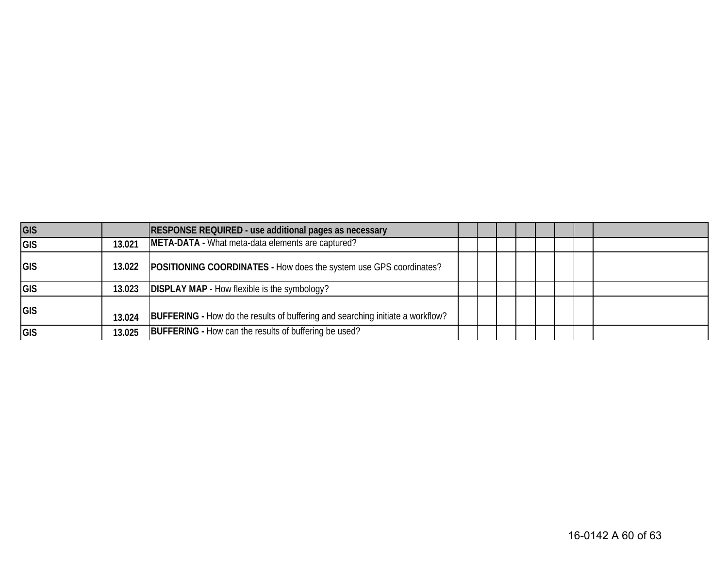| GIS         |        | <b>RESPONSE REQUIRED - use additional pages as necessary</b>                          |  |  |  |  |
|-------------|--------|---------------------------------------------------------------------------------------|--|--|--|--|
| <b>GIS</b>  | 13.021 | META-DATA - What meta-data elements are captured?                                     |  |  |  |  |
| <b>IGIS</b> |        | 13.022   POSITIONING COORDINATES - How does the system use GPS coordinates?           |  |  |  |  |
| <b>GIS</b>  |        | 13.023 <b>DISPLAY MAP</b> - How flexible is the symbology?                            |  |  |  |  |
| <b>GIS</b>  | 13.024 | <b>BUFFERING</b> - How do the results of buffering and searching initiate a workflow? |  |  |  |  |
| <b>GIS</b>  | 13.025 | <b>BUFFERING</b> - How can the results of buffering be used?                          |  |  |  |  |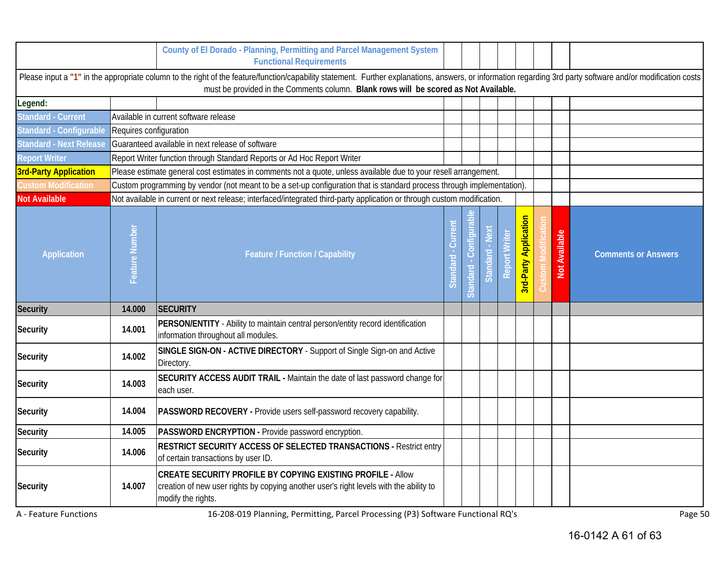|                                |                        | County of El Dorado - Planning, Permitting and Parcel Management System<br><b>Functional Requirements</b>                                                                                                                                                                                            |      |                 |          |                              |                         |                            |
|--------------------------------|------------------------|------------------------------------------------------------------------------------------------------------------------------------------------------------------------------------------------------------------------------------------------------------------------------------------------------|------|-----------------|----------|------------------------------|-------------------------|----------------------------|
|                                |                        | Please input a "1" in the appropriate column to the right of the feature/function/capability statement. Further explanations, answers, or information regarding 3rd party software and/or modification costs<br>must be provided in the Comments column. Blank rows will be scored as Not Available. |      |                 |          |                              |                         |                            |
| Legend:                        |                        |                                                                                                                                                                                                                                                                                                      |      |                 |          |                              |                         |                            |
| <b>Standard - Current</b>      |                        | Available in current software release                                                                                                                                                                                                                                                                |      |                 |          |                              |                         |                            |
| Standard - Configurable        | Requires configuration |                                                                                                                                                                                                                                                                                                      |      |                 |          |                              |                         |                            |
| <b>Standard - Next Release</b> |                        | Guaranteed available in next release of software                                                                                                                                                                                                                                                     |      |                 |          |                              |                         |                            |
| <b>Report Writer</b>           |                        | Report Writer function through Standard Reports or Ad Hoc Report Writer                                                                                                                                                                                                                              |      |                 |          |                              |                         |                            |
| <b>3rd-Party Application</b>   |                        | Please estimate general cost estimates in comments not a quote, unless available due to your resell arrangement.                                                                                                                                                                                     |      |                 |          |                              |                         |                            |
| <b>Custom Modification</b>     |                        | Custom programming by vendor (not meant to be a set-up configuration that is standard process through implementation).                                                                                                                                                                               |      |                 |          |                              |                         |                            |
| <b>Not Available</b>           |                        | Not available in current or next release; interfaced/integrated third-party application or through custom modification.                                                                                                                                                                              |      |                 |          |                              |                         |                            |
| <b>Application</b>             | Feature Number         | <b>Feature / Function / Capability</b>                                                                                                                                                                                                                                                               | Stan | <b>Standard</b> | Standard | <b>3rd-Party Application</b> | <b>Available</b><br>Not | <b>Comments or Answers</b> |
| Security                       | 14.000                 | <b>SECURITY</b>                                                                                                                                                                                                                                                                                      |      |                 |          |                              |                         |                            |
| <b>Security</b>                | 14.001                 | PERSON/ENTITY - Ability to maintain central person/entity record identification<br>information throughout all modules.                                                                                                                                                                               |      |                 |          |                              |                         |                            |
| <b>Security</b>                | 14.002                 | SINGLE SIGN-ON - ACTIVE DIRECTORY - Support of Single Sign-on and Active<br>Directory.                                                                                                                                                                                                               |      |                 |          |                              |                         |                            |
| Security                       | 14.003                 | SECURITY ACCESS AUDIT TRAIL - Maintain the date of last password change for<br>each user.                                                                                                                                                                                                            |      |                 |          |                              |                         |                            |
| <b>Security</b>                | 14.004                 | PASSWORD RECOVERY - Provide users self-password recovery capability.                                                                                                                                                                                                                                 |      |                 |          |                              |                         |                            |
| <b>Security</b>                | 14.005                 | PASSWORD ENCRYPTION - Provide password encryption.                                                                                                                                                                                                                                                   |      |                 |          |                              |                         |                            |
| <b>Security</b>                | 14.006                 | <b>RESTRICT SECURITY ACCESS OF SELECTED TRANSACTIONS - Restrict entry</b><br>of certain transactions by user ID.                                                                                                                                                                                     |      |                 |          |                              |                         |                            |
| <b>Security</b>                | 14.007                 | <b>CREATE SECURITY PROFILE BY COPYING EXISTING PROFILE - Allow</b><br>creation of new user rights by copying another user's right levels with the ability to<br>modify the rights.                                                                                                                   |      |                 |          |                              |                         |                            |

A - Feature Functions **16-208-019 Planning, Permitting, Parcel Processing (P3) Software Functional RQ's** Page 50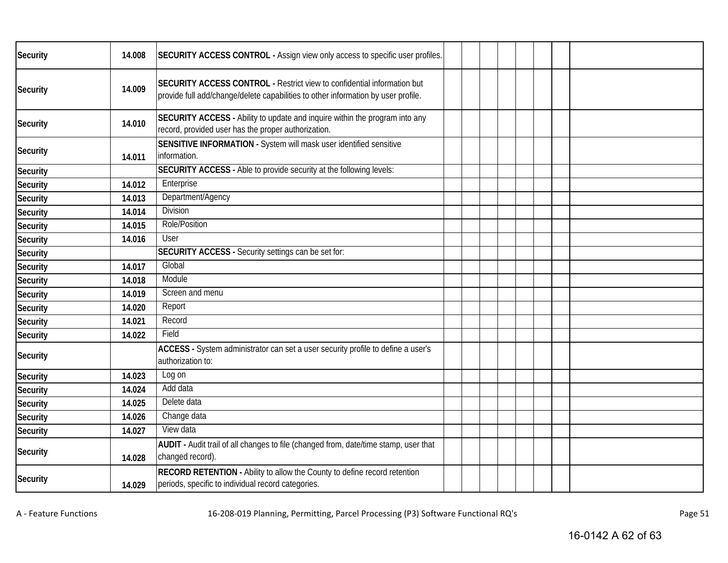| <b>Security</b> | 14.008 | SECURITY ACCESS CONTROL - Assign view only access to specific user profiles.                                                                                 |  |  |  |  |
|-----------------|--------|--------------------------------------------------------------------------------------------------------------------------------------------------------------|--|--|--|--|
| <b>Security</b> | 14.009 | SECURITY ACCESS CONTROL - Restrict view to confidential information but<br>provide full add/change/delete capabilities to other information by user profile. |  |  |  |  |
| <b>Security</b> | 14.010 | SECURITY ACCESS - Ability to update and inquire within the program into any<br>record, provided user has the proper authorization.                           |  |  |  |  |
| <b>Security</b> | 14.011 | SENSITIVE INFORMATION - System will mask user identified sensitive<br>information.                                                                           |  |  |  |  |
| Security        |        | SECURITY ACCESS - Able to provide security at the following levels:                                                                                          |  |  |  |  |
| Security        | 14.012 | Enterprise                                                                                                                                                   |  |  |  |  |
| <b>Security</b> | 14.013 | Department/Agency                                                                                                                                            |  |  |  |  |
| Security        | 14.014 | <b>Division</b>                                                                                                                                              |  |  |  |  |
| Security        | 14.015 | Role/Position                                                                                                                                                |  |  |  |  |
| <b>Security</b> | 14.016 | User                                                                                                                                                         |  |  |  |  |
| <b>Security</b> |        | <b>SECURITY ACCESS - Security settings can be set for:</b>                                                                                                   |  |  |  |  |
| Security        | 14.017 | Global                                                                                                                                                       |  |  |  |  |
| Security        | 14.018 | Module                                                                                                                                                       |  |  |  |  |
| <b>Security</b> | 14.019 | Screen and menu                                                                                                                                              |  |  |  |  |
| <b>Security</b> | 14.020 | Report                                                                                                                                                       |  |  |  |  |
| Security        | 14.021 | Record                                                                                                                                                       |  |  |  |  |
| <b>Security</b> | 14.022 | Field                                                                                                                                                        |  |  |  |  |
| <b>Security</b> |        | ACCESS - System administrator can set a user security profile to define a user's<br>authorization to:                                                        |  |  |  |  |
| Security        | 14.023 | Log on                                                                                                                                                       |  |  |  |  |
| Security        | 14.024 | Add data                                                                                                                                                     |  |  |  |  |
| Security        | 14.025 | Delete data                                                                                                                                                  |  |  |  |  |
| Security        | 14.026 | Change data                                                                                                                                                  |  |  |  |  |
| <b>Security</b> | 14.027 | View data                                                                                                                                                    |  |  |  |  |
| <b>Security</b> | 14.028 | AUDIT - Audit trail of all changes to file (changed from, date/time stamp, user that<br>changed record).                                                     |  |  |  |  |
| <b>Security</b> | 14.029 | RECORD RETENTION - Ability to allow the County to define record retention<br>periods, specific to individual record categories.                              |  |  |  |  |